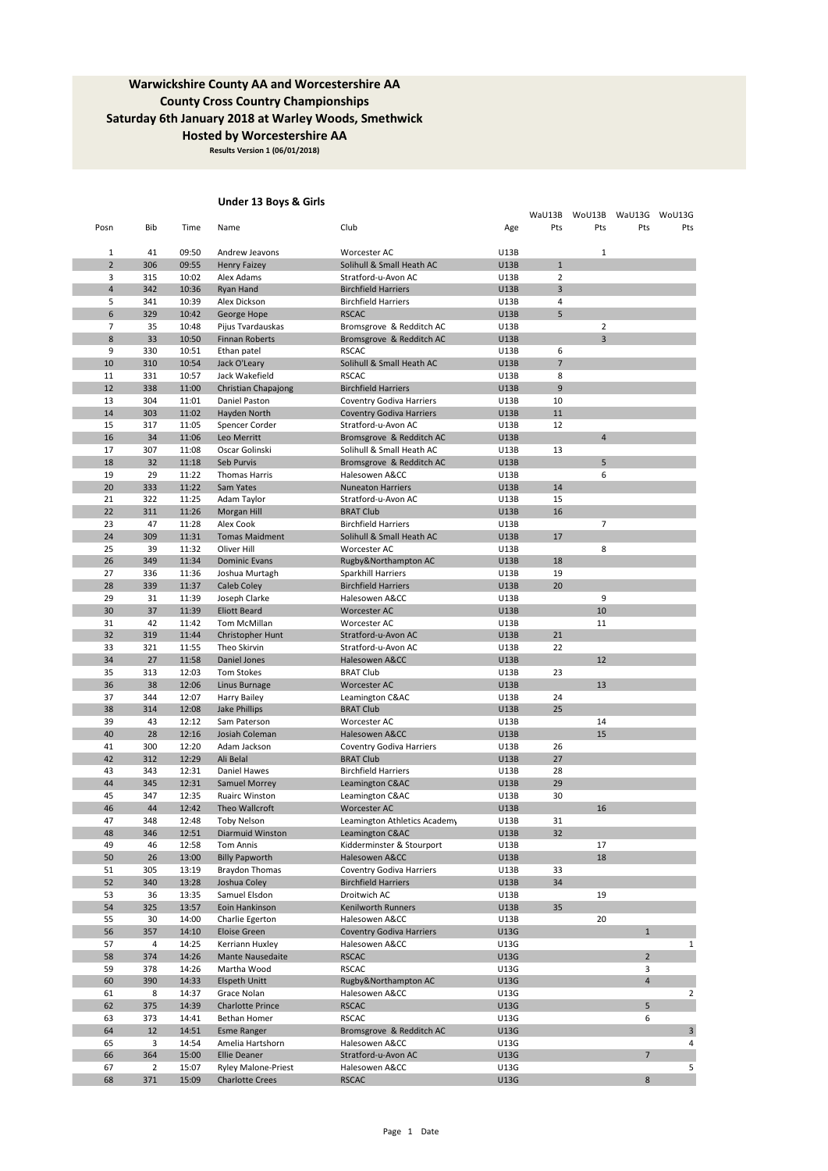**Results Version 1 (06/01/2018)**

### **Under 13 Boys & Girls**

|                     |                       |                |                                                      |                                                   |                            | WaU13B              |                | WoU13B WaU13G WoU13G |                |
|---------------------|-----------------------|----------------|------------------------------------------------------|---------------------------------------------------|----------------------------|---------------------|----------------|----------------------|----------------|
| Posn                | Bib                   | Time           | Name                                                 | Club                                              | Age                        | Pts                 | Pts            | Pts                  | Pts            |
|                     |                       |                |                                                      |                                                   |                            |                     |                |                      |                |
| 1<br>$\overline{2}$ | 41<br>306             | 09:50<br>09:55 | Andrew Jeavons<br><b>Henry Faizey</b>                | Worcester AC<br>Solihull & Small Heath AC         | U13B<br><b>U13B</b>        | $1\,$               | $\mathbf{1}$   |                      |                |
| 3                   | 315                   | 10:02          | Alex Adams                                           | Stratford-u-Avon AC                               | U13B                       | $\overline{2}$      |                |                      |                |
| $\overline{a}$      | 342                   | 10:36          | Ryan Hand                                            | <b>Birchfield Harriers</b>                        | U13B                       | 3                   |                |                      |                |
| 5                   | 341                   | 10:39          | Alex Dickson                                         | <b>Birchfield Harriers</b>                        | U13B                       | $\sqrt{4}$          |                |                      |                |
| 6                   | 329                   | 10:42          | George Hope                                          | <b>RSCAC</b>                                      | <b>U13B</b>                | 5                   |                |                      |                |
| $\overline{7}$      | 35                    | 10:48          | Pijus Tvardauskas                                    | Bromsgrove & Redditch AC                          | U13B                       |                     | $\overline{2}$ |                      |                |
| 8                   | 33                    | 10:50          | Finnan Roberts                                       | Bromsgrove & Redditch AC                          | <b>U13B</b>                |                     | $\overline{3}$ |                      |                |
| 9                   | 330                   | 10:51          | Ethan patel                                          | <b>RSCAC</b>                                      | U13B                       | 6                   |                |                      |                |
| 10<br>11            | 310<br>331            | 10:54<br>10:57 | Jack O'Leary<br>Jack Wakefield                       | Solihull & Small Heath AC<br><b>RSCAC</b>         | <b>U13B</b><br>U13B        | $\overline{7}$<br>8 |                |                      |                |
| 12                  | 338                   | 11:00          | Christian Chapajong                                  | <b>Birchfield Harriers</b>                        | U13B                       | 9                   |                |                      |                |
| 13                  | 304                   | 11:01          | Daniel Paston                                        | <b>Coventry Godiva Harriers</b>                   | U13B                       | 10                  |                |                      |                |
| 14                  | 303                   | 11:02          | Hayden North                                         | <b>Coventry Godiva Harriers</b>                   | U13B                       | 11                  |                |                      |                |
| 15                  | 317                   | 11:05          | Spencer Corder                                       | Stratford-u-Avon AC                               | U13B                       | 12                  |                |                      |                |
| 16                  | 34                    | 11:06          | Leo Merritt                                          | Bromsgrove & Redditch AC                          | U13B                       |                     | $\overline{4}$ |                      |                |
| 17                  | 307                   | 11:08          | Oscar Golinski                                       | Solihull & Small Heath AC                         | U13B                       | 13                  |                |                      |                |
| 18                  | 32                    | 11:18          | Seb Purvis                                           | Bromsgrove & Redditch AC                          | U13B                       |                     | 5              |                      |                |
| 19                  | 29                    | 11:22          | <b>Thomas Harris</b>                                 | Halesowen A&CC                                    | U13B                       |                     | 6              |                      |                |
| 20                  | 333                   | 11:22          | Sam Yates                                            | <b>Nuneaton Harriers</b>                          | <b>U13B</b>                | 14                  |                |                      |                |
| 21                  | 322                   | 11:25          | Adam Taylor                                          | Stratford-u-Avon AC                               | U13B                       | 15                  |                |                      |                |
| 22<br>23            | 311<br>47             | 11:26<br>11:28 | Morgan Hill<br>Alex Cook                             | <b>BRAT Club</b><br><b>Birchfield Harriers</b>    | <b>U13B</b><br>U13B        | 16                  | 7              |                      |                |
| 24                  | 309                   | 11:31          | <b>Tomas Maidment</b>                                | Solihull & Small Heath AC                         | <b>U13B</b>                | 17                  |                |                      |                |
| 25                  | 39                    | 11:32          | Oliver Hill                                          | Worcester AC                                      | U13B                       |                     | 8              |                      |                |
| 26                  | 349                   | 11:34          | <b>Dominic Evans</b>                                 | Rugby&Northampton AC                              | U13B                       | 18                  |                |                      |                |
| 27                  | 336                   | 11:36          | Joshua Murtagh                                       | Sparkhill Harriers                                | U13B                       | 19                  |                |                      |                |
| 28                  | 339                   | 11:37          | Caleb Coley                                          | <b>Birchfield Harriers</b>                        | U13B                       | 20                  |                |                      |                |
| 29                  | 31                    | 11:39          | Joseph Clarke                                        | Halesowen A&CC                                    | <b>U13B</b>                |                     | 9              |                      |                |
| 30                  | 37                    | 11:39          | <b>Eliott Beard</b>                                  | <b>Worcester AC</b>                               | U13B                       |                     | 10             |                      |                |
| 31                  | 42                    | 11:42          | Tom McMillan                                         | Worcester AC                                      | <b>U13B</b>                |                     | 11             |                      |                |
| 32                  | 319                   | 11:44          | Christopher Hunt                                     | Stratford-u-Avon AC                               | U13B                       | 21                  |                |                      |                |
| 33                  | 321                   | 11:55          | Theo Skirvin                                         | Stratford-u-Avon AC                               | U13B                       | 22                  |                |                      |                |
| 34<br>35            | 27<br>313             | 11:58<br>12:03 | Daniel Jones<br>Tom Stokes                           | Halesowen A&CC<br><b>BRAT Club</b>                | <b>U13B</b><br><b>U13B</b> | 23                  | 12             |                      |                |
| 36                  | 38                    | 12:06          | Linus Burnage                                        | Worcester AC                                      | <b>U13B</b>                |                     | 13             |                      |                |
| 37                  | 344                   | 12:07          | Harry Bailey                                         | Leamington C&AC                                   | U13B                       | 24                  |                |                      |                |
| 38                  | 314                   | 12:08          | Jake Phillips                                        | <b>BRAT Club</b>                                  | <b>U13B</b>                | 25                  |                |                      |                |
| 39                  | 43                    | 12:12          | Sam Paterson                                         | Worcester AC                                      | U13B                       |                     | 14             |                      |                |
| 40                  | 28                    | 12:16          | Josiah Coleman                                       | Halesowen A&CC                                    | <b>U13B</b>                |                     | 15             |                      |                |
| 41                  | 300                   | 12:20          | Adam Jackson                                         | <b>Coventry Godiva Harriers</b>                   | U13B                       | 26                  |                |                      |                |
| 42                  | 312                   | 12:29          | Ali Belal                                            | <b>BRAT Club</b>                                  | U13B                       | 27                  |                |                      |                |
| 43                  | 343                   | 12:31          | Daniel Hawes                                         | <b>Birchfield Harriers</b>                        | U13B                       | 28                  |                |                      |                |
| 44                  | 345                   | 12:31<br>12:35 | Samuel Morrey                                        | Leamington C&AC                                   | <b>U13B</b>                | 29                  |                |                      |                |
| 45<br>46            | 347<br>44             | 12:42          | <b>Ruairc Winston</b><br>Theo Wallcroft              | Leamington C&AC<br>Worcester AC                   | <b>U13B</b><br>U13B        | 30                  | 16             |                      |                |
| 47                  | 348                   | 12:48          | <b>Toby Nelson</b>                                   | Leamington Athletics Academy                      | U13B                       | 31                  |                |                      |                |
| 48                  | 346                   | 12:51          | Diarmuid Winston                                     | Leamington C&AC                                   | U13B                       | 32                  |                |                      |                |
| 49                  | 46                    | 12:58          | Tom Annis                                            | Kidderminster & Stourport                         | U13B                       |                     | 17             |                      |                |
| 50                  | 26                    | 13:00          | <b>Billy Papworth</b>                                | Halesowen A&CC                                    | U13B                       |                     | 18             |                      |                |
| 51                  | 305                   | 13:19          | <b>Braydon Thomas</b>                                | <b>Coventry Godiva Harriers</b>                   | U13B                       | 33                  |                |                      |                |
| 52                  | 340                   | 13:28          | Joshua Coley                                         | <b>Birchfield Harriers</b>                        | <b>U13B</b>                | 34                  |                |                      |                |
| 53                  | 36                    | 13:35          | Samuel Elsdon                                        | Droitwich AC                                      | U13B                       |                     | 19             |                      |                |
| 54                  | 325                   | 13:57          | Eoin Hankinson                                       | <b>Kenilworth Runners</b>                         | U13B                       | 35                  |                |                      |                |
| 55                  | 30                    | 14:00          | Charlie Egerton                                      | Halesowen A&CC                                    | U13B                       |                     | 20             |                      |                |
| 56<br>57            | 357<br>4              | 14:10<br>14:25 | Eloise Green<br>Kerriann Huxley                      | <b>Coventry Godiva Harriers</b><br>Halesowen A&CC | U13G<br>U13G               |                     |                | $\mathbf{1}$         | 1              |
| 58                  | 374                   | 14:26          | Mante Nausedaite                                     | <b>RSCAC</b>                                      | U13G                       |                     |                | $\overline{2}$       |                |
| 59                  | 378                   | 14:26          | Martha Wood                                          | <b>RSCAC</b>                                      | U13G                       |                     |                | 3                    |                |
| 60                  | 390                   | 14:33          | Elspeth Unitt                                        | Rugby&Northampton AC                              | U13G                       |                     |                | $\overline{4}$       |                |
| 61                  | 8                     | 14:37          | Grace Nolan                                          | Halesowen A&CC                                    | U13G                       |                     |                |                      | $\overline{2}$ |
| 62                  | 375                   | 14:39          | <b>Charlotte Prince</b>                              | <b>RSCAC</b>                                      | U13G                       |                     |                | 5                    |                |
| 63                  | 373                   | 14:41          | Bethan Homer                                         | <b>RSCAC</b>                                      | U13G                       |                     |                | 6                    |                |
| 64                  | 12                    | 14:51          | <b>Esme Ranger</b>                                   | Bromsgrove & Redditch AC                          | U13G                       |                     |                |                      | 3              |
| 65                  | 3                     | 14:54          | Amelia Hartshorn                                     | Halesowen A&CC                                    | U13G                       |                     |                |                      | 4              |
| 66                  | 364                   | 15:00          | <b>Ellie Deaner</b>                                  | Stratford-u-Avon AC                               | U13G                       |                     |                | $\overline{7}$       |                |
| 67<br>68            | $\overline{2}$<br>371 | 15:07<br>15:09 | <b>Ryley Malone-Priest</b><br><b>Charlotte Crees</b> | Halesowen A&CC<br><b>RSCAC</b>                    | U13G<br>U13G               |                     |                | 8                    | 5              |
|                     |                       |                |                                                      |                                                   |                            |                     |                |                      |                |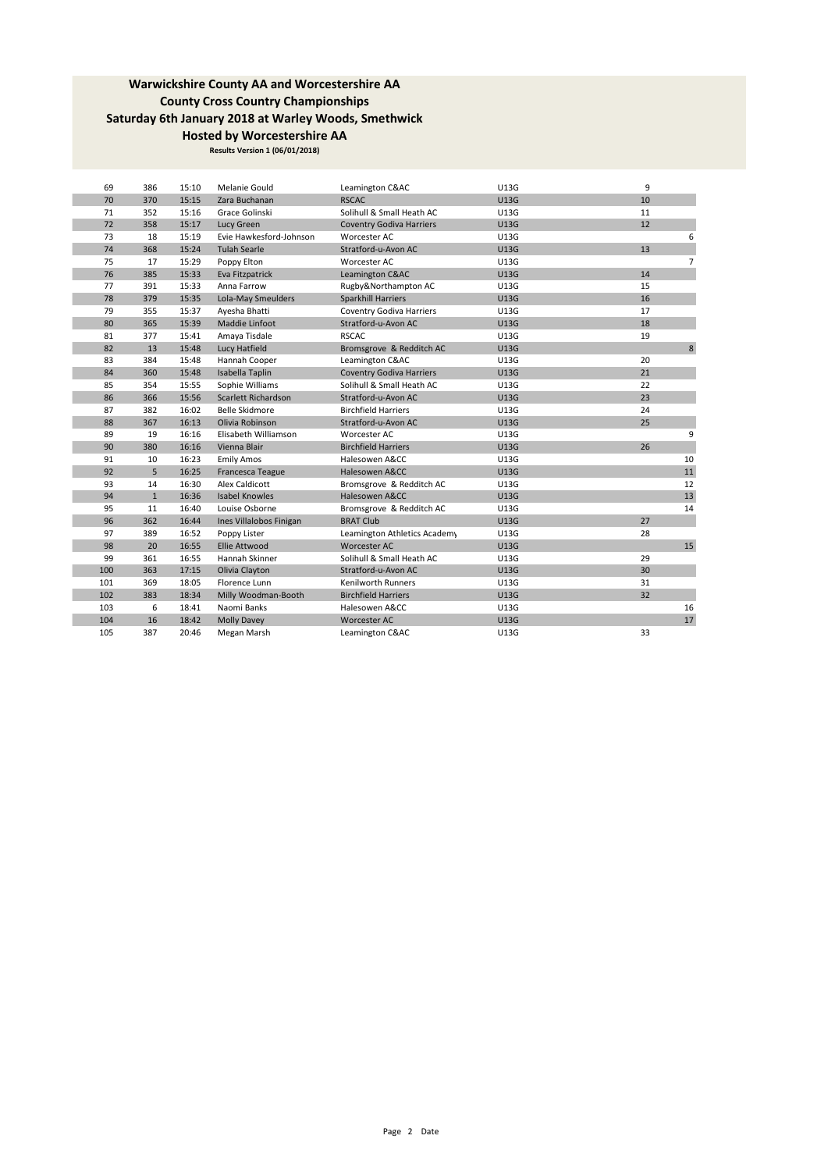| 69  | 386          | 15:10 | Melanie Gould           | Leamington C&AC                 | U13G        | 9              |
|-----|--------------|-------|-------------------------|---------------------------------|-------------|----------------|
| 70  | 370          | 15:15 | Zara Buchanan           | <b>RSCAC</b>                    | <b>U13G</b> | 10             |
| 71  | 352          | 15:16 | Grace Golinski          | Solihull & Small Heath AC       | <b>U13G</b> | 11             |
| 72  | 358          | 15:17 | Lucy Green              | <b>Coventry Godiva Harriers</b> | U13G        | 12             |
| 73  | 18           | 15:19 | Evie Hawkesford-Johnson | Worcester AC                    | <b>U13G</b> | 6              |
| 74  | 368          | 15:24 | <b>Tulah Searle</b>     | Stratford-u-Avon AC             | U13G        | 13             |
| 75  | 17           | 15:29 | Poppy Elton             | Worcester AC                    | <b>U13G</b> | $\overline{7}$ |
| 76  | 385          | 15:33 | Eva Fitzpatrick         | Leamington C&AC                 | <b>U13G</b> | 14             |
| 77  | 391          | 15:33 | Anna Farrow             | Rugby&Northampton AC            | <b>U13G</b> | 15             |
| 78  | 379          | 15:35 | Lola-May Smeulders      | Sparkhill Harriers              | U13G        | 16             |
| 79  | 355          | 15:37 | Ayesha Bhatti           | Coventry Godiva Harriers        | U13G        | 17             |
| 80  | 365          | 15:39 | Maddie Linfoot          | Stratford-u-Avon AC             | U13G        | 18             |
| 81  | 377          | 15:41 | Amaya Tisdale           | <b>RSCAC</b>                    | U13G        | 19             |
| 82  | 13           | 15:48 | Lucy Hatfield           | Bromsgrove & Redditch AC        | U13G        | 8              |
| 83  | 384          | 15:48 | Hannah Cooper           | Leamington C&AC                 | <b>U13G</b> | 20             |
| 84  | 360          | 15:48 | Isabella Taplin         | <b>Coventry Godiva Harriers</b> | U13G        | 21             |
| 85  | 354          | 15:55 | Sophie Williams         | Solihull & Small Heath AC       | <b>U13G</b> | 22             |
| 86  | 366          | 15:56 | Scarlett Richardson     | Stratford-u-Avon AC             | U13G        | 23             |
| 87  | 382          | 16:02 | Belle Skidmore          | <b>Birchfield Harriers</b>      | U13G        | 24             |
| 88  | 367          | 16:13 | Olivia Robinson         | Stratford-u-Avon AC             | U13G        | 25             |
| 89  | 19           | 16:16 | Elisabeth Williamson    | Worcester AC                    | <b>U13G</b> | 9              |
| 90  | 380          | 16:16 | Vienna Blair            | <b>Birchfield Harriers</b>      | U13G        | 26             |
| 91  | 10           | 16:23 | <b>Emily Amos</b>       | Halesowen A&CC                  | <b>U13G</b> | 10             |
| 92  | 5            | 16:25 | Francesca Teague        | Halesowen A&CC                  | U13G        | 11             |
| 93  | 14           | 16:30 | Alex Caldicott          | Bromsgrove & Redditch AC        | U13G        | 12             |
| 94  | $\mathbf{1}$ | 16:36 | <b>Isabel Knowles</b>   | Halesowen A&CC                  | U13G        | 13             |
| 95  | 11           | 16:40 | Louise Osborne          | Bromsgrove & Redditch AC        | U13G        | 14             |
| 96  | 362          | 16:44 | Ines Villalobos Finigan | <b>BRAT Club</b>                | <b>U13G</b> | 27             |
| 97  | 389          | 16:52 | Poppy Lister            | Leamington Athletics Academy    | U13G        | 28             |
| 98  | 20           | 16:55 | <b>Ellie Attwood</b>    | <b>Worcester AC</b>             | <b>U13G</b> | 15             |
| 99  | 361          | 16:55 | Hannah Skinner          | Solihull & Small Heath AC       | U13G        | 29             |
| 100 | 363          | 17:15 | Olivia Clayton          | Stratford-u-Avon AC             | U13G        | 30             |
| 101 | 369          | 18:05 | Florence Lunn           | <b>Kenilworth Runners</b>       | U13G        | 31             |
| 102 | 383          | 18:34 | Milly Woodman-Booth     | <b>Birchfield Harriers</b>      | U13G        | 32             |
| 103 | 6            | 18:41 | Naomi Banks             | Halesowen A&CC                  | U13G        | 16             |
| 104 | 16           | 18:42 | <b>Molly Davey</b>      | Worcester AC                    | U13G        | 17             |
| 105 | 387          | 20:46 | Megan Marsh             | Leamington C&AC                 | U13G        | 33             |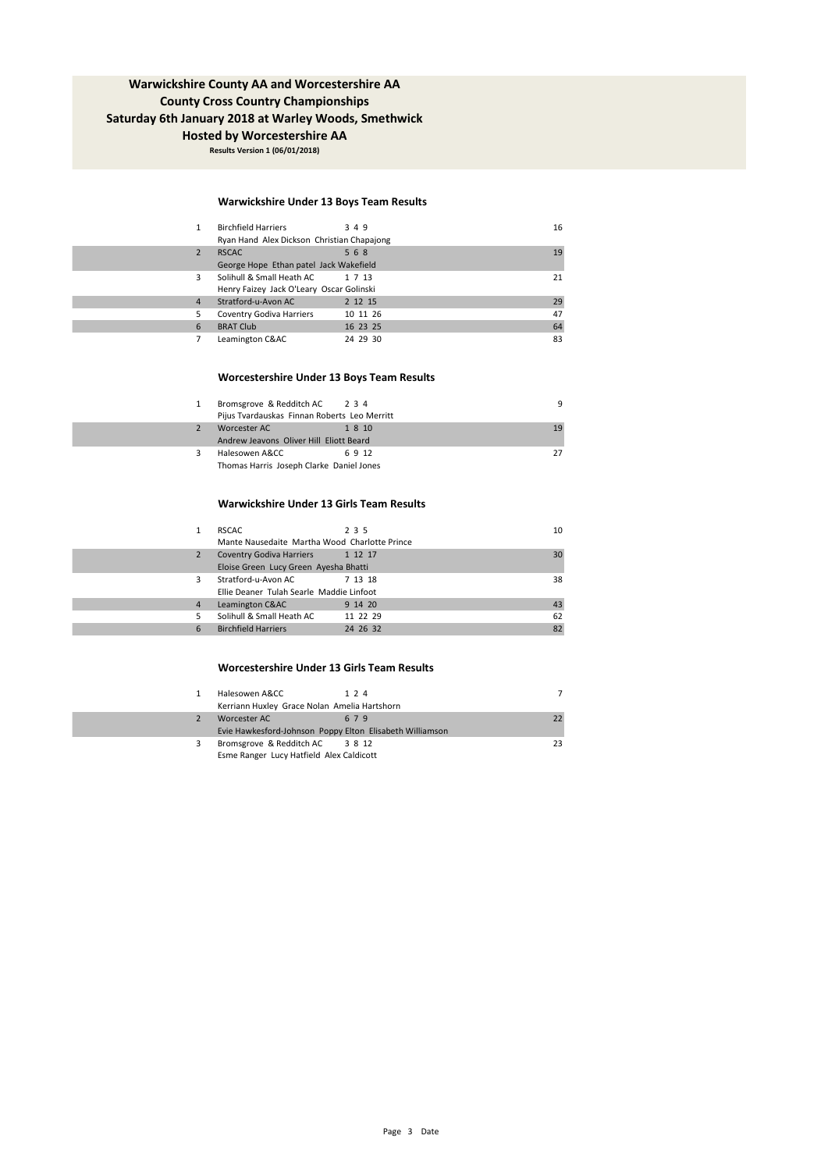**Results Version 1 (06/01/2018)**

### **Warwickshire Under 13 Boys Team Results**

|   | <b>Birchfield Harriers</b><br>Ryan Hand Alex Dickson Christian Chapajong | 349      | 16 |
|---|--------------------------------------------------------------------------|----------|----|
|   | <b>RSCAC</b>                                                             | 568      | 19 |
|   | George Hope Ethan patel Jack Wakefield                                   |          |    |
| ٩ | Solihull & Small Heath AC                                                | 1 7 13   | 21 |
|   | Henry Faizey Jack O'Leary Oscar Golinski                                 |          |    |
| 4 | Stratford-u-Avon AC                                                      | 2 12 15  | 29 |
|   | Coventry Godiva Harriers                                                 | 10 11 26 | 47 |
| 6 | <b>BRAT Club</b>                                                         | 16 23 25 | 64 |
|   | Leamington C&AC                                                          | 24 29 30 | 83 |

#### **Worcestershire Under 13 Boys Team Results**

|   | Bromsgrove & Redditch AC 2 3 4<br>Pijus Tvardauskas Finnan Roberts Leo Merritt |        | q  |
|---|--------------------------------------------------------------------------------|--------|----|
|   | Worcester AC<br>Andrew Jeavons Oliver Hill Eliott Beard                        | 1 8 10 | 19 |
| 3 | Halesowen A&CC<br>Thomas Harris Joseph Clarke Daniel Jones                     | 6912   | 27 |

#### **Warwickshire Under 13 Girls Team Results**

|    | <b>RSCAC</b>                                  | 2 3 5    | 10 |
|----|-----------------------------------------------|----------|----|
|    | Mante Nausedaite Martha Wood Charlotte Prince |          |    |
| 2  | Coventry Godiva Harriers 1 12 17              |          | 30 |
|    | Eloise Green Lucy Green Ayesha Bhatti         |          |    |
| 3  | Stratford-u-Avon AC                           | 7 13 18  | 38 |
|    | Ellie Deaner Tulah Searle Maddie Linfoot      |          |    |
| 4  | Leamington C&AC                               | 9 14 20  | 43 |
| 5. | Solihull & Small Heath AC                     | 11 22 29 | 62 |
| 6  | <b>Birchfield Harriers</b>                    | 24 26 32 | 82 |
|    |                                               |          |    |

### **Worcestershire Under 13 Girls Team Results**

|   | Halesowen A&CC<br>Kerriann Huxley Grace Nolan Amelia Hartshorn | 1 2 4 |    |
|---|----------------------------------------------------------------|-------|----|
|   | Worcester AC                                                   | 679   |    |
|   | Evie Hawkesford-Johnson Poppy Elton Elisabeth Williamson       |       |    |
| 3 | Bromsgrove & Redditch AC 3 8 12                                |       | 23 |
|   | Esme Ranger Lucy Hatfield Alex Caldicott                       |       |    |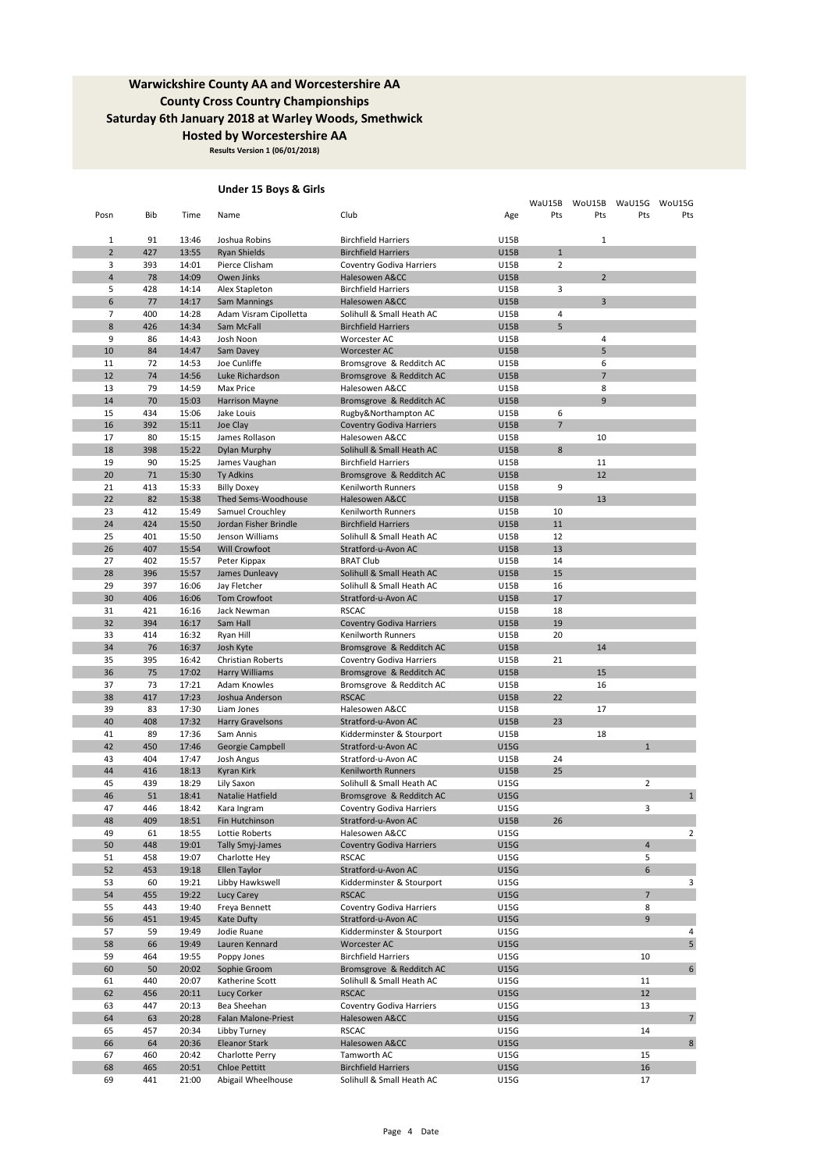**Results Version 1 (06/01/2018)**

### **Under 15 Boys & Girls**

| Posn                | Bib        | Time           | Name                                      | Club                                            | Age                        | WaU15B<br>Pts  | WoU15B<br>Pts  | WaU15G<br>Pts       | WoU15G<br>Pts            |
|---------------------|------------|----------------|-------------------------------------------|-------------------------------------------------|----------------------------|----------------|----------------|---------------------|--------------------------|
|                     |            |                |                                           |                                                 |                            |                |                |                     |                          |
| $\mathbf{1}$        | 91         | 13:46          | Joshua Robins                             | <b>Birchfield Harriers</b>                      | U15B                       |                | 1              |                     |                          |
| $\overline{2}$      | 427        | 13:55          | Ryan Shields                              | <b>Birchfield Harriers</b>                      | <b>U15B</b>                | $\mathbf 1$    |                |                     |                          |
| 3                   | 393        | 14:01          | Pierce Clisham                            | Coventry Godiva Harriers                        | U15B                       | $\overline{2}$ |                |                     |                          |
| 4                   | 78         | 14:09          | Owen Jinks                                | Halesowen A&CC                                  | <b>U15B</b>                |                | $\overline{2}$ |                     |                          |
| 5                   | 428        | 14:14          | Alex Stapleton                            | <b>Birchfield Harriers</b>                      | U15B                       | 3              |                |                     |                          |
| 6<br>$\overline{7}$ | 77<br>400  | 14:17<br>14:28 | <b>Sam Mannings</b>                       | Halesowen A&CC<br>Solihull & Small Heath AC     | <b>U15B</b><br>U15B        | $\overline{4}$ | $\overline{3}$ |                     |                          |
| 8                   | 426        | 14:34          | Adam Visram Cipolletta<br>Sam McFall      | <b>Birchfield Harriers</b>                      | <b>U15B</b>                | 5              |                |                     |                          |
| 9                   | 86         | 14:43          | Josh Noon                                 | Worcester AC                                    | U15B                       |                | 4              |                     |                          |
| 10                  | 84         | 14:47          | Sam Davey                                 | Worcester AC                                    | <b>U15B</b>                |                | 5              |                     |                          |
| 11                  | 72         | 14:53          | Joe Cunliffe                              | Bromsgrove & Redditch AC                        | U15B                       |                | 6              |                     |                          |
| 12                  | 74         | 14:56          | Luke Richardson                           | Bromsgrove & Redditch AC                        | <b>U15B</b>                |                | $\overline{7}$ |                     |                          |
| 13                  | 79         | 14:59          | Max Price                                 | Halesowen A&CC                                  | U15B                       |                | 8              |                     |                          |
| 14                  | 70         | 15:03          | Harrison Mayne                            | Bromsgrove & Redditch AC                        | <b>U15B</b>                |                | 9              |                     |                          |
| 15                  | 434        | 15:06          | Jake Louis                                | Rugby&Northampton AC                            | U15B                       | 6              |                |                     |                          |
| 16                  | 392        | 15:11          | Joe Clay                                  | <b>Coventry Godiva Harriers</b>                 | <b>U15B</b>                | $\overline{7}$ |                |                     |                          |
| 17                  | 80         | 15:15          | James Rollason                            | Halesowen A&CC                                  | U15B                       |                | 10             |                     |                          |
| 18                  | 398        | 15:22          | Dylan Murphy                              | Solihull & Small Heath AC                       | <b>U15B</b>                | 8              |                |                     |                          |
| 19                  | 90         | 15:25          | James Vaughan                             | <b>Birchfield Harriers</b>                      | U15B                       |                | 11             |                     |                          |
| 20                  | 71         | 15:30          | Ty Adkins                                 | Bromsgrove & Redditch AC                        | <b>U15B</b>                |                | 12             |                     |                          |
| 21                  | 413<br>82  | 15:33          | <b>Billy Doxey</b>                        | Kenilworth Runners<br>Halesowen A&CC            | U15B                       | 9              | 13             |                     |                          |
| 22<br>23            | 412        | 15:38<br>15:49 | Thed Sems-Woodhouse                       | Kenilworth Runners                              | U15B<br><b>U15B</b>        | 10             |                |                     |                          |
| 24                  | 424        | 15:50          | Samuel Crouchley<br>Jordan Fisher Brindle | <b>Birchfield Harriers</b>                      | <b>U15B</b>                | 11             |                |                     |                          |
| 25                  | 401        | 15:50          | Jenson Williams                           | Solihull & Small Heath AC                       | <b>U15B</b>                | 12             |                |                     |                          |
| 26                  | 407        | 15:54          | Will Crowfoot                             | Stratford-u-Avon AC                             | <b>U15B</b>                | 13             |                |                     |                          |
| 27                  | 402        | 15:57          | Peter Kippax                              | <b>BRAT Club</b>                                | U15B                       | 14             |                |                     |                          |
| 28                  | 396        | 15:57          | James Dunleavy                            | Solihull & Small Heath AC                       | <b>U15B</b>                | 15             |                |                     |                          |
| 29                  | 397        | 16:06          | Jay Fletcher                              | Solihull & Small Heath AC                       | U15B                       | 16             |                |                     |                          |
| 30                  | 406        | 16:06          | Tom Crowfoot                              | Stratford-u-Avon AC                             | <b>U15B</b>                | 17             |                |                     |                          |
| 31                  | 421        | 16:16          | Jack Newman                               | <b>RSCAC</b>                                    | U15B                       | 18             |                |                     |                          |
| 32                  | 394        | 16:17          | Sam Hall                                  | <b>Coventry Godiva Harriers</b>                 | <b>U15B</b>                | 19             |                |                     |                          |
| 33                  | 414        | 16:32          | Ryan Hill                                 | Kenilworth Runners                              | U15B                       | 20             |                |                     |                          |
| 34                  | 76         | 16:37          | Josh Kyte                                 | Bromsgrove & Redditch AC                        | <b>U15B</b>                |                | 14             |                     |                          |
| 35                  | 395        | 16:42          | Christian Roberts                         | Coventry Godiva Harriers                        | U15B                       | 21             |                |                     |                          |
| 36                  | 75         | 17:02          | <b>Harry Williams</b>                     | Bromsgrove & Redditch AC                        | <b>U15B</b>                |                | 15             |                     |                          |
| 37                  | 73         | 17:21          | Adam Knowles                              | Bromsgrove & Redditch AC                        | U15B                       |                | 16             |                     |                          |
| 38                  | 417        | 17:23          | Joshua Anderson                           | <b>RSCAC</b>                                    | <b>U15B</b>                | 22             |                |                     |                          |
| 39<br>40            | 83<br>408  | 17:30<br>17:32 | Liam Jones<br>Harry Gravelsons            | Halesowen A&CC<br>Stratford-u-Avon AC           | U15B<br><b>U15B</b>        | 23             | 17             |                     |                          |
| 41                  | 89         | 17:36          | Sam Annis                                 | Kidderminster & Stourport                       | U15B                       |                | 18             |                     |                          |
| 42                  | 450        | 17:46          | Georgie Campbell                          | Stratford-u-Avon AC                             | <b>U15G</b>                |                |                | $\mathbf{1}$        |                          |
| 43                  | 404        | 17:47          | Josh Angus                                | Stratford-u-Avon AC                             | U15B                       | 24             |                |                     |                          |
| 44                  | 416        | 18:13          | Kyran Kirk                                | Kenilworth Runners                              | <b>U15B</b>                | 25             |                |                     |                          |
| 45                  | 439        | 18:29          | Lily Saxon                                | Solihull & Small Heath AC                       | U15G                       |                |                | $\overline{2}$      |                          |
| 46                  | 51         | 18:41          | Natalie Hatfield                          | Bromsgrove & Redditch AC                        | <b>U15G</b>                |                |                |                     | $\mathbf 1$              |
| 47                  | 446        | 18:42          | Kara Ingram                               | Coventry Godiva Harriers                        | <b>U15G</b>                |                |                | 3                   |                          |
| 48                  | 409        | 18:51          | Fin Hutchinson                            | Stratford-u-Avon AC                             | U15B                       | 26             |                |                     |                          |
| 49                  | 61         | 18:55          | Lottie Roberts                            | Halesowen A&CC                                  | U15G                       |                |                |                     | 2                        |
| 50                  | 448        | 19:01          | <b>Tally Smyj-James</b>                   | <b>Coventry Godiva Harriers</b>                 | <b>U15G</b>                |                |                | $\sqrt{4}$          |                          |
| 51                  | 458        | 19:07          | Charlotte Hey                             | <b>RSCAC</b>                                    | <b>U15G</b>                |                |                | 5                   |                          |
| 52                  | 453        | 19:18          | Ellen Taylor                              | Stratford-u-Avon AC                             | <b>U15G</b>                |                |                | 6                   |                          |
| 53                  | 60         | 19:21          | Libby Hawkswell                           | Kidderminster & Stourport                       | <b>U15G</b>                |                |                |                     | 3                        |
| 54                  | 455        | 19:22          | Lucy Carey                                | <b>RSCAC</b>                                    | <b>U15G</b>                |                |                | $\overline{7}$<br>8 |                          |
| 55<br>56            | 443<br>451 | 19:40<br>19:45 | Freya Bennett<br>Kate Dufty               | Coventry Godiva Harriers<br>Stratford-u-Avon AC | <b>U15G</b><br><b>U15G</b> |                |                | 9                   |                          |
| 57                  | 59         | 19:49          | Jodie Ruane                               | Kidderminster & Stourport                       | U15G                       |                |                |                     | 4                        |
| 58                  | 66         | 19:49          | Lauren Kennard                            | Worcester AC                                    | <b>U15G</b>                |                |                |                     | 5                        |
| 59                  | 464        | 19:55          | Poppy Jones                               | <b>Birchfield Harriers</b>                      | <b>U15G</b>                |                |                | 10                  |                          |
| 60                  | 50         | 20:02          | Sophie Groom                              | Bromsgrove & Redditch AC                        | <b>U15G</b>                |                |                |                     | 6                        |
| 61                  | 440        | 20:07          | Katherine Scott                           | Solihull & Small Heath AC                       | U15G                       |                |                | 11                  |                          |
| 62                  | 456        | 20:11          | Lucy Corker                               | <b>RSCAC</b>                                    | <b>U15G</b>                |                |                | 12                  |                          |
| 63                  | 447        | 20:13          | Bea Sheehan                               | Coventry Godiva Harriers                        | U15G                       |                |                | 13                  |                          |
| 64                  | 63         | 20:28          | Falan Malone-Priest                       | Halesowen A&CC                                  | <b>U15G</b>                |                |                |                     | $\overline{\phantom{a}}$ |
| 65                  | 457        | 20:34          | Libby Turney                              | <b>RSCAC</b>                                    | U15G                       |                |                | 14                  |                          |
| 66                  | 64         | 20:36          | <b>Eleanor Stark</b>                      | Halesowen A&CC                                  | <b>U15G</b>                |                |                |                     | $\bf 8$                  |
| 67                  | 460        | 20:42          | Charlotte Perry                           | Tamworth AC                                     | U15G                       |                |                | 15                  |                          |
| 68                  | 465        | 20:51          | <b>Chloe Pettitt</b>                      | <b>Birchfield Harriers</b>                      | U15G                       |                |                | 16                  |                          |
| 69                  | 441        | 21:00          | Abigail Wheelhouse                        | Solihull & Small Heath AC                       | U15G                       |                |                | 17                  |                          |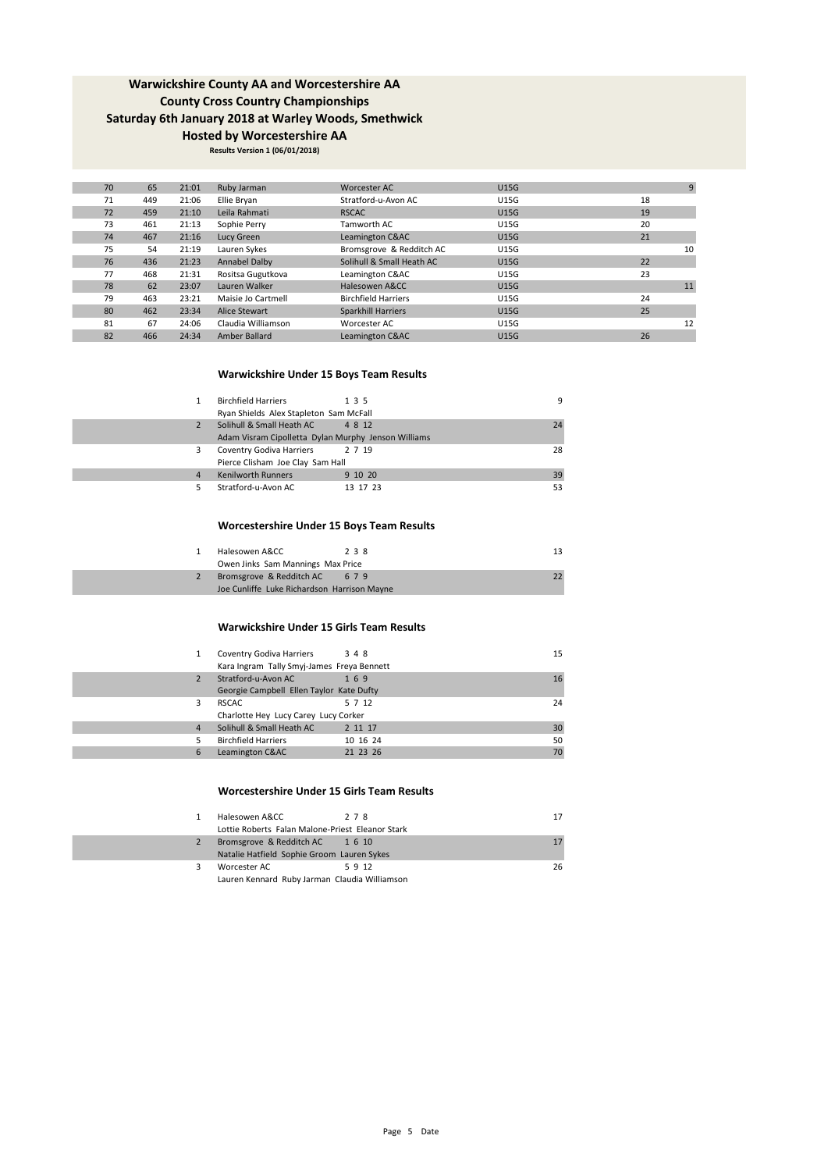**Results Version 1 (06/01/2018)**

| 70 | 65  | 21:01 | Ruby Jarman        | Worcester AC               | <b>U15G</b> |    | $\overline{9}$ |
|----|-----|-------|--------------------|----------------------------|-------------|----|----------------|
| 71 | 449 | 21:06 | Ellie Brvan        | Stratford-u-Avon AC        | <b>U15G</b> | 18 |                |
| 72 | 459 | 21:10 | Leila Rahmati      | <b>RSCAC</b>               | <b>U15G</b> | 19 |                |
| 73 | 461 | 21:13 | Sophie Perry       | Tamworth AC                | <b>U15G</b> | 20 |                |
| 74 | 467 | 21:16 | Lucy Green         | Leamington C&AC            | <b>U15G</b> | 21 |                |
| 75 | 54  | 21:19 | Lauren Sykes       | Bromsgrove & Redditch AC   | <b>U15G</b> |    | 10             |
| 76 | 436 | 21:23 | Annabel Dalby      | Solihull & Small Heath AC  | <b>U15G</b> | 22 |                |
| 77 | 468 | 21:31 | Rositsa Gugutkova  | Leamington C&AC            | <b>U15G</b> | 23 |                |
| 78 | 62  | 23:07 | Lauren Walker      | Halesowen A&CC             | <b>U15G</b> |    | 11             |
| 79 | 463 | 23:21 | Maisie Jo Cartmell | <b>Birchfield Harriers</b> | <b>U15G</b> | 24 |                |
| 80 | 462 | 23:34 | Alice Stewart      | Sparkhill Harriers         | <b>U15G</b> | 25 |                |
| 81 | 67  | 24:06 | Claudia Williamson | Worcester AC               | <b>U15G</b> |    | 12             |
| 82 | 466 | 24:34 | Amber Ballard      | Leamington C&AC            | <b>U15G</b> | 26 |                |
|    |     |       |                    |                            |             |    |                |

### **Warwickshire Under 15 Boys Team Results**

| 1              | <b>Birchfield Harriers</b><br>Ryan Shields Alex Stapleton Sam McFall             | 135      | g  |
|----------------|----------------------------------------------------------------------------------|----------|----|
| 2              | Solihull & Small Heath AC<br>Adam Visram Cipolletta Dylan Murphy Jenson Williams | 4 8 12   | 74 |
| 3              | Coventry Godiva Harriers<br>Pierce Clisham Joe Clay Sam Hall                     | 2 7 19   | 28 |
| $\overline{4}$ | <b>Kenilworth Runners</b>                                                        | 9 10 20  | 39 |
| 5              | Stratford-u-Avon AC                                                              | 13 17 23 | 53 |

### **Worcestershire Under 15 Boys Team Results**

| Halesowen A&CC                              | 238 |  |
|---------------------------------------------|-----|--|
| Owen Jinks Sam Mannings Max Price           |     |  |
| Bromsgrove & Redditch AC                    | 679 |  |
| Joe Cunliffe Luke Richardson Harrison Mayne |     |  |

#### **Warwickshire Under 15 Girls Team Results**

| 1              | Coventry Godiva Harriers<br>Kara Ingram Tally Smyj-James Freya Bennett | 3 4 8    | 15 |
|----------------|------------------------------------------------------------------------|----------|----|
| 2              | Stratford-u-Avon AC                                                    | 169      | 16 |
|                | Georgie Campbell Ellen Taylor Kate Dufty                               |          |    |
| 3              | <b>RSCAC</b>                                                           | 5 7 12   | 24 |
|                | Charlotte Hey Lucy Carey Lucy Corker                                   |          |    |
| $\overline{4}$ | Solihull & Small Heath AC                                              | 2 11 17  | 30 |
| 5              | <b>Birchfield Harriers</b>                                             | 10 16 24 | 50 |
| 6              | Leamington C&AC                                                        | 21 23 26 | 70 |

### **Worcestershire Under 15 Girls Team Results**

|   | Halesowen A&CC                                   | 278    | 17 |
|---|--------------------------------------------------|--------|----|
|   | Lottie Roberts Falan Malone-Priest Eleanor Stark |        |    |
| 2 | Bromsgrove & Redditch AC                         | 1 6 10 | 17 |
|   | Natalie Hatfield Sophie Groom Lauren Sykes       |        |    |
|   | Worcester AC                                     | 5912   | 26 |
|   | Lauren Kennard, Ruby Jarman, Claudia Williamson, |        |    |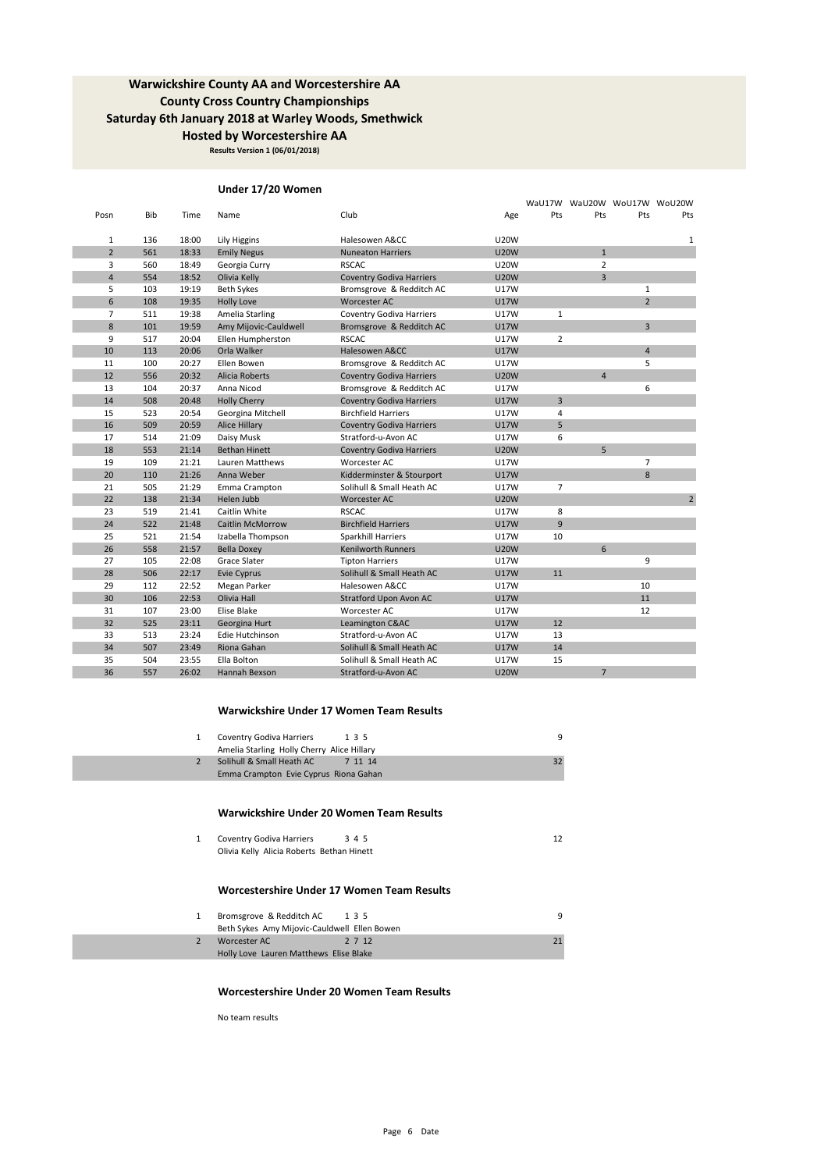**Results Version 1 (06/01/2018)**

### **Under 17/20 Women**

|                |     |       |                         |                                 |             |                |                | WaU17W WaU20W WoU17W WoU20W |                |
|----------------|-----|-------|-------------------------|---------------------------------|-------------|----------------|----------------|-----------------------------|----------------|
| Posn           | Bib | Time  | Name                    | Club                            | Age         | Pts            | Pts            | Pts                         | Pts            |
| 1              | 136 | 18:00 | Lily Higgins            | Halesowen A&CC                  | <b>U20W</b> |                |                |                             | $\mathbf{1}$   |
| $\overline{2}$ | 561 | 18:33 | <b>Emily Negus</b>      | <b>Nuneaton Harriers</b>        | <b>U20W</b> |                | $\mathbf{1}$   |                             |                |
| 3              | 560 | 18:49 | Georgia Curry           | <b>RSCAC</b>                    | <b>U20W</b> |                | $\overline{2}$ |                             |                |
| $\overline{4}$ | 554 | 18:52 | Olivia Kelly            | <b>Coventry Godiva Harriers</b> | <b>U20W</b> |                | 3              |                             |                |
| 5              | 103 | 19:19 | Beth Sykes              | Bromsgrove & Redditch AC        | <b>U17W</b> |                |                | $\mathbf{1}$                |                |
| 6              | 108 | 19:35 | <b>Holly Love</b>       | <b>Worcester AC</b>             | <b>U17W</b> |                |                | $\overline{2}$              |                |
| $\overline{7}$ | 511 | 19:38 | Amelia Starling         | <b>Coventry Godiva Harriers</b> | <b>U17W</b> | $\mathbf{1}$   |                |                             |                |
| 8              | 101 | 19:59 | Amy Mijovic-Cauldwell   | Bromsgrove & Redditch AC        | <b>U17W</b> |                |                | $\overline{3}$              |                |
| 9              | 517 | 20:04 | Ellen Humpherston       | <b>RSCAC</b>                    | <b>U17W</b> | $\overline{2}$ |                |                             |                |
| 10             | 113 | 20:06 | Orla Walker             | Halesowen A&CC                  | <b>U17W</b> |                |                | $\overline{4}$              |                |
| 11             | 100 | 20:27 | Ellen Bowen             | Bromsgrove & Redditch AC        | U17W        |                |                | 5                           |                |
| 12             | 556 | 20:32 | Alicia Roberts          | <b>Coventry Godiva Harriers</b> | <b>U20W</b> |                | $\overline{4}$ |                             |                |
| 13             | 104 | 20:37 | Anna Nicod              | Bromsgrove & Redditch AC        | <b>U17W</b> |                |                | 6                           |                |
| 14             | 508 | 20:48 | <b>Holly Cherry</b>     | <b>Coventry Godiva Harriers</b> | <b>U17W</b> | $\overline{3}$ |                |                             |                |
| 15             | 523 | 20:54 | Georgina Mitchell       | <b>Birchfield Harriers</b>      | U17W        | 4              |                |                             |                |
| 16             | 509 | 20:59 | Alice Hillary           | <b>Coventry Godiva Harriers</b> | <b>U17W</b> | 5              |                |                             |                |
| 17             | 514 | 21:09 | Daisy Musk              | Stratford-u-Avon AC             | <b>U17W</b> | 6              |                |                             |                |
| 18             | 553 | 21:14 | <b>Bethan Hinett</b>    | <b>Coventry Godiva Harriers</b> | <b>U20W</b> |                | 5              |                             |                |
| 19             | 109 | 21:21 | Lauren Matthews         | Worcester AC                    | <b>U17W</b> |                |                | $\overline{7}$              |                |
| 20             | 110 | 21:26 | Anna Weber              | Kidderminster & Stourport       | <b>U17W</b> |                |                | 8                           |                |
| 21             | 505 | 21:29 | Emma Crampton           | Solihull & Small Heath AC       | U17W        | $\overline{7}$ |                |                             |                |
| 22             | 138 | 21:34 | Helen Jubb              | <b>Worcester AC</b>             | <b>U20W</b> |                |                |                             | $\overline{2}$ |
| 23             | 519 | 21:41 | Caitlin White           | <b>RSCAC</b>                    | U17W        | 8              |                |                             |                |
| 24             | 522 | 21:48 | <b>Caitlin McMorrow</b> | <b>Birchfield Harriers</b>      | <b>U17W</b> | 9              |                |                             |                |
| 25             | 521 | 21:54 | Izabella Thompson       | Sparkhill Harriers              | <b>U17W</b> | 10             |                |                             |                |
| 26             | 558 | 21:57 | <b>Bella Doxey</b>      | <b>Kenilworth Runners</b>       | <b>U20W</b> |                | 6              |                             |                |
| 27             | 105 | 22:08 | Grace Slater            | <b>Tipton Harriers</b>          | <b>U17W</b> |                |                | 9                           |                |
| 28             | 506 | 22:17 | Evie Cyprus             | Solihull & Small Heath AC       | <b>U17W</b> | 11             |                |                             |                |
| 29             | 112 | 22:52 | Megan Parker            | Halesowen A&CC                  | <b>U17W</b> |                |                | 10                          |                |
| 30             | 106 | 22:53 | Olivia Hall             | <b>Stratford Upon Avon AC</b>   | <b>U17W</b> |                |                | 11                          |                |
| 31             | 107 | 23:00 | Elise Blake             | Worcester AC                    | U17W        |                |                | 12                          |                |
| 32             | 525 | 23:11 | Georgina Hurt           | Leamington C&AC                 | <b>U17W</b> | 12             |                |                             |                |
| 33             | 513 | 23:24 | Edie Hutchinson         | Stratford-u-Avon AC             | U17W        | 13             |                |                             |                |
| 34             | 507 | 23:49 | Riona Gahan             | Solihull & Small Heath AC       | <b>U17W</b> | 14             |                |                             |                |
| 35             | 504 | 23:55 | Ella Bolton             | Solihull & Small Heath AC       | <b>U17W</b> | 15             |                |                             |                |
| 36             | 557 | 26:02 | Hannah Bexson           | Stratford-u-Avon AC             | <b>U20W</b> |                | $\overline{7}$ |                             |                |

#### **Warwickshire Under 17 Women Team Results**

| Coventry Godiva Harriers                   | 135     |  |
|--------------------------------------------|---------|--|
| Amelia Starling Holly Cherry Alice Hillary |         |  |
| Solihull & Small Heath AC                  | 7 11 14 |  |
| Emma Crampton Evie Cyprus Riona Gahan      |         |  |
|                                            |         |  |

#### **Warwickshire Under 20 Women Team Results**

| Coventry Godiva Harriers                  | 345 |  |
|-------------------------------------------|-----|--|
| Olivia Kelly Alicia Roberts Bethan Hinett |     |  |

### **Worcestershire Under 17 Women Team Results**

| Bromsgrove & Redditch AC                     | 135    |  |
|----------------------------------------------|--------|--|
| Beth Sykes Amy Mijovic-Cauldwell Ellen Bowen |        |  |
| Worcester AC                                 | 2 7 12 |  |
| Holly Love Lauren Matthews Elise Blake       |        |  |

#### **Worcestershire Under 20 Women Team Results**

No team results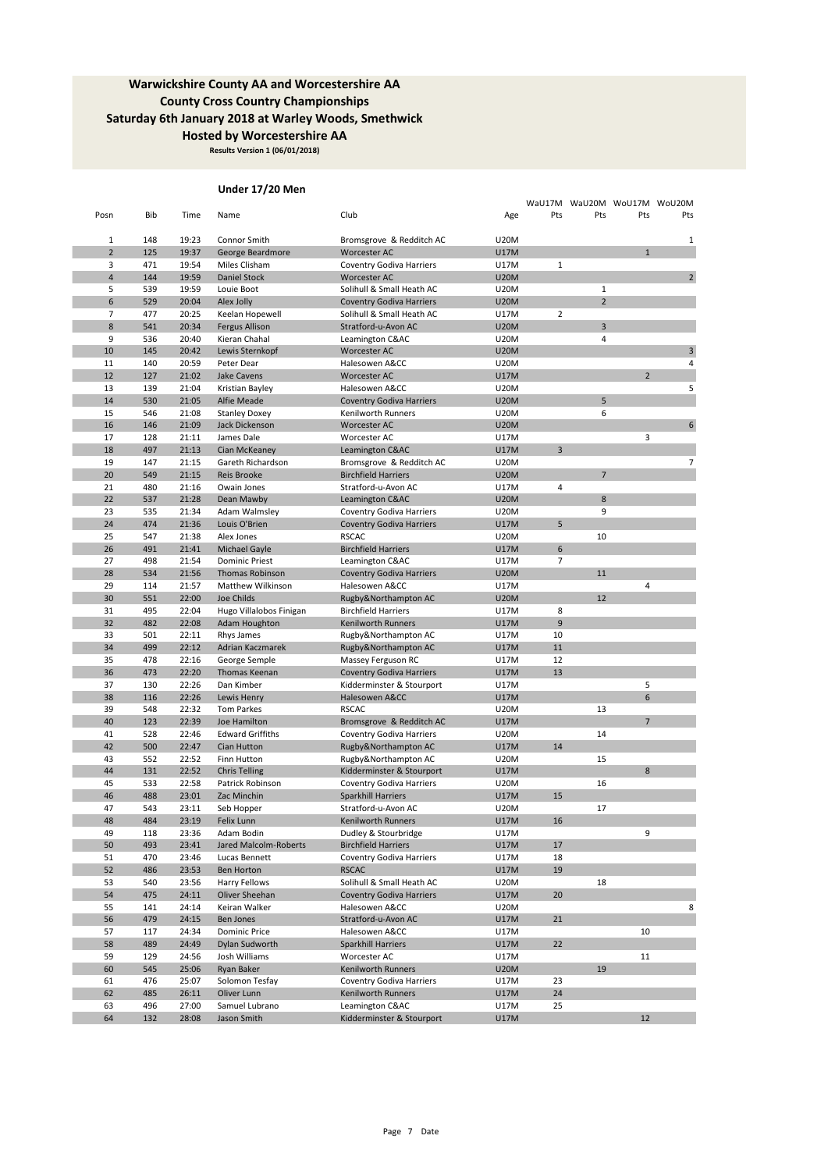**Results Version 1 (06/01/2018)**

## **Under 17/20 Men**

|                |            |                |                                 |                                                |                            |                | WaU17M WaU20M WoU17M WoU20M |                |                |
|----------------|------------|----------------|---------------------------------|------------------------------------------------|----------------------------|----------------|-----------------------------|----------------|----------------|
| Posn           | Bib        | Time           | Name                            | Club                                           | Age                        | Pts            | Pts                         | Pts            | Pts            |
|                |            |                |                                 |                                                |                            |                |                             |                |                |
| $\mathbf{1}$   | 148        | 19:23          | Connor Smith                    | Bromsgrove & Redditch AC                       | <b>U20M</b>                |                |                             |                | 1              |
| $\overline{2}$ | 125        | 19:37          | George Beardmore                | Worcester AC                                   | <b>U17M</b>                |                |                             | $\mathbf{1}$   |                |
| 3              | 471        | 19:54          | Miles Clisham                   | Coventry Godiva Harriers                       | U17M                       | $\mathbf{1}$   |                             |                |                |
| 4              | 144        | 19:59          | <b>Daniel Stock</b>             | <b>Worcester AC</b>                            | <b>U20M</b>                |                |                             |                | $\overline{2}$ |
| 5              | 539        | 19:59          | Louie Boot                      | Solihull & Small Heath AC                      | <b>U20M</b>                |                | $\mathbf{1}$                |                |                |
| 6              | 529        | 20:04          | Alex Jolly                      | <b>Coventry Godiva Harriers</b>                | <b>U20M</b>                |                | $\overline{2}$              |                |                |
| 7              | 477        | 20:25          | Keelan Hopewell                 | Solihull & Small Heath AC                      | U17M                       | $\overline{2}$ |                             |                |                |
| 8              | 541        | 20:34          | <b>Fergus Allison</b>           | Stratford-u-Avon AC                            | <b>U20M</b>                |                | 3                           |                |                |
| 9              | 536        | 20:40          | Kieran Chahal                   | Leamington C&AC                                | <b>U20M</b>                |                | 4                           |                |                |
| 10<br>11       | 145<br>140 | 20:42<br>20:59 | Lewis Sternkopf<br>Peter Dear   | Worcester AC<br>Halesowen A&CC                 | <b>U20M</b><br><b>U20M</b> |                |                             |                | 3<br>4         |
| 12             | 127        | 21:02          | <b>Jake Cavens</b>              | <b>Worcester AC</b>                            | U17M                       |                |                             | $\overline{2}$ |                |
| 13             | 139        | 21:04          | Kristian Bayley                 | Halesowen A&CC                                 | <b>U20M</b>                |                |                             |                | 5              |
| 14             | 530        | 21:05          | Alfie Meade                     | <b>Coventry Godiva Harriers</b>                | <b>U20M</b>                |                | 5                           |                |                |
| 15             | 546        | 21:08          | <b>Stanley Doxey</b>            | Kenilworth Runners                             | <b>U20M</b>                |                | 6                           |                |                |
| 16             | 146        | 21:09          | Jack Dickenson                  | <b>Worcester AC</b>                            | <b>U20M</b>                |                |                             |                | 6              |
| 17             | 128        | 21:11          | James Dale                      | Worcester AC                                   | <b>U17M</b>                |                |                             | 3              |                |
| 18             | 497        | 21:13          | Cian McKeaney                   | Leamington C&AC                                | <b>U17M</b>                | 3              |                             |                |                |
| 19             | 147        | 21:15          | Gareth Richardson               | Bromsgrove & Redditch AC                       | <b>U20M</b>                |                |                             |                | 7              |
| 20             | 549        | 21:15          | Reis Brooke                     | <b>Birchfield Harriers</b>                     | <b>U20M</b>                |                | $\overline{7}$              |                |                |
| 21             | 480        | 21:16          | Owain Jones                     | Stratford-u-Avon AC                            | U17M                       | 4              |                             |                |                |
| 22             | 537        | 21:28          | Dean Mawby                      | Leamington C&AC                                | <b>U20M</b>                |                | 8                           |                |                |
| 23             | 535        | 21:34          | Adam Walmsley                   | Coventry Godiva Harriers                       | <b>U20M</b>                |                | 9                           |                |                |
| 24             | 474        | 21:36          | Louis O'Brien                   | <b>Coventry Godiva Harriers</b>                | <b>U17M</b>                | 5              |                             |                |                |
| 25             | 547        | 21:38          | Alex Jones                      | <b>RSCAC</b>                                   | <b>U20M</b>                |                | 10                          |                |                |
| 26             | 491        | 21:41          | Michael Gayle                   | <b>Birchfield Harriers</b>                     | <b>U17M</b>                | 6              |                             |                |                |
| 27             | 498        | 21:54          | <b>Dominic Priest</b>           | Leamington C&AC                                | U17M                       | 7              |                             |                |                |
| 28             | 534        | 21:56          | <b>Thomas Robinson</b>          | <b>Coventry Godiva Harriers</b>                | <b>U20M</b>                |                | 11                          |                |                |
| 29             | 114        | 21:57          | Matthew Wilkinson               | Halesowen A&CC                                 | U17M                       |                |                             | 4              |                |
| 30             | 551        | 22:00          | <b>Joe Childs</b>               | Rugby&Northampton AC                           | <b>U20M</b>                |                | 12                          |                |                |
| 31             | 495        | 22:04          | Hugo Villalobos Finigan         | <b>Birchfield Harriers</b>                     | U17M                       | 8              |                             |                |                |
| 32             | 482        | 22:08          | Adam Houghton                   | Kenilworth Runners                             | <b>U17M</b>                | 9              |                             |                |                |
| 33             | 501        | 22:11          | Rhys James                      | Rugby&Northampton AC                           | U17M                       | 10             |                             |                |                |
| 34             | 499        | 22:12          | Adrian Kaczmarek                | Rugby&Northampton AC                           | <b>U17M</b>                | 11             |                             |                |                |
| 35             | 478        | 22:16          | George Semple                   | Massey Ferguson RC                             | U17M                       | 12             |                             |                |                |
| 36             | 473        | 22:20          | Thomas Keenan                   | <b>Coventry Godiva Harriers</b>                | U17M                       | 13             |                             |                |                |
| 37             | 130        | 22:26          | Dan Kimber                      | Kidderminster & Stourport                      | U17M                       |                |                             | 5              |                |
| 38             | 116        | 22:26          | Lewis Henry                     | Halesowen A&CC                                 | U17M                       |                |                             | 6              |                |
| 39             | 548        | 22:32          | <b>Tom Parkes</b>               | <b>RSCAC</b>                                   | <b>U20M</b>                |                | 13                          |                |                |
| 40             | 123        | 22:39          | Joe Hamilton                    | Bromsgrove & Redditch AC                       | <b>U17M</b>                |                |                             | $\overline{7}$ |                |
| 41             | 528        | 22:46          | <b>Edward Griffiths</b>         | Coventry Godiva Harriers                       | <b>U20M</b>                |                | 14                          |                |                |
| 42             | 500        | 22:47          | Cian Hutton                     | Rugby&Northampton AC                           | <b>U17M</b>                | 14             |                             |                |                |
| 43             | 552        | 22:52          | Finn Hutton                     | Rugby&Northampton AC                           | <b>U20M</b>                |                | 15                          | 8              |                |
| 44<br>45       | 131<br>533 | 22:52<br>22:58 | <b>Chris Telling</b>            | Kidderminster & Stourport                      | <b>U17M</b><br><b>U20M</b> |                | 16                          |                |                |
| 46             | 488        | 23:01          | Patrick Robinson<br>Zac Minchin | Coventry Godiva Harriers<br>Sparkhill Harriers | <b>U17M</b>                | 15             |                             |                |                |
| 47             | 543        | 23:11          | Seb Hopper                      | Stratford-u-Avon AC                            | <b>U20M</b>                |                | 17                          |                |                |
| 48             | 484        | 23:19          | Felix Lunn                      | Kenilworth Runners                             | U17M                       | 16             |                             |                |                |
| 49             | 118        | 23:36          | Adam Bodin                      | Dudley & Stourbridge                           | U17M                       |                |                             | 9              |                |
| 50             | 493        | 23:41          | Jared Malcolm-Roberts           | <b>Birchfield Harriers</b>                     | <b>U17M</b>                | 17             |                             |                |                |
| 51             | 470        | 23:46          | Lucas Bennett                   | Coventry Godiva Harriers                       | U17M                       | 18             |                             |                |                |
| 52             | 486        | 23:53          | Ben Horton                      | <b>RSCAC</b>                                   | <b>U17M</b>                | 19             |                             |                |                |
| 53             | 540        | 23:56          | Harry Fellows                   | Solihull & Small Heath AC                      | <b>U20M</b>                |                | 18                          |                |                |
| 54             | 475        | 24:11          | Oliver Sheehan                  | <b>Coventry Godiva Harriers</b>                | <b>U17M</b>                | 20             |                             |                |                |
| 55             | 141        | 24:14          | Keiran Walker                   | Halesowen A&CC                                 | <b>U20M</b>                |                |                             |                | 8              |
| 56             | 479        | 24:15          | Ben Jones                       | Stratford-u-Avon AC                            | <b>U17M</b>                | 21             |                             |                |                |
| 57             | 117        | 24:34          | <b>Dominic Price</b>            | Halesowen A&CC                                 | U17M                       |                |                             | 10             |                |
| 58             | 489        | 24:49          | Dylan Sudworth                  | Sparkhill Harriers                             | <b>U17M</b>                | 22             |                             |                |                |
| 59             | 129        | 24:56          | Josh Williams                   | Worcester AC                                   | U17M                       |                |                             | 11             |                |
| 60             | 545        | 25:06          | Ryan Baker                      | <b>Kenilworth Runners</b>                      | <b>U20M</b>                |                | 19                          |                |                |
| 61             | 476        | 25:07          | Solomon Tesfay                  | Coventry Godiva Harriers                       | U17M                       | 23             |                             |                |                |
| 62             | 485        | 26:11          | Oliver Lunn                     | Kenilworth Runners                             | <b>U17M</b>                | 24             |                             |                |                |
| 63             | 496        | 27:00          | Samuel Lubrano                  | Leamington C&AC                                | U17M                       | 25             |                             |                |                |
| 64             | 132        | 28:08          | Jason Smith                     | Kidderminster & Stourport                      | U17M                       |                |                             | 12             |                |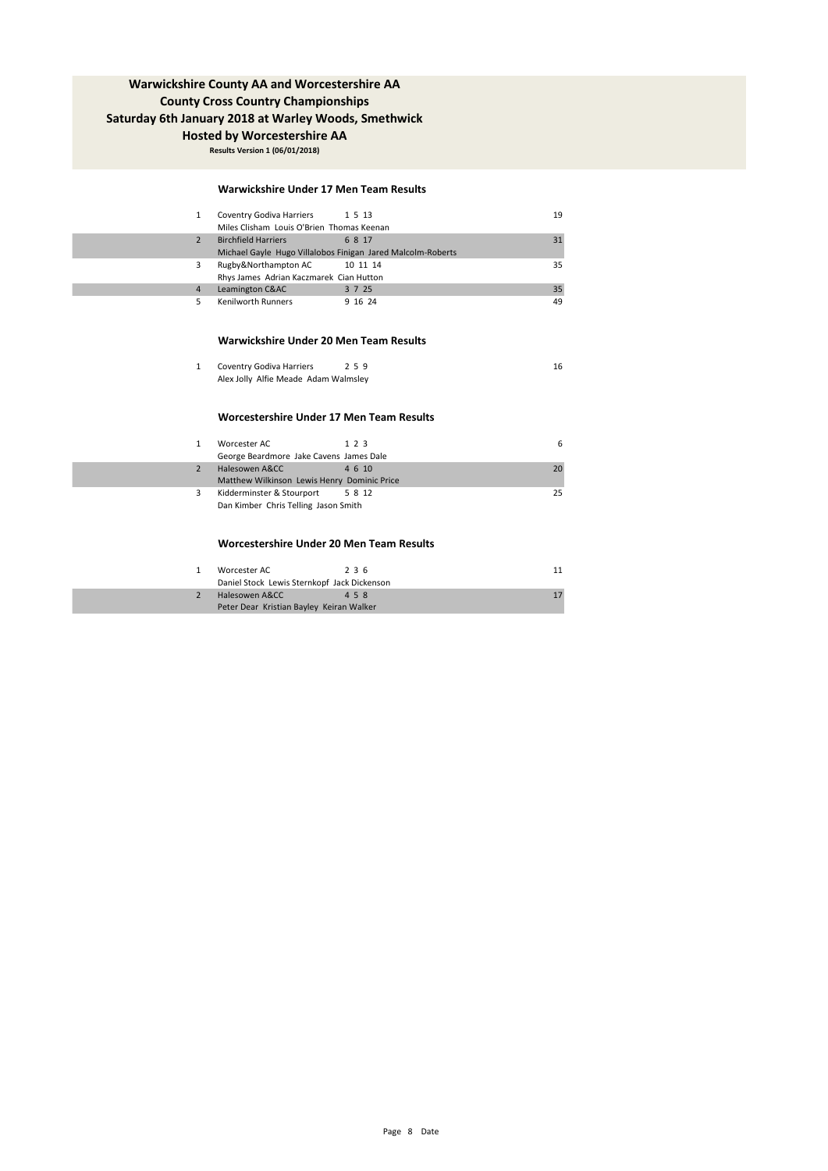**Hosted by Worcestershire AA**

**Results Version 1 (06/01/2018)**

### **Warwickshire Under 17 Men Team Results**

| Coventry Godiva Harriers 1 5 13                             |         | 19 |
|-------------------------------------------------------------|---------|----|
| Miles Clisham Louis O'Brien Thomas Keenan                   |         |    |
| <b>Birchfield Harriers</b>                                  | 6817    | 31 |
| Michael Gayle Hugo Villalobos Finigan Jared Malcolm-Roberts |         |    |
| Rugby&Northampton AC 10 11 14                               |         | 35 |
| Rhys James Adrian Kaczmarek Cian Hutton                     |         |    |
| Leamington C&AC                                             | 3 7 25  | 35 |
| Kenilworth Runners                                          | 9 16 24 | 49 |

#### **Warwickshire Under 20 Men Team Results**

| Coventry Godiva Harriers             | 259 |  |
|--------------------------------------|-----|--|
| Alex Jolly Alfie Meade Adam Walmsley |     |  |

### **Worcestershire Under 17 Men Team Results**

| 1 | Worcester AC                                | 1 2 3  | 6  |
|---|---------------------------------------------|--------|----|
|   | George Beardmore Jake Cavens James Dale     |        |    |
|   | Halesowen A&CC                              | 4 6 10 | 20 |
|   | Matthew Wilkinson Lewis Henry Dominic Price |        |    |
| 3 | Kidderminster & Stourport 5 8 12            |        | 25 |
|   | Dan Kimber Chris Telling Jason Smith        |        |    |

### **Worcestershire Under 20 Men Team Results**

| Worcester AC                                | 236 |  |  |  |  |
|---------------------------------------------|-----|--|--|--|--|
| Daniel Stock Lewis Sternkopf Jack Dickenson |     |  |  |  |  |
| Halesowen A&CC                              | 458 |  |  |  |  |
| Peter Dear Kristian Bayley Keiran Walker    |     |  |  |  |  |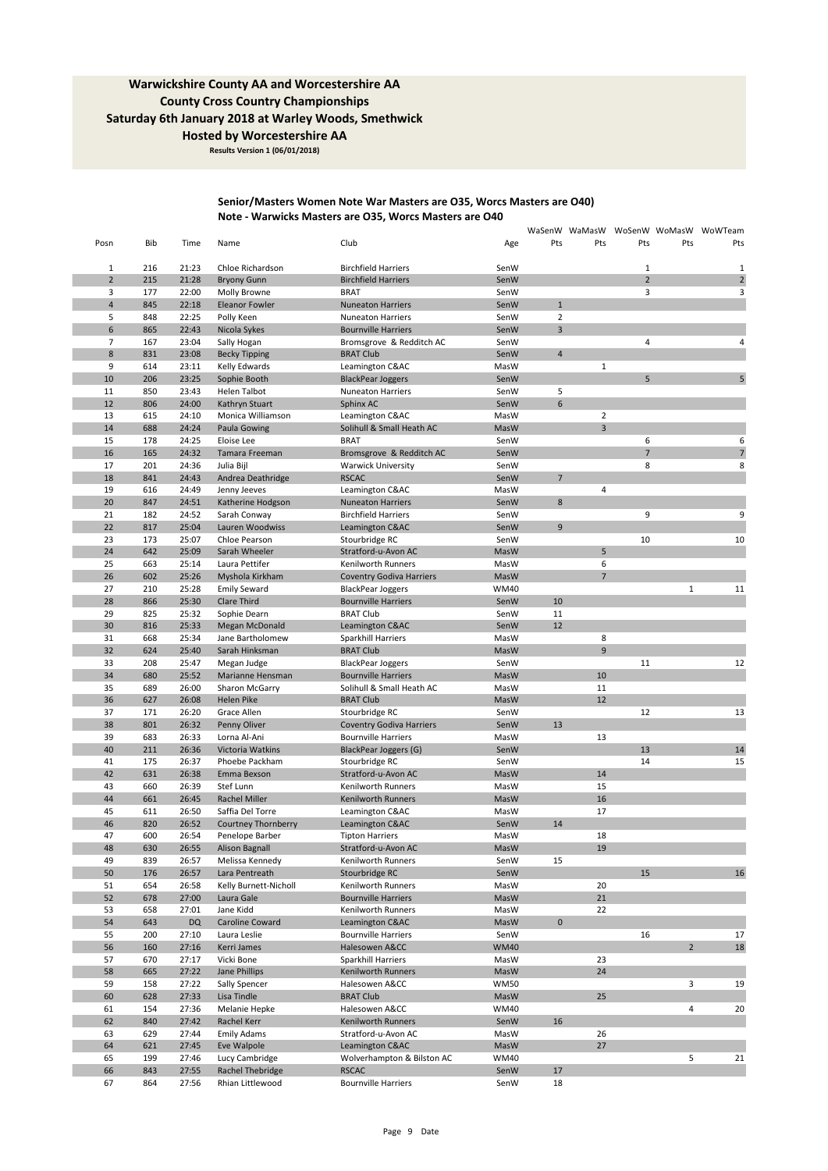**Results Version 1 (06/01/2018)**

### **Senior/Masters Women Note War Masters are O35, Worcs Masters are O40) Note - Warwicks Masters are O35, Worcs Masters are O40**

|                                |            |                |                                   |                                                     |                     |                |                |                |                | WaSenW WaMasW WoSenW WoMasW WoWTeam |
|--------------------------------|------------|----------------|-----------------------------------|-----------------------------------------------------|---------------------|----------------|----------------|----------------|----------------|-------------------------------------|
| Posn                           | Bib        | Time           | Name                              | Club                                                | Age                 | Pts            | Pts            | Pts            | Pts            | Pts                                 |
|                                | 216        | 21:23          | Chloe Richardson                  | <b>Birchfield Harriers</b>                          | SenW                |                |                | $\mathbf{1}$   |                | 1                                   |
| $\mathbf{1}$<br>$\overline{2}$ | 215        | 21:28          | <b>Bryony Gunn</b>                | <b>Birchfield Harriers</b>                          | SenW                |                |                | $\overline{2}$ |                | $\overline{\mathbf{c}}$             |
| 3                              | 177        | 22:00          | Molly Browne                      | <b>BRAT</b>                                         | SenW                |                |                | 3              |                | 3                                   |
| $\overline{\mathbf{4}}$        | 845        | 22:18          | Eleanor Fowler                    | <b>Nuneaton Harriers</b>                            | SenW                | $\mathbf{1}$   |                |                |                |                                     |
| 5                              | 848        | 22:25          | Polly Keen                        | <b>Nuneaton Harriers</b>                            | SenW                | $\overline{2}$ |                |                |                |                                     |
| 6                              | 865        | 22:43          | Nicola Sykes                      | <b>Bournville Harriers</b>                          | SenW                | 3              |                |                |                |                                     |
| $\overline{7}$                 | 167        | 23:04          | Sally Hogan                       | Bromsgrove & Redditch AC                            | SenW                |                |                | $\overline{4}$ |                | 4                                   |
| $\bf 8$                        | 831        | 23:08          | <b>Becky Tipping</b>              | <b>BRAT Club</b>                                    | SenW                | $\overline{4}$ |                |                |                |                                     |
| 9                              | 614        | 23:11          | Kelly Edwards                     | Leamington C&AC                                     | MasW                |                | $\mathbf{1}$   |                |                |                                     |
| 10                             | 206        | 23:25          | Sophie Booth                      | <b>BlackPear Joggers</b>                            | SenW                |                |                | 5              |                | 5                                   |
| 11                             | 850        | 23:43          | Helen Talbot                      | Nuneaton Harriers                                   | SenW                | 5              |                |                |                |                                     |
| 12                             | 806        | 24:00          | Kathryn Stuart                    | Sphinx AC                                           | SenW                | 6              |                |                |                |                                     |
| 13                             | 615        | 24:10          | Monica Williamson                 | Leamington C&AC                                     | MasW                |                | $\overline{2}$ |                |                |                                     |
| 14                             | 688        | 24:24          | Paula Gowing                      | Solihull & Small Heath AC                           | MasW                |                | $\overline{3}$ |                |                |                                     |
| 15                             | 178        | 24:25          | Eloise Lee                        | <b>BRAT</b>                                         | SenW                |                |                | 6              |                | 6                                   |
| 16                             | 165        | 24:32          | Tamara Freeman                    | Bromsgrove & Redditch AC                            | SenW                |                |                | $\overline{7}$ |                | $\overline{7}$                      |
| 17<br>18                       | 201        | 24:36          | Julia Bijl                        | <b>Warwick University</b>                           | SenW                | $\overline{7}$ |                | 8              |                | 8                                   |
| 19                             | 841        | 24:43<br>24:49 | Andrea Deathridge                 | <b>RSCAC</b>                                        | SenW                |                | 4              |                |                |                                     |
| 20                             | 616<br>847 | 24:51          | Jenny Jeeves<br>Katherine Hodgson | Leamington C&AC<br><b>Nuneaton Harriers</b>         | MasW<br>SenW        | $\bf 8$        |                |                |                |                                     |
| 21                             | 182        | 24:52          | Sarah Conway                      | <b>Birchfield Harriers</b>                          | SenW                |                |                | 9              |                | 9                                   |
| 22                             | 817        | 25:04          | Lauren Woodwiss                   | Leamington C&AC                                     | SenW                | $\overline{9}$ |                |                |                |                                     |
| 23                             | 173        | 25:07          | Chloe Pearson                     | Stourbridge RC                                      | SenW                |                |                | 10             |                | 10                                  |
| 24                             | 642        | 25:09          | Sarah Wheeler                     | Stratford-u-Avon AC                                 | MasW                |                | 5              |                |                |                                     |
| 25                             | 663        | 25:14          | Laura Pettifer                    | Kenilworth Runners                                  | MasW                |                | 6              |                |                |                                     |
| 26                             | 602        | 25:26          | Myshola Kirkham                   | <b>Coventry Godiva Harriers</b>                     | MasW                |                | $\overline{7}$ |                |                |                                     |
| 27                             | 210        | 25:28          | <b>Emily Seward</b>               | <b>BlackPear Joggers</b>                            | <b>WM40</b>         |                |                |                | $\mathbf 1$    | 11                                  |
| 28                             | 866        | 25:30          | Clare Third                       | <b>Bournville Harriers</b>                          | SenW                | 10             |                |                |                |                                     |
| 29                             | 825        | 25:32          | Sophie Dearn                      | <b>BRAT Club</b>                                    | SenW                | 11             |                |                |                |                                     |
| 30                             | 816        | 25:33          | Megan McDonald                    | Leamington C&AC                                     | SenW                | 12             |                |                |                |                                     |
| 31                             | 668        | 25:34          | Jane Bartholomew                  | Sparkhill Harriers                                  | MasW                |                | 8              |                |                |                                     |
| 32                             | 624        | 25:40          | Sarah Hinksman                    | <b>BRAT Club</b>                                    | MasW                |                | $\overline{9}$ |                |                |                                     |
| 33                             | 208        | 25:47          | Megan Judge                       | <b>BlackPear Joggers</b>                            | SenW                |                |                | 11             |                | 12                                  |
| 34                             | 680        | 25:52          | Marianne Hensman                  | <b>Bournville Harriers</b>                          | MasW                |                | 10             |                |                |                                     |
| 35                             | 689        | 26:00          | Sharon McGarry                    | Solihull & Small Heath AC                           | MasW                |                | 11             |                |                |                                     |
| 36                             | 627        | 26:08          | Helen Pike                        | <b>BRAT Club</b>                                    | MasW                |                | 12             |                |                |                                     |
| 37                             | 171        | 26:20          | Grace Allen                       | Stourbridge RC                                      | SenW                |                |                | 12             |                | 13                                  |
| 38                             | 801        | 26:32          | Penny Oliver                      | <b>Coventry Godiva Harriers</b>                     | SenW                | 13             |                |                |                |                                     |
| 39<br>40                       | 683<br>211 | 26:33<br>26:36 | Lorna Al-Ani<br>Victoria Watkins  | <b>Bournville Harriers</b><br>BlackPear Joggers (G) | MasW<br>SenW        |                | 13             | 13             |                | 14                                  |
| 41                             | 175        | 26:37          | Phoebe Packham                    | Stourbridge RC                                      | SenW                |                |                | 14             |                | 15                                  |
| 42                             | 631        | 26:38          | Emma Bexson                       | Stratford-u-Avon AC                                 | MasW                |                | 14             |                |                |                                     |
| 43                             | 660        | 26:39          | Stef Lunn                         | Kenilworth Runners                                  | MasW                |                | 15             |                |                |                                     |
| 44                             | 661        | 26:45          | Rachel Miller                     | Kenilworth Runners                                  | MasW                |                | 16             |                |                |                                     |
| 45                             | 611        | 26:50          | Saffia Del Torre                  | Leamington C&AC                                     | MasW                |                | 17             |                |                |                                     |
| 46                             | 820        | 26:52          | Courtney Thornberry               | Leamington C&AC                                     | SenW                | 14             |                |                |                |                                     |
| 47                             | 600        | 26:54          | Penelope Barber                   | <b>Tipton Harriers</b>                              | MasW                |                | 18             |                |                |                                     |
| 48                             | 630        | 26:55          | <b>Alison Bagnall</b>             | Stratford-u-Avon AC                                 | MasW                |                | 19             |                |                |                                     |
| 49                             | 839        | 26:57          | Melissa Kennedy                   | Kenilworth Runners                                  | SenW                | 15             |                |                |                |                                     |
| 50                             | 176        | 26:57          | Lara Pentreath                    | Stourbridge RC                                      | SenW                |                |                | 15             |                | 16                                  |
| 51                             | 654        | 26:58          | Kelly Burnett-Nicholl             | Kenilworth Runners                                  | MasW                |                | 20             |                |                |                                     |
| 52                             | 678        | 27:00          | Laura Gale                        | <b>Bournville Harriers</b>                          | MasW                |                | 21             |                |                |                                     |
| 53                             | 658        | 27:01          | Jane Kidd                         | Kenilworth Runners                                  | MasW                |                | 22             |                |                |                                     |
| 54                             | 643        | <b>DQ</b>      | Caroline Coward                   | Leamington C&AC                                     | MasW                | 0              |                |                |                |                                     |
| 55                             | 200        | 27:10          | Laura Leslie                      | <b>Bournville Harriers</b>                          | SenW                |                |                | 16             |                | 17                                  |
| 56                             | 160        | 27:16          | Kerri James                       | Halesowen A&CC                                      | <b>WM40</b>         |                |                |                | $\overline{2}$ | 18                                  |
| 57                             | 670        | 27:17          | Vicki Bone<br>Jane Phillips       | Sparkhill Harriers<br>Kenilworth Runners            | MasW                |                | 23             |                |                |                                     |
| 58<br>59                       | 665<br>158 | 27:22<br>27:22 | Sally Spencer                     | Halesowen A&CC                                      | MasW<br><b>WM50</b> |                | 24             |                | 3              | 19                                  |
| 60                             | 628        | 27:33          | Lisa Tindle                       | <b>BRAT Club</b>                                    | MasW                |                | 25             |                |                |                                     |
| 61                             | 154        | 27:36          | Melanie Hepke                     | Halesowen A&CC                                      | <b>WM40</b>         |                |                |                | 4              | 20                                  |
| 62                             | 840        | 27:42          | Rachel Kerr                       | Kenilworth Runners                                  | SenW                | 16             |                |                |                |                                     |
| 63                             | 629        | 27:44          | <b>Emily Adams</b>                | Stratford-u-Avon AC                                 | MasW                |                | 26             |                |                |                                     |
| 64                             | 621        | 27:45          | Eve Walpole                       | Leamington C&AC                                     | MasW                |                | 27             |                |                |                                     |
| 65                             | 199        | 27:46          | Lucy Cambridge                    | Wolverhampton & Bilston AC                          | <b>WM40</b>         |                |                |                | 5              | 21                                  |
| 66                             | 843        | 27:55          | Rachel Thebridge                  | <b>RSCAC</b>                                        | SenW                | 17             |                |                |                |                                     |
| 67                             | 864        | 27:56          | Rhian Littlewood                  | <b>Bournville Harriers</b>                          | SenW                | 18             |                |                |                |                                     |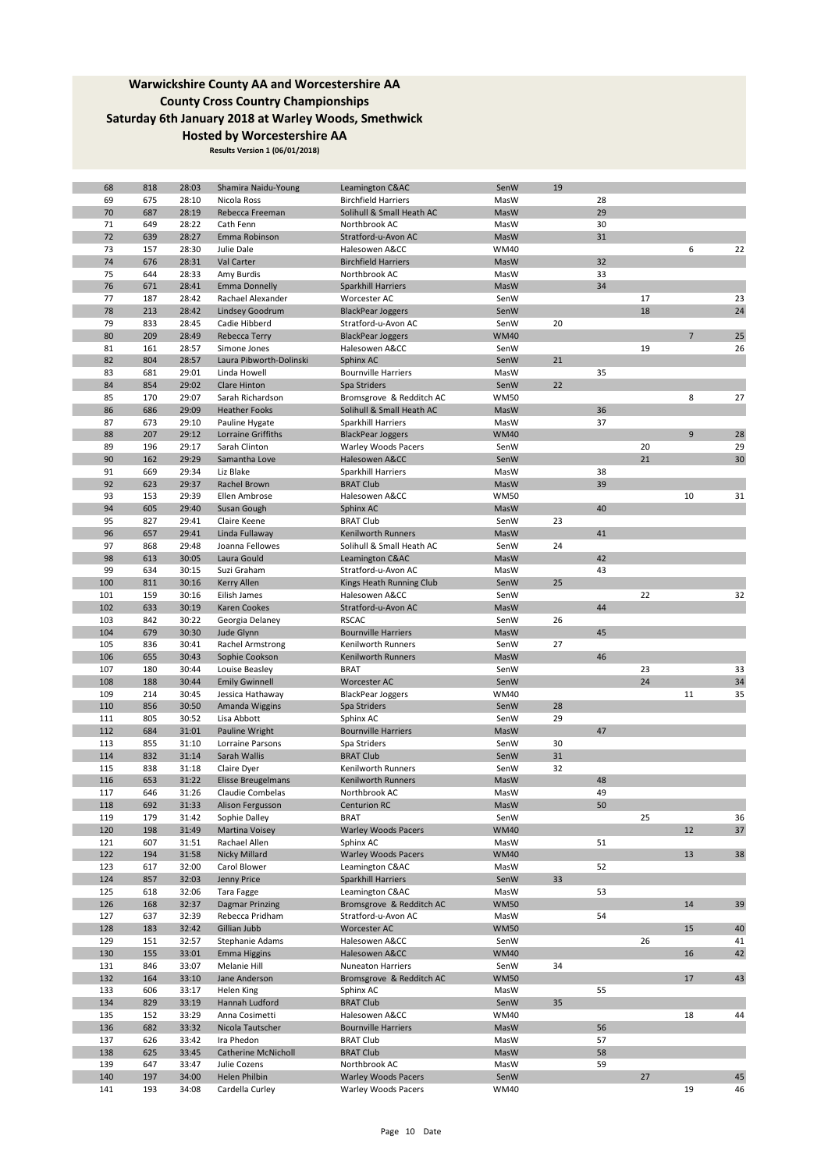| 68  | 818 | 28:03 | Shamira Naidu-Young       | Leamington C&AC            | SenW        | 19 |    |    |                |    |
|-----|-----|-------|---------------------------|----------------------------|-------------|----|----|----|----------------|----|
| 69  | 675 | 28:10 | Nicola Ross               | <b>Birchfield Harriers</b> | MasW        |    | 28 |    |                |    |
| 70  | 687 | 28:19 | Rebecca Freeman           | Solihull & Small Heath AC  | MasW        |    | 29 |    |                |    |
| 71  | 649 | 28:22 | Cath Fenn                 | Northbrook AC              | MasW        |    | 30 |    |                |    |
|     |     |       |                           |                            |             |    |    |    |                |    |
| 72  | 639 | 28:27 | Emma Robinson             | Stratford-u-Avon AC        | MasW        |    | 31 |    |                |    |
| 73  | 157 | 28:30 | Julie Dale                | Halesowen A&CC             | <b>WM40</b> |    |    |    | 6              | 22 |
| 74  | 676 | 28:31 | Val Carter                | <b>Birchfield Harriers</b> | MasW        |    | 32 |    |                |    |
|     |     |       |                           |                            |             |    |    |    |                |    |
| 75  | 644 | 28:33 | Amy Burdis                | Northbrook AC              | MasW        |    | 33 |    |                |    |
| 76  | 671 | 28:41 | <b>Emma Donnelly</b>      | Sparkhill Harriers         | MasW        |    | 34 |    |                |    |
| 77  | 187 | 28:42 | Rachael Alexander         | Worcester AC               | SenW        |    |    | 17 |                | 23 |
| 78  | 213 | 28:42 | Lindsey Goodrum           | <b>BlackPear Joggers</b>   | SenW        |    |    | 18 |                | 24 |
|     |     |       |                           |                            |             |    |    |    |                |    |
| 79  | 833 | 28:45 | Cadie Hibberd             | Stratford-u-Avon AC        | SenW        | 20 |    |    |                |    |
| 80  | 209 | 28:49 | Rebecca Terry             | <b>BlackPear Joggers</b>   | <b>WM40</b> |    |    |    | $\overline{7}$ | 25 |
| 81  | 161 | 28:57 | Simone Jones              | Halesowen A&CC             | SenW        |    |    | 19 |                | 26 |
| 82  | 804 | 28:57 | Laura Pibworth-Dolinski   |                            | SenW        | 21 |    |    |                |    |
|     |     |       |                           | Sphinx AC                  |             |    |    |    |                |    |
| 83  | 681 | 29:01 | Linda Howell              | <b>Bournville Harriers</b> | MasW        |    | 35 |    |                |    |
| 84  | 854 | 29:02 | <b>Clare Hinton</b>       | Spa Striders               | SenW        | 22 |    |    |                |    |
| 85  | 170 | 29:07 | Sarah Richardson          | Bromsgrove & Redditch AC   | <b>WM50</b> |    |    |    | 8              | 27 |
|     |     |       |                           |                            |             |    |    |    |                |    |
| 86  | 686 | 29:09 | <b>Heather Fooks</b>      | Solihull & Small Heath AC  | MasW        |    | 36 |    |                |    |
| 87  | 673 | 29:10 | Pauline Hygate            | Sparkhill Harriers         | MasW        |    | 37 |    |                |    |
| 88  | 207 | 29:12 | Lorraine Griffiths        | <b>BlackPear Joggers</b>   | <b>WM40</b> |    |    |    | 9              | 28 |
| 89  | 196 | 29:17 | Sarah Clinton             | <b>Warley Woods Pacers</b> | SenW        |    |    | 20 |                | 29 |
|     |     |       |                           |                            |             |    |    |    |                |    |
| 90  | 162 | 29:29 | Samantha Love             | Halesowen A&CC             | SenW        |    |    | 21 |                | 30 |
| 91  | 669 | 29:34 | Liz Blake                 | Sparkhill Harriers         | MasW        |    | 38 |    |                |    |
| 92  | 623 | 29:37 | Rachel Brown              | <b>BRAT Club</b>           | MasW        |    | 39 |    |                |    |
|     |     |       |                           |                            |             |    |    |    |                |    |
| 93  | 153 | 29:39 | Ellen Ambrose             | Halesowen A&CC             | <b>WM50</b> |    |    |    | 10             | 31 |
| 94  | 605 | 29:40 | Susan Gough               | Sphinx AC                  | MasW        |    | 40 |    |                |    |
| 95  | 827 | 29:41 | Claire Keene              | <b>BRAT Club</b>           | SenW        | 23 |    |    |                |    |
| 96  |     | 29:41 |                           |                            |             |    | 41 |    |                |    |
|     | 657 |       | Linda Fullaway            | Kenilworth Runners         | MasW        |    |    |    |                |    |
| 97  | 868 | 29:48 | Joanna Fellowes           | Solihull & Small Heath AC  | SenW        | 24 |    |    |                |    |
| 98  | 613 | 30:05 | Laura Gould               | Leamington C&AC            | MasW        |    | 42 |    |                |    |
| 99  | 634 | 30:15 | Suzi Graham               | Stratford-u-Avon AC        | MasW        |    | 43 |    |                |    |
|     |     |       |                           |                            |             |    |    |    |                |    |
| 100 | 811 | 30:16 | Kerry Allen               | Kings Heath Running Club   | SenW        | 25 |    |    |                |    |
| 101 | 159 | 30:16 | Eilish James              | Halesowen A&CC             | SenW        |    |    | 22 |                | 32 |
| 102 | 633 | 30:19 | Karen Cookes              | Stratford-u-Avon AC        | MasW        |    | 44 |    |                |    |
|     |     |       |                           |                            |             |    |    |    |                |    |
| 103 | 842 | 30:22 | Georgia Delaney           | <b>RSCAC</b>               | SenW        | 26 |    |    |                |    |
| 104 | 679 | 30:30 | Jude Glynn                | <b>Bournville Harriers</b> | MasW        |    | 45 |    |                |    |
| 105 | 836 | 30:41 | Rachel Armstrong          | Kenilworth Runners         | SenW        | 27 |    |    |                |    |
| 106 | 655 | 30:43 | Sophie Cookson            | Kenilworth Runners         | MasW        |    | 46 |    |                |    |
|     |     |       |                           |                            |             |    |    |    |                |    |
| 107 | 180 | 30:44 | Louise Beasley            | <b>BRAT</b>                | SenW        |    |    | 23 |                | 33 |
| 108 | 188 | 30:44 | <b>Emily Gwinnell</b>     | <b>Worcester AC</b>        | SenW        |    |    | 24 |                | 34 |
| 109 | 214 | 30:45 | Jessica Hathaway          | <b>BlackPear Joggers</b>   | <b>WM40</b> |    |    |    | 11             | 35 |
| 110 |     |       |                           |                            |             | 28 |    |    |                |    |
|     | 856 | 30:50 | Amanda Wiggins            | Spa Striders               | SenW        |    |    |    |                |    |
| 111 | 805 | 30:52 | Lisa Abbott               | Sphinx AC                  | SenW        | 29 |    |    |                |    |
| 112 | 684 | 31:01 | Pauline Wright            | <b>Bournville Harriers</b> | MasW        |    | 47 |    |                |    |
| 113 | 855 | 31:10 | Lorraine Parsons          | Spa Striders               | SenW        | 30 |    |    |                |    |
|     |     |       |                           |                            |             |    |    |    |                |    |
| 114 | 832 | 31:14 | Sarah Wallis              | <b>BRAT Club</b>           | SenW        | 31 |    |    |                |    |
| 115 | 838 | 31:18 | Claire Dyer               | Kenilworth Runners         | SenW        | 32 |    |    |                |    |
| 116 | 653 | 31:22 | <b>Elisse Breugelmans</b> | <b>Kenilworth Runners</b>  | MasW        |    | 48 |    |                |    |
| 117 | 646 | 31:26 |                           | Northbrook AC              | MasW        |    | 49 |    |                |    |
|     |     |       | Claudie Combelas          |                            |             |    |    |    |                |    |
| 118 | 692 | 31:33 | Alison Fergusson          | <b>Centurion RC</b>        | MasW        |    | 50 |    |                |    |
| 119 | 179 | 31:42 | Sophie Dalley             | <b>BRAT</b>                | SenW        |    |    | 25 |                | 36 |
| 120 | 198 | 31:49 | Martina Voisey            | <b>Warley Woods Pacers</b> | <b>WM40</b> |    |    |    | 12             | 37 |
|     |     |       |                           |                            |             |    |    |    |                |    |
| 121 | 607 | 31:51 | Rachael Allen             | Sphinx AC                  | MasW        |    | 51 |    |                |    |
| 122 | 194 | 31:58 | Nicky Millard             | <b>Warley Woods Pacers</b> | <b>WM40</b> |    |    |    | 13             | 38 |
| 123 | 617 | 32:00 | Carol Blower              | Leamington C&AC            | MasW        |    | 52 |    |                |    |
| 124 | 857 | 32:03 | Jenny Price               | Sparkhill Harriers         | SenW        | 33 |    |    |                |    |
|     |     |       |                           |                            |             |    |    |    |                |    |
| 125 | 618 | 32:06 | Tara Fagge                | Leamington C&AC            | MasW        |    | 53 |    |                |    |
| 126 | 168 | 32:37 | <b>Dagmar Prinzing</b>    | Bromsgrove & Redditch AC   | <b>WM50</b> |    |    |    | 14             | 39 |
| 127 | 637 | 32:39 | Rebecca Pridham           | Stratford-u-Avon AC        | MasW        |    | 54 |    |                |    |
| 128 | 183 | 32:42 | Gillian Jubb              | Worcester AC               | <b>WM50</b> |    |    |    | 15             | 40 |
|     |     |       |                           |                            |             |    |    |    |                |    |
| 129 | 151 | 32:57 | Stephanie Adams           | Halesowen A&CC             | SenW        |    |    | 26 |                | 41 |
| 130 | 155 | 33:01 | <b>Emma Higgins</b>       | Halesowen A&CC             | <b>WM40</b> |    |    |    | 16             | 42 |
| 131 | 846 | 33:07 | Melanie Hill              | Nuneaton Harriers          | SenW        | 34 |    |    |                |    |
| 132 | 164 | 33:10 | Jane Anderson             | Bromsgrove & Redditch AC   | <b>WM50</b> |    |    |    | 17             | 43 |
|     |     |       |                           |                            |             |    |    |    |                |    |
| 133 | 606 | 33:17 | Helen King                | Sphinx AC                  | MasW        |    | 55 |    |                |    |
| 134 | 829 | 33:19 | Hannah Ludford            | <b>BRAT Club</b>           | SenW        | 35 |    |    |                |    |
| 135 | 152 | 33:29 | Anna Cosimetti            | Halesowen A&CC             | <b>WM40</b> |    |    |    | 18             | 44 |
|     |     |       |                           |                            |             |    | 56 |    |                |    |
| 136 | 682 | 33:32 | Nicola Tautscher          | <b>Bournville Harriers</b> | MasW        |    |    |    |                |    |
| 137 | 626 | 33:42 | Ira Phedon                | <b>BRAT Club</b>           | MasW        |    | 57 |    |                |    |
| 138 | 625 | 33:45 | Catherine McNicholl       | <b>BRAT Club</b>           | MasW        |    | 58 |    |                |    |
| 139 | 647 | 33:47 | Julie Cozens              | Northbrook AC              | MasW        |    | 59 |    |                |    |
|     |     |       |                           |                            |             |    |    |    |                |    |
| 140 | 197 | 34:00 | Helen Philbin             | <b>Warley Woods Pacers</b> | SenW        |    |    | 27 |                | 45 |
| 141 | 193 | 34:08 | Cardella Curley           | <b>Warley Woods Pacers</b> | <b>WM40</b> |    |    |    | 19             | 46 |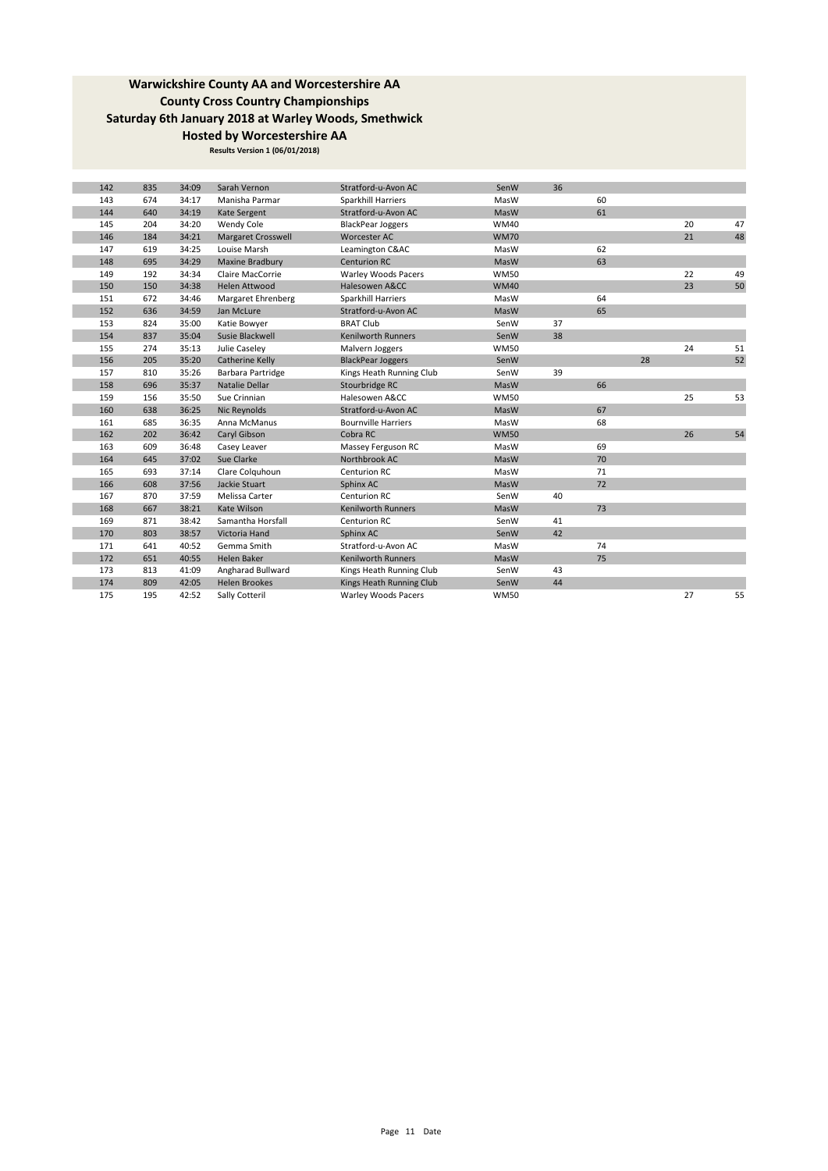| 142 | 835 | 34:09 | Sarah Vernon              | Stratford-u-Avon AC        | SenW        | 36 |    |    |    |    |
|-----|-----|-------|---------------------------|----------------------------|-------------|----|----|----|----|----|
| 143 | 674 | 34:17 | Manisha Parmar            | Sparkhill Harriers         | MasW        |    | 60 |    |    |    |
| 144 | 640 | 34:19 | Kate Sergent              | Stratford-u-Avon AC        | MasW        |    | 61 |    |    |    |
| 145 | 204 | 34:20 | Wendy Cole                | <b>BlackPear Joggers</b>   | <b>WM40</b> |    |    |    | 20 | 47 |
| 146 | 184 | 34:21 | <b>Margaret Crosswell</b> | Worcester AC               | <b>WM70</b> |    |    |    | 21 | 48 |
| 147 | 619 | 34:25 | Louise Marsh              | Leamington C&AC            | MasW        |    | 62 |    |    |    |
| 148 | 695 | 34:29 | Maxine Bradbury           | <b>Centurion RC</b>        | MasW        |    | 63 |    |    |    |
| 149 | 192 | 34:34 | Claire MacCorrie          | <b>Warley Woods Pacers</b> | <b>WM50</b> |    |    |    | 22 | 49 |
| 150 | 150 | 34:38 | <b>Helen Attwood</b>      | Halesowen A&CC             | <b>WM40</b> |    |    |    | 23 | 50 |
| 151 | 672 | 34:46 | Margaret Ehrenberg        | Sparkhill Harriers         | MasW        |    | 64 |    |    |    |
| 152 | 636 | 34:59 | Jan McLure                | Stratford-u-Avon AC        | MasW        |    | 65 |    |    |    |
| 153 | 824 | 35:00 | Katie Bowyer              | <b>BRAT Club</b>           | SenW        | 37 |    |    |    |    |
| 154 | 837 | 35:04 | Susie Blackwell           | Kenilworth Runners         | SenW        | 38 |    |    |    |    |
| 155 | 274 | 35:13 | Julie Caseley             | Malvern Joggers            | <b>WM50</b> |    |    |    | 24 | 51 |
| 156 | 205 | 35:20 | Catherine Kelly           | <b>BlackPear Joggers</b>   | SenW        |    |    | 28 |    | 52 |
| 157 | 810 | 35:26 | Barbara Partridge         | Kings Heath Running Club   | SenW        | 39 |    |    |    |    |
| 158 | 696 | 35:37 | Natalie Dellar            | Stourbridge RC             | MasW        |    | 66 |    |    |    |
| 159 | 156 | 35:50 | Sue Crinnian              | Halesowen A&CC             | <b>WM50</b> |    |    |    | 25 | 53 |
| 160 | 638 | 36:25 | Nic Reynolds              | Stratford-u-Avon AC        | MasW        |    | 67 |    |    |    |
| 161 | 685 | 36:35 | Anna McManus              | <b>Bournville Harriers</b> | MasW        |    | 68 |    |    |    |
| 162 | 202 | 36:42 | Caryl Gibson              | Cobra RC                   | <b>WM50</b> |    |    |    | 26 | 54 |
| 163 | 609 | 36:48 | Casey Leaver              | Massey Ferguson RC         | MasW        |    | 69 |    |    |    |
| 164 | 645 | 37:02 | Sue Clarke                | Northbrook AC              | MasW        |    | 70 |    |    |    |
| 165 | 693 | 37:14 | Clare Colquhoun           | Centurion RC               | MasW        |    | 71 |    |    |    |
| 166 | 608 | 37:56 | Jackie Stuart             | Sphinx AC                  | MasW        |    | 72 |    |    |    |
| 167 | 870 | 37:59 | Melissa Carter            | Centurion RC               | SenW        | 40 |    |    |    |    |
| 168 | 667 | 38:21 | Kate Wilson               | <b>Kenilworth Runners</b>  | MasW        |    | 73 |    |    |    |
| 169 | 871 | 38:42 | Samantha Horsfall         | Centurion RC               | SenW        | 41 |    |    |    |    |
| 170 | 803 | 38:57 | Victoria Hand             | Sphinx AC                  | SenW        | 42 |    |    |    |    |
| 171 | 641 | 40:52 | Gemma Smith               | Stratford-u-Avon AC        | MasW        |    | 74 |    |    |    |
| 172 | 651 | 40:55 | <b>Helen Baker</b>        | <b>Kenilworth Runners</b>  | MasW        |    | 75 |    |    |    |
| 173 | 813 | 41:09 | Angharad Bullward         | Kings Heath Running Club   | SenW        | 43 |    |    |    |    |
| 174 | 809 | 42:05 | <b>Helen Brookes</b>      | Kings Heath Running Club   | SenW        | 44 |    |    |    |    |
| 175 | 195 | 42:52 | Sally Cotteril            | <b>Warley Woods Pacers</b> | <b>WM50</b> |    |    |    | 27 | 55 |
|     |     |       |                           |                            |             |    |    |    |    |    |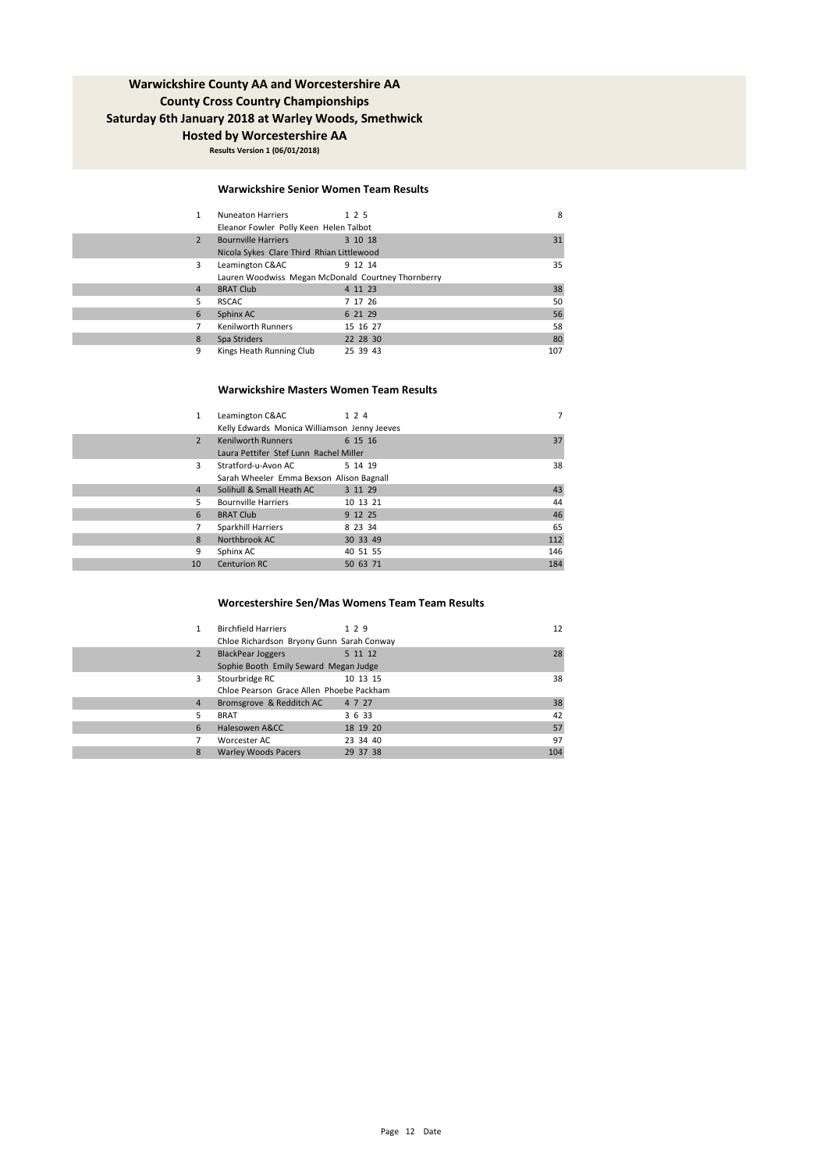**Results Version 1 (06/01/2018)**

#### **Warwickshire Senior Women Team Results**

| 1              | <b>Nuneaton Harriers</b>                           | 1 2 5    | 8   |
|----------------|----------------------------------------------------|----------|-----|
|                | Eleanor Fowler Polly Keen Helen Talbot             |          |     |
| $\overline{2}$ | <b>Bournville Harriers</b>                         | 3 10 18  | 31  |
|                | Nicola Sykes Clare Third Rhian Littlewood          |          |     |
| 3              | Leamington C&AC                                    | 9 12 14  | 35  |
|                | Lauren Woodwiss Megan McDonald Courtney Thornberry |          |     |
| 4              | <b>BRAT Club</b>                                   | 4 11 23  | 38  |
| 5              | <b>RSCAC</b>                                       | 7 17 26  | 50  |
| 6              | Sphinx AC                                          | 6 21 29  | 56  |
| 7              | <b>Kenilworth Runners</b>                          | 15 16 27 | 58  |
| 8              | Spa Striders                                       | 22 28 30 | 80  |
| 9              | Kings Heath Running Club                           | 25 39 43 | 107 |

#### **Warwickshire Masters Women Team Results**

| $\mathbf{1}$   | Leamington C&AC                              | 1 2 4    | 7   |
|----------------|----------------------------------------------|----------|-----|
|                | Kelly Edwards Monica Williamson Jenny Jeeves |          |     |
| $\overline{2}$ | <b>Kenilworth Runners</b>                    | 6 15 16  | 37  |
|                | Laura Pettifer Stef Lunn Rachel Miller       |          |     |
| $\mathbf{R}$   | Stratford-u-Avon AC                          | 5 14 19  | 38  |
|                | Sarah Wheeler Emma Bexson Alison Bagnall     |          |     |
| 4              | Solihull & Small Heath AC                    | 3 11 29  | 43  |
| 5              | <b>Bournville Harriers</b>                   | 10 13 21 | 44  |
| 6              | <b>BRAT Club</b>                             | 9 12 25  | 46  |
|                | Sparkhill Harriers                           | 8 23 34  | 65  |
| 8              | Northbrook AC                                | 30 33 49 | 112 |
| 9              | Sphinx AC                                    | 40 51 55 | 146 |
| 10             | <b>Centurion RC</b>                          | 50 63 71 | 184 |
|                |                                              |          |     |

### **Worcestershire Sen/Mas Womens Team Team Results**

| 1              | <b>Birchfield Harriers</b><br>Chloe Richardson Bryony Gunn Sarah Conway | 129      | 12  |
|----------------|-------------------------------------------------------------------------|----------|-----|
| $\overline{2}$ | <b>BlackPear Joggers</b><br>Sophie Booth Emily Seward Megan Judge       | 5 11 12  | 28  |
| 3              | Stourbridge RC<br>Chloe Pearson Grace Allen Phoebe Packham              | 10 13 15 | 38  |
| 4              | Bromsgrove & Redditch AC                                                | 4 7 27   | 38  |
| 5              | <b>BRAT</b>                                                             | 3 6 33   | 42  |
| 6              | Halesowen A&CC                                                          | 18 19 20 | 57  |
|                | Worcester AC                                                            | 23 34 40 | 97  |
| 8              | <b>Warley Woods Pacers</b>                                              | 29 37 38 | 104 |
|                |                                                                         |          |     |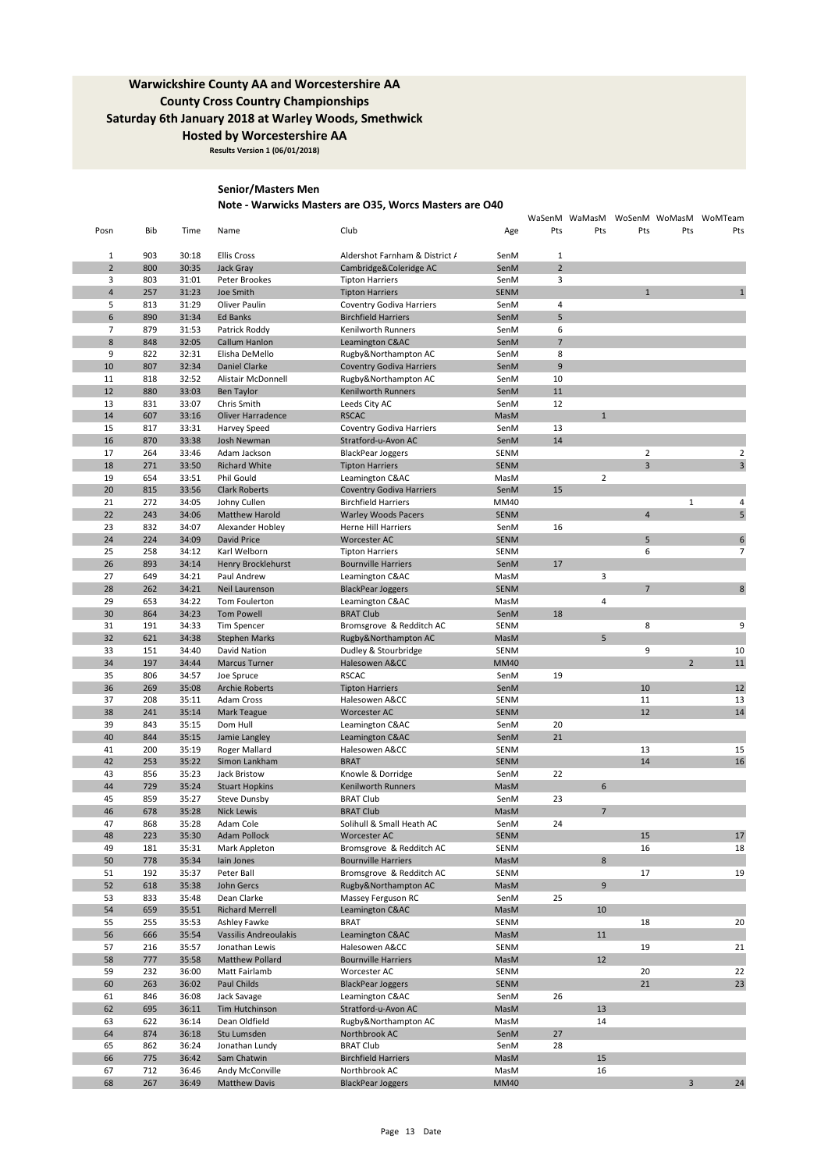**Results Version 1 (06/01/2018)**

### **Senior/Masters Men**

## **Note - Warwicks Masters are O35, Worcs Masters are O40**

| Pts<br>Bib<br>Club<br>Pts<br>Pts<br>Pts<br>Posn<br>Time<br>Name<br>Age<br>903<br>$1\,$<br>30:18<br><b>Ellis Cross</b><br>Aldershot Farnham & District /<br>SenM<br>$\mathbf 1$<br>$\overline{2}$<br>$\overline{2}$<br>800<br>30:35<br>Jack Gray<br>Cambridge&Coleridge AC<br>SenM<br>3<br>3<br>803<br>31:01<br>Peter Brookes<br>SenM<br><b>Tipton Harriers</b><br>$\overline{4}$<br>257<br>$\overline{1}$<br>31:23<br>Joe Smith<br><b>Tipton Harriers</b><br><b>SENM</b><br>5<br>813<br>31:29<br>Oliver Paulin<br><b>Coventry Godiva Harriers</b><br>SenM<br>4<br>5<br>6<br>890<br>31:34<br><b>Ed Banks</b><br>SenM<br><b>Birchfield Harriers</b><br>$\overline{7}$<br>6<br>879<br>31:53<br>SenM<br>Patrick Roddy<br>Kenilworth Runners<br>$\overline{7}$<br>$\bf 8$<br>848<br>32:05<br>Callum Hanlon<br>Leamington C&AC<br>SenM<br>9<br>8<br>822<br>32:31<br>SenM<br>Elisha DeMello<br>Rugby&Northampton AC<br>9<br>10<br>807<br>32:34<br>Daniel Clarke<br><b>Coventry Godiva Harriers</b><br>SenM<br>32:52<br>10<br>11<br>818<br>Alistair McDonnell<br>Rugby&Northampton AC<br>SenM<br>11<br>12<br>880<br>33:03<br><b>Ben Taylor</b><br>Kenilworth Runners<br>SenM<br>13<br>33:07<br>12<br>831<br>Chris Smith<br>Leeds City AC<br>SenM<br>14<br>607<br>33:16<br><b>Oliver Harradence</b><br><b>RSCAC</b><br>MasM<br>$\mathbf{1}$<br>15<br>817<br>33:31<br><b>Coventry Godiva Harriers</b><br>SenM<br>13<br>Harvey Speed<br>16<br>14<br>870<br>33:38<br>SenM<br>Josh Newman<br>Stratford-u-Avon AC<br>$\overline{2}$<br>17<br>264<br>33:46<br>SENM<br>Adam Jackson<br><b>BlackPear Joggers</b><br>$\overline{3}$<br>18<br>271<br>33:50<br><b>Richard White</b><br><b>SENM</b><br><b>Tipton Harriers</b><br>$\overline{2}$<br>19<br>654<br>33:51<br>Phil Gould<br>Leamington C&AC<br>MasM<br>15<br>20<br>815<br>33:56<br><b>Clark Roberts</b><br>SenM<br><b>Coventry Godiva Harriers</b><br>$\mathbf 1$<br>21<br>272<br>34:05<br><b>Birchfield Harriers</b><br>MM40<br>Johny Cullen<br>22<br>243<br>34:06<br><b>SENM</b><br>$\overline{4}$<br>Matthew Harold<br><b>Warley Woods Pacers</b><br>23<br>832<br>34:07<br>16<br>Alexander Hobley<br><b>Herne Hill Harriers</b><br>SenM<br>34:09<br>5<br>24<br>224<br>David Price<br><b>SENM</b><br>Worcester AC<br>25<br>6<br>258<br>34:12<br>Karl Welborn<br><b>SENM</b><br><b>Tipton Harriers</b><br>26<br>893<br>34:14<br>Henry Brocklehurst<br><b>Bournville Harriers</b><br>SenM<br>17<br>3<br>27<br>649<br>34:21<br>Paul Andrew<br>Leamington C&AC<br>MasM<br>28<br>262<br>34:21<br>$\overline{7}$<br>Neil Laurenson<br><b>BlackPear Joggers</b><br><b>SENM</b><br>29<br>653<br>34:22<br>Leamington C&AC<br>MasM<br>4<br>Tom Foulerton<br>30<br>864<br>34:23<br><b>Tom Powell</b><br><b>BRAT Club</b><br>SenM<br>18<br>31<br>191<br>34:33<br>Bromsgrove & Redditch AC<br>SENM<br>8<br>Tim Spencer<br>32<br>5<br>621<br>34:38<br>Rugby&Northampton AC<br>MasM<br><b>Stephen Marks</b><br>33<br>151<br>34:40<br>David Nation<br>SENM<br>9<br>Dudley & Stourbridge<br>34<br>197<br>$\overline{2}$<br>34:44<br>Marcus Turner<br>Halesowen A&CC<br><b>MM40</b><br>35<br>806<br>34:57<br><b>RSCAC</b><br>19<br>Joe Spruce<br>SenM<br>36<br>269<br>35:08<br>10<br><b>Archie Roberts</b><br><b>Tipton Harriers</b><br>SenM<br>37<br>208<br>35:11<br>Halesowen A&CC<br>SENM<br>11<br>Adam Cross<br>38<br>35:14<br><b>SENM</b><br>12<br>241<br>Mark Teague<br>Worcester AC<br>39<br>35:15<br>843<br>Dom Hull<br>Leamington C&AC<br>SenM<br>20<br>40<br>844<br>21<br>35:15<br>Jamie Langley<br>Leamington C&AC<br>SenM<br>41<br>200<br>35:19<br>Halesowen A&CC<br>SENM<br>13<br>Roger Mallard<br>14<br>42<br>253<br>35:22<br>Simon Lankham<br><b>BRAT</b><br><b>SENM</b><br>43<br>856<br>35:23<br>Knowle & Dorridge<br>SenM<br>22<br>Jack Bristow<br>44<br>6<br>729<br>35:24<br><b>Stuart Hopkins</b><br>Kenilworth Runners<br>MasM<br>45<br>859<br>35:27<br><b>BRAT Club</b><br>SenM<br>23<br><b>Steve Dunsby</b><br>$\overline{7}$<br>46<br>678<br>35:28<br><b>Nick Lewis</b><br><b>BRAT Club</b><br>MasM<br>47<br>868<br>35:28<br>Adam Cole<br>Solihull & Small Heath AC<br>SenM<br>24<br>48<br>35:30<br>223<br><b>Adam Pollock</b><br><b>Worcester AC</b><br><b>SENM</b><br>15<br>49<br>181<br>35:31<br>Mark Appleton<br>Bromsgrove & Redditch AC<br>SENM<br>16<br>50<br><b>Bournville Harriers</b><br>8<br>778<br>35:34<br>lain Jones<br>MasM<br>35:37<br>SENM<br>17<br>51<br>192<br>Peter Ball<br>Bromsgrove & Redditch AC<br>9<br>52<br>618<br>35:38<br>John Gercs<br>Rugby&Northampton AC<br>MasM<br>25<br>53<br>833<br>35:48<br>Dean Clarke<br>Massey Ferguson RC<br>SenM<br>54<br>10<br>659<br>35:51<br><b>Richard Merrell</b><br>Leamington C&AC<br>MasM<br>55<br>255<br>35:53<br>Ashley Fawke<br><b>BRAT</b><br>SENM<br>18<br>56<br>$11\,$<br>666<br>35:54<br><b>Vassilis Andreoulakis</b><br>Leamington C&AC<br>MasM<br>57<br>216<br>35:57<br>Jonathan Lewis<br>Halesowen A&CC<br>SENM<br>19<br>58<br>12<br>777<br>35:58<br>Matthew Pollard<br><b>Bournville Harriers</b><br>MasM<br>232<br>36:00<br>Worcester AC<br>SENM<br>20 |
|-----------------------------------------------------------------------------------------------------------------------------------------------------------------------------------------------------------------------------------------------------------------------------------------------------------------------------------------------------------------------------------------------------------------------------------------------------------------------------------------------------------------------------------------------------------------------------------------------------------------------------------------------------------------------------------------------------------------------------------------------------------------------------------------------------------------------------------------------------------------------------------------------------------------------------------------------------------------------------------------------------------------------------------------------------------------------------------------------------------------------------------------------------------------------------------------------------------------------------------------------------------------------------------------------------------------------------------------------------------------------------------------------------------------------------------------------------------------------------------------------------------------------------------------------------------------------------------------------------------------------------------------------------------------------------------------------------------------------------------------------------------------------------------------------------------------------------------------------------------------------------------------------------------------------------------------------------------------------------------------------------------------------------------------------------------------------------------------------------------------------------------------------------------------------------------------------------------------------------------------------------------------------------------------------------------------------------------------------------------------------------------------------------------------------------------------------------------------------------------------------------------------------------------------------------------------------------------------------------------------------------------------------------------------------------------------------------------------------------------------------------------------------------------------------------------------------------------------------------------------------------------------------------------------------------------------------------------------------------------------------------------------------------------------------------------------------------------------------------------------------------------------------------------------------------------------------------------------------------------------------------------------------------------------------------------------------------------------------------------------------------------------------------------------------------------------------------------------------------------------------------------------------------------------------------------------------------------------------------------------------------------------------------------------------------------------------------------------------------------------------------------------------------------------------------------------------------------------------------------------------------------------------------------------------------------------------------------------------------------------------------------------------------------------------------------------------------------------------------------------------------------------------------------------------------------------------------------------------------------------------------------------------------------------------------------------------------------------------------------------------------------------------------------------------------------------------------------------------------------------------------------------------------------------------------------------------------------------------------------------------------------------------------------------------------------------------------------------------------------------------------------------------------------------------------------------------------------------------------------------------------------------------------------------------------------------------------------------------------------------------------------------------------------------------------------------------------------|
|                                                                                                                                                                                                                                                                                                                                                                                                                                                                                                                                                                                                                                                                                                                                                                                                                                                                                                                                                                                                                                                                                                                                                                                                                                                                                                                                                                                                                                                                                                                                                                                                                                                                                                                                                                                                                                                                                                                                                                                                                                                                                                                                                                                                                                                                                                                                                                                                                                                                                                                                                                                                                                                                                                                                                                                                                                                                                                                                                                                                                                                                                                                                                                                                                                                                                                                                                                                                                                                                                                                                                                                                                                                                                                                                                                                                                                                                                                                                                                                                                                                                                                                                                                                                                                                                                                                                                                                                                                                                                                                                                                                                                                                                                                                                                                                                                                                                                                                                                                                                                                                                                   |
|                                                                                                                                                                                                                                                                                                                                                                                                                                                                                                                                                                                                                                                                                                                                                                                                                                                                                                                                                                                                                                                                                                                                                                                                                                                                                                                                                                                                                                                                                                                                                                                                                                                                                                                                                                                                                                                                                                                                                                                                                                                                                                                                                                                                                                                                                                                                                                                                                                                                                                                                                                                                                                                                                                                                                                                                                                                                                                                                                                                                                                                                                                                                                                                                                                                                                                                                                                                                                                                                                                                                                                                                                                                                                                                                                                                                                                                                                                                                                                                                                                                                                                                                                                                                                                                                                                                                                                                                                                                                                                                                                                                                                                                                                                                                                                                                                                                                                                                                                                                                                                                                                   |
|                                                                                                                                                                                                                                                                                                                                                                                                                                                                                                                                                                                                                                                                                                                                                                                                                                                                                                                                                                                                                                                                                                                                                                                                                                                                                                                                                                                                                                                                                                                                                                                                                                                                                                                                                                                                                                                                                                                                                                                                                                                                                                                                                                                                                                                                                                                                                                                                                                                                                                                                                                                                                                                                                                                                                                                                                                                                                                                                                                                                                                                                                                                                                                                                                                                                                                                                                                                                                                                                                                                                                                                                                                                                                                                                                                                                                                                                                                                                                                                                                                                                                                                                                                                                                                                                                                                                                                                                                                                                                                                                                                                                                                                                                                                                                                                                                                                                                                                                                                                                                                                                                   |
|                                                                                                                                                                                                                                                                                                                                                                                                                                                                                                                                                                                                                                                                                                                                                                                                                                                                                                                                                                                                                                                                                                                                                                                                                                                                                                                                                                                                                                                                                                                                                                                                                                                                                                                                                                                                                                                                                                                                                                                                                                                                                                                                                                                                                                                                                                                                                                                                                                                                                                                                                                                                                                                                                                                                                                                                                                                                                                                                                                                                                                                                                                                                                                                                                                                                                                                                                                                                                                                                                                                                                                                                                                                                                                                                                                                                                                                                                                                                                                                                                                                                                                                                                                                                                                                                                                                                                                                                                                                                                                                                                                                                                                                                                                                                                                                                                                                                                                                                                                                                                                                                                   |
|                                                                                                                                                                                                                                                                                                                                                                                                                                                                                                                                                                                                                                                                                                                                                                                                                                                                                                                                                                                                                                                                                                                                                                                                                                                                                                                                                                                                                                                                                                                                                                                                                                                                                                                                                                                                                                                                                                                                                                                                                                                                                                                                                                                                                                                                                                                                                                                                                                                                                                                                                                                                                                                                                                                                                                                                                                                                                                                                                                                                                                                                                                                                                                                                                                                                                                                                                                                                                                                                                                                                                                                                                                                                                                                                                                                                                                                                                                                                                                                                                                                                                                                                                                                                                                                                                                                                                                                                                                                                                                                                                                                                                                                                                                                                                                                                                                                                                                                                                                                                                                                                                   |
|                                                                                                                                                                                                                                                                                                                                                                                                                                                                                                                                                                                                                                                                                                                                                                                                                                                                                                                                                                                                                                                                                                                                                                                                                                                                                                                                                                                                                                                                                                                                                                                                                                                                                                                                                                                                                                                                                                                                                                                                                                                                                                                                                                                                                                                                                                                                                                                                                                                                                                                                                                                                                                                                                                                                                                                                                                                                                                                                                                                                                                                                                                                                                                                                                                                                                                                                                                                                                                                                                                                                                                                                                                                                                                                                                                                                                                                                                                                                                                                                                                                                                                                                                                                                                                                                                                                                                                                                                                                                                                                                                                                                                                                                                                                                                                                                                                                                                                                                                                                                                                                                                   |
|                                                                                                                                                                                                                                                                                                                                                                                                                                                                                                                                                                                                                                                                                                                                                                                                                                                                                                                                                                                                                                                                                                                                                                                                                                                                                                                                                                                                                                                                                                                                                                                                                                                                                                                                                                                                                                                                                                                                                                                                                                                                                                                                                                                                                                                                                                                                                                                                                                                                                                                                                                                                                                                                                                                                                                                                                                                                                                                                                                                                                                                                                                                                                                                                                                                                                                                                                                                                                                                                                                                                                                                                                                                                                                                                                                                                                                                                                                                                                                                                                                                                                                                                                                                                                                                                                                                                                                                                                                                                                                                                                                                                                                                                                                                                                                                                                                                                                                                                                                                                                                                                                   |
|                                                                                                                                                                                                                                                                                                                                                                                                                                                                                                                                                                                                                                                                                                                                                                                                                                                                                                                                                                                                                                                                                                                                                                                                                                                                                                                                                                                                                                                                                                                                                                                                                                                                                                                                                                                                                                                                                                                                                                                                                                                                                                                                                                                                                                                                                                                                                                                                                                                                                                                                                                                                                                                                                                                                                                                                                                                                                                                                                                                                                                                                                                                                                                                                                                                                                                                                                                                                                                                                                                                                                                                                                                                                                                                                                                                                                                                                                                                                                                                                                                                                                                                                                                                                                                                                                                                                                                                                                                                                                                                                                                                                                                                                                                                                                                                                                                                                                                                                                                                                                                                                                   |
|                                                                                                                                                                                                                                                                                                                                                                                                                                                                                                                                                                                                                                                                                                                                                                                                                                                                                                                                                                                                                                                                                                                                                                                                                                                                                                                                                                                                                                                                                                                                                                                                                                                                                                                                                                                                                                                                                                                                                                                                                                                                                                                                                                                                                                                                                                                                                                                                                                                                                                                                                                                                                                                                                                                                                                                                                                                                                                                                                                                                                                                                                                                                                                                                                                                                                                                                                                                                                                                                                                                                                                                                                                                                                                                                                                                                                                                                                                                                                                                                                                                                                                                                                                                                                                                                                                                                                                                                                                                                                                                                                                                                                                                                                                                                                                                                                                                                                                                                                                                                                                                                                   |
|                                                                                                                                                                                                                                                                                                                                                                                                                                                                                                                                                                                                                                                                                                                                                                                                                                                                                                                                                                                                                                                                                                                                                                                                                                                                                                                                                                                                                                                                                                                                                                                                                                                                                                                                                                                                                                                                                                                                                                                                                                                                                                                                                                                                                                                                                                                                                                                                                                                                                                                                                                                                                                                                                                                                                                                                                                                                                                                                                                                                                                                                                                                                                                                                                                                                                                                                                                                                                                                                                                                                                                                                                                                                                                                                                                                                                                                                                                                                                                                                                                                                                                                                                                                                                                                                                                                                                                                                                                                                                                                                                                                                                                                                                                                                                                                                                                                                                                                                                                                                                                                                                   |
|                                                                                                                                                                                                                                                                                                                                                                                                                                                                                                                                                                                                                                                                                                                                                                                                                                                                                                                                                                                                                                                                                                                                                                                                                                                                                                                                                                                                                                                                                                                                                                                                                                                                                                                                                                                                                                                                                                                                                                                                                                                                                                                                                                                                                                                                                                                                                                                                                                                                                                                                                                                                                                                                                                                                                                                                                                                                                                                                                                                                                                                                                                                                                                                                                                                                                                                                                                                                                                                                                                                                                                                                                                                                                                                                                                                                                                                                                                                                                                                                                                                                                                                                                                                                                                                                                                                                                                                                                                                                                                                                                                                                                                                                                                                                                                                                                                                                                                                                                                                                                                                                                   |
|                                                                                                                                                                                                                                                                                                                                                                                                                                                                                                                                                                                                                                                                                                                                                                                                                                                                                                                                                                                                                                                                                                                                                                                                                                                                                                                                                                                                                                                                                                                                                                                                                                                                                                                                                                                                                                                                                                                                                                                                                                                                                                                                                                                                                                                                                                                                                                                                                                                                                                                                                                                                                                                                                                                                                                                                                                                                                                                                                                                                                                                                                                                                                                                                                                                                                                                                                                                                                                                                                                                                                                                                                                                                                                                                                                                                                                                                                                                                                                                                                                                                                                                                                                                                                                                                                                                                                                                                                                                                                                                                                                                                                                                                                                                                                                                                                                                                                                                                                                                                                                                                                   |
|                                                                                                                                                                                                                                                                                                                                                                                                                                                                                                                                                                                                                                                                                                                                                                                                                                                                                                                                                                                                                                                                                                                                                                                                                                                                                                                                                                                                                                                                                                                                                                                                                                                                                                                                                                                                                                                                                                                                                                                                                                                                                                                                                                                                                                                                                                                                                                                                                                                                                                                                                                                                                                                                                                                                                                                                                                                                                                                                                                                                                                                                                                                                                                                                                                                                                                                                                                                                                                                                                                                                                                                                                                                                                                                                                                                                                                                                                                                                                                                                                                                                                                                                                                                                                                                                                                                                                                                                                                                                                                                                                                                                                                                                                                                                                                                                                                                                                                                                                                                                                                                                                   |
|                                                                                                                                                                                                                                                                                                                                                                                                                                                                                                                                                                                                                                                                                                                                                                                                                                                                                                                                                                                                                                                                                                                                                                                                                                                                                                                                                                                                                                                                                                                                                                                                                                                                                                                                                                                                                                                                                                                                                                                                                                                                                                                                                                                                                                                                                                                                                                                                                                                                                                                                                                                                                                                                                                                                                                                                                                                                                                                                                                                                                                                                                                                                                                                                                                                                                                                                                                                                                                                                                                                                                                                                                                                                                                                                                                                                                                                                                                                                                                                                                                                                                                                                                                                                                                                                                                                                                                                                                                                                                                                                                                                                                                                                                                                                                                                                                                                                                                                                                                                                                                                                                   |
|                                                                                                                                                                                                                                                                                                                                                                                                                                                                                                                                                                                                                                                                                                                                                                                                                                                                                                                                                                                                                                                                                                                                                                                                                                                                                                                                                                                                                                                                                                                                                                                                                                                                                                                                                                                                                                                                                                                                                                                                                                                                                                                                                                                                                                                                                                                                                                                                                                                                                                                                                                                                                                                                                                                                                                                                                                                                                                                                                                                                                                                                                                                                                                                                                                                                                                                                                                                                                                                                                                                                                                                                                                                                                                                                                                                                                                                                                                                                                                                                                                                                                                                                                                                                                                                                                                                                                                                                                                                                                                                                                                                                                                                                                                                                                                                                                                                                                                                                                                                                                                                                                   |
|                                                                                                                                                                                                                                                                                                                                                                                                                                                                                                                                                                                                                                                                                                                                                                                                                                                                                                                                                                                                                                                                                                                                                                                                                                                                                                                                                                                                                                                                                                                                                                                                                                                                                                                                                                                                                                                                                                                                                                                                                                                                                                                                                                                                                                                                                                                                                                                                                                                                                                                                                                                                                                                                                                                                                                                                                                                                                                                                                                                                                                                                                                                                                                                                                                                                                                                                                                                                                                                                                                                                                                                                                                                                                                                                                                                                                                                                                                                                                                                                                                                                                                                                                                                                                                                                                                                                                                                                                                                                                                                                                                                                                                                                                                                                                                                                                                                                                                                                                                                                                                                                                   |
|                                                                                                                                                                                                                                                                                                                                                                                                                                                                                                                                                                                                                                                                                                                                                                                                                                                                                                                                                                                                                                                                                                                                                                                                                                                                                                                                                                                                                                                                                                                                                                                                                                                                                                                                                                                                                                                                                                                                                                                                                                                                                                                                                                                                                                                                                                                                                                                                                                                                                                                                                                                                                                                                                                                                                                                                                                                                                                                                                                                                                                                                                                                                                                                                                                                                                                                                                                                                                                                                                                                                                                                                                                                                                                                                                                                                                                                                                                                                                                                                                                                                                                                                                                                                                                                                                                                                                                                                                                                                                                                                                                                                                                                                                                                                                                                                                                                                                                                                                                                                                                                                                   |
|                                                                                                                                                                                                                                                                                                                                                                                                                                                                                                                                                                                                                                                                                                                                                                                                                                                                                                                                                                                                                                                                                                                                                                                                                                                                                                                                                                                                                                                                                                                                                                                                                                                                                                                                                                                                                                                                                                                                                                                                                                                                                                                                                                                                                                                                                                                                                                                                                                                                                                                                                                                                                                                                                                                                                                                                                                                                                                                                                                                                                                                                                                                                                                                                                                                                                                                                                                                                                                                                                                                                                                                                                                                                                                                                                                                                                                                                                                                                                                                                                                                                                                                                                                                                                                                                                                                                                                                                                                                                                                                                                                                                                                                                                                                                                                                                                                                                                                                                                                                                                                                                                   |
|                                                                                                                                                                                                                                                                                                                                                                                                                                                                                                                                                                                                                                                                                                                                                                                                                                                                                                                                                                                                                                                                                                                                                                                                                                                                                                                                                                                                                                                                                                                                                                                                                                                                                                                                                                                                                                                                                                                                                                                                                                                                                                                                                                                                                                                                                                                                                                                                                                                                                                                                                                                                                                                                                                                                                                                                                                                                                                                                                                                                                                                                                                                                                                                                                                                                                                                                                                                                                                                                                                                                                                                                                                                                                                                                                                                                                                                                                                                                                                                                                                                                                                                                                                                                                                                                                                                                                                                                                                                                                                                                                                                                                                                                                                                                                                                                                                                                                                                                                                                                                                                                                   |
|                                                                                                                                                                                                                                                                                                                                                                                                                                                                                                                                                                                                                                                                                                                                                                                                                                                                                                                                                                                                                                                                                                                                                                                                                                                                                                                                                                                                                                                                                                                                                                                                                                                                                                                                                                                                                                                                                                                                                                                                                                                                                                                                                                                                                                                                                                                                                                                                                                                                                                                                                                                                                                                                                                                                                                                                                                                                                                                                                                                                                                                                                                                                                                                                                                                                                                                                                                                                                                                                                                                                                                                                                                                                                                                                                                                                                                                                                                                                                                                                                                                                                                                                                                                                                                                                                                                                                                                                                                                                                                                                                                                                                                                                                                                                                                                                                                                                                                                                                                                                                                                                                   |
|                                                                                                                                                                                                                                                                                                                                                                                                                                                                                                                                                                                                                                                                                                                                                                                                                                                                                                                                                                                                                                                                                                                                                                                                                                                                                                                                                                                                                                                                                                                                                                                                                                                                                                                                                                                                                                                                                                                                                                                                                                                                                                                                                                                                                                                                                                                                                                                                                                                                                                                                                                                                                                                                                                                                                                                                                                                                                                                                                                                                                                                                                                                                                                                                                                                                                                                                                                                                                                                                                                                                                                                                                                                                                                                                                                                                                                                                                                                                                                                                                                                                                                                                                                                                                                                                                                                                                                                                                                                                                                                                                                                                                                                                                                                                                                                                                                                                                                                                                                                                                                                                                   |
|                                                                                                                                                                                                                                                                                                                                                                                                                                                                                                                                                                                                                                                                                                                                                                                                                                                                                                                                                                                                                                                                                                                                                                                                                                                                                                                                                                                                                                                                                                                                                                                                                                                                                                                                                                                                                                                                                                                                                                                                                                                                                                                                                                                                                                                                                                                                                                                                                                                                                                                                                                                                                                                                                                                                                                                                                                                                                                                                                                                                                                                                                                                                                                                                                                                                                                                                                                                                                                                                                                                                                                                                                                                                                                                                                                                                                                                                                                                                                                                                                                                                                                                                                                                                                                                                                                                                                                                                                                                                                                                                                                                                                                                                                                                                                                                                                                                                                                                                                                                                                                                                                   |
|                                                                                                                                                                                                                                                                                                                                                                                                                                                                                                                                                                                                                                                                                                                                                                                                                                                                                                                                                                                                                                                                                                                                                                                                                                                                                                                                                                                                                                                                                                                                                                                                                                                                                                                                                                                                                                                                                                                                                                                                                                                                                                                                                                                                                                                                                                                                                                                                                                                                                                                                                                                                                                                                                                                                                                                                                                                                                                                                                                                                                                                                                                                                                                                                                                                                                                                                                                                                                                                                                                                                                                                                                                                                                                                                                                                                                                                                                                                                                                                                                                                                                                                                                                                                                                                                                                                                                                                                                                                                                                                                                                                                                                                                                                                                                                                                                                                                                                                                                                                                                                                                                   |
|                                                                                                                                                                                                                                                                                                                                                                                                                                                                                                                                                                                                                                                                                                                                                                                                                                                                                                                                                                                                                                                                                                                                                                                                                                                                                                                                                                                                                                                                                                                                                                                                                                                                                                                                                                                                                                                                                                                                                                                                                                                                                                                                                                                                                                                                                                                                                                                                                                                                                                                                                                                                                                                                                                                                                                                                                                                                                                                                                                                                                                                                                                                                                                                                                                                                                                                                                                                                                                                                                                                                                                                                                                                                                                                                                                                                                                                                                                                                                                                                                                                                                                                                                                                                                                                                                                                                                                                                                                                                                                                                                                                                                                                                                                                                                                                                                                                                                                                                                                                                                                                                                   |
|                                                                                                                                                                                                                                                                                                                                                                                                                                                                                                                                                                                                                                                                                                                                                                                                                                                                                                                                                                                                                                                                                                                                                                                                                                                                                                                                                                                                                                                                                                                                                                                                                                                                                                                                                                                                                                                                                                                                                                                                                                                                                                                                                                                                                                                                                                                                                                                                                                                                                                                                                                                                                                                                                                                                                                                                                                                                                                                                                                                                                                                                                                                                                                                                                                                                                                                                                                                                                                                                                                                                                                                                                                                                                                                                                                                                                                                                                                                                                                                                                                                                                                                                                                                                                                                                                                                                                                                                                                                                                                                                                                                                                                                                                                                                                                                                                                                                                                                                                                                                                                                                                   |
|                                                                                                                                                                                                                                                                                                                                                                                                                                                                                                                                                                                                                                                                                                                                                                                                                                                                                                                                                                                                                                                                                                                                                                                                                                                                                                                                                                                                                                                                                                                                                                                                                                                                                                                                                                                                                                                                                                                                                                                                                                                                                                                                                                                                                                                                                                                                                                                                                                                                                                                                                                                                                                                                                                                                                                                                                                                                                                                                                                                                                                                                                                                                                                                                                                                                                                                                                                                                                                                                                                                                                                                                                                                                                                                                                                                                                                                                                                                                                                                                                                                                                                                                                                                                                                                                                                                                                                                                                                                                                                                                                                                                                                                                                                                                                                                                                                                                                                                                                                                                                                                                                   |
|                                                                                                                                                                                                                                                                                                                                                                                                                                                                                                                                                                                                                                                                                                                                                                                                                                                                                                                                                                                                                                                                                                                                                                                                                                                                                                                                                                                                                                                                                                                                                                                                                                                                                                                                                                                                                                                                                                                                                                                                                                                                                                                                                                                                                                                                                                                                                                                                                                                                                                                                                                                                                                                                                                                                                                                                                                                                                                                                                                                                                                                                                                                                                                                                                                                                                                                                                                                                                                                                                                                                                                                                                                                                                                                                                                                                                                                                                                                                                                                                                                                                                                                                                                                                                                                                                                                                                                                                                                                                                                                                                                                                                                                                                                                                                                                                                                                                                                                                                                                                                                                                                   |
|                                                                                                                                                                                                                                                                                                                                                                                                                                                                                                                                                                                                                                                                                                                                                                                                                                                                                                                                                                                                                                                                                                                                                                                                                                                                                                                                                                                                                                                                                                                                                                                                                                                                                                                                                                                                                                                                                                                                                                                                                                                                                                                                                                                                                                                                                                                                                                                                                                                                                                                                                                                                                                                                                                                                                                                                                                                                                                                                                                                                                                                                                                                                                                                                                                                                                                                                                                                                                                                                                                                                                                                                                                                                                                                                                                                                                                                                                                                                                                                                                                                                                                                                                                                                                                                                                                                                                                                                                                                                                                                                                                                                                                                                                                                                                                                                                                                                                                                                                                                                                                                                                   |
|                                                                                                                                                                                                                                                                                                                                                                                                                                                                                                                                                                                                                                                                                                                                                                                                                                                                                                                                                                                                                                                                                                                                                                                                                                                                                                                                                                                                                                                                                                                                                                                                                                                                                                                                                                                                                                                                                                                                                                                                                                                                                                                                                                                                                                                                                                                                                                                                                                                                                                                                                                                                                                                                                                                                                                                                                                                                                                                                                                                                                                                                                                                                                                                                                                                                                                                                                                                                                                                                                                                                                                                                                                                                                                                                                                                                                                                                                                                                                                                                                                                                                                                                                                                                                                                                                                                                                                                                                                                                                                                                                                                                                                                                                                                                                                                                                                                                                                                                                                                                                                                                                   |
|                                                                                                                                                                                                                                                                                                                                                                                                                                                                                                                                                                                                                                                                                                                                                                                                                                                                                                                                                                                                                                                                                                                                                                                                                                                                                                                                                                                                                                                                                                                                                                                                                                                                                                                                                                                                                                                                                                                                                                                                                                                                                                                                                                                                                                                                                                                                                                                                                                                                                                                                                                                                                                                                                                                                                                                                                                                                                                                                                                                                                                                                                                                                                                                                                                                                                                                                                                                                                                                                                                                                                                                                                                                                                                                                                                                                                                                                                                                                                                                                                                                                                                                                                                                                                                                                                                                                                                                                                                                                                                                                                                                                                                                                                                                                                                                                                                                                                                                                                                                                                                                                                   |
|                                                                                                                                                                                                                                                                                                                                                                                                                                                                                                                                                                                                                                                                                                                                                                                                                                                                                                                                                                                                                                                                                                                                                                                                                                                                                                                                                                                                                                                                                                                                                                                                                                                                                                                                                                                                                                                                                                                                                                                                                                                                                                                                                                                                                                                                                                                                                                                                                                                                                                                                                                                                                                                                                                                                                                                                                                                                                                                                                                                                                                                                                                                                                                                                                                                                                                                                                                                                                                                                                                                                                                                                                                                                                                                                                                                                                                                                                                                                                                                                                                                                                                                                                                                                                                                                                                                                                                                                                                                                                                                                                                                                                                                                                                                                                                                                                                                                                                                                                                                                                                                                                   |
|                                                                                                                                                                                                                                                                                                                                                                                                                                                                                                                                                                                                                                                                                                                                                                                                                                                                                                                                                                                                                                                                                                                                                                                                                                                                                                                                                                                                                                                                                                                                                                                                                                                                                                                                                                                                                                                                                                                                                                                                                                                                                                                                                                                                                                                                                                                                                                                                                                                                                                                                                                                                                                                                                                                                                                                                                                                                                                                                                                                                                                                                                                                                                                                                                                                                                                                                                                                                                                                                                                                                                                                                                                                                                                                                                                                                                                                                                                                                                                                                                                                                                                                                                                                                                                                                                                                                                                                                                                                                                                                                                                                                                                                                                                                                                                                                                                                                                                                                                                                                                                                                                   |
|                                                                                                                                                                                                                                                                                                                                                                                                                                                                                                                                                                                                                                                                                                                                                                                                                                                                                                                                                                                                                                                                                                                                                                                                                                                                                                                                                                                                                                                                                                                                                                                                                                                                                                                                                                                                                                                                                                                                                                                                                                                                                                                                                                                                                                                                                                                                                                                                                                                                                                                                                                                                                                                                                                                                                                                                                                                                                                                                                                                                                                                                                                                                                                                                                                                                                                                                                                                                                                                                                                                                                                                                                                                                                                                                                                                                                                                                                                                                                                                                                                                                                                                                                                                                                                                                                                                                                                                                                                                                                                                                                                                                                                                                                                                                                                                                                                                                                                                                                                                                                                                                                   |
|                                                                                                                                                                                                                                                                                                                                                                                                                                                                                                                                                                                                                                                                                                                                                                                                                                                                                                                                                                                                                                                                                                                                                                                                                                                                                                                                                                                                                                                                                                                                                                                                                                                                                                                                                                                                                                                                                                                                                                                                                                                                                                                                                                                                                                                                                                                                                                                                                                                                                                                                                                                                                                                                                                                                                                                                                                                                                                                                                                                                                                                                                                                                                                                                                                                                                                                                                                                                                                                                                                                                                                                                                                                                                                                                                                                                                                                                                                                                                                                                                                                                                                                                                                                                                                                                                                                                                                                                                                                                                                                                                                                                                                                                                                                                                                                                                                                                                                                                                                                                                                                                                   |
|                                                                                                                                                                                                                                                                                                                                                                                                                                                                                                                                                                                                                                                                                                                                                                                                                                                                                                                                                                                                                                                                                                                                                                                                                                                                                                                                                                                                                                                                                                                                                                                                                                                                                                                                                                                                                                                                                                                                                                                                                                                                                                                                                                                                                                                                                                                                                                                                                                                                                                                                                                                                                                                                                                                                                                                                                                                                                                                                                                                                                                                                                                                                                                                                                                                                                                                                                                                                                                                                                                                                                                                                                                                                                                                                                                                                                                                                                                                                                                                                                                                                                                                                                                                                                                                                                                                                                                                                                                                                                                                                                                                                                                                                                                                                                                                                                                                                                                                                                                                                                                                                                   |
|                                                                                                                                                                                                                                                                                                                                                                                                                                                                                                                                                                                                                                                                                                                                                                                                                                                                                                                                                                                                                                                                                                                                                                                                                                                                                                                                                                                                                                                                                                                                                                                                                                                                                                                                                                                                                                                                                                                                                                                                                                                                                                                                                                                                                                                                                                                                                                                                                                                                                                                                                                                                                                                                                                                                                                                                                                                                                                                                                                                                                                                                                                                                                                                                                                                                                                                                                                                                                                                                                                                                                                                                                                                                                                                                                                                                                                                                                                                                                                                                                                                                                                                                                                                                                                                                                                                                                                                                                                                                                                                                                                                                                                                                                                                                                                                                                                                                                                                                                                                                                                                                                   |
|                                                                                                                                                                                                                                                                                                                                                                                                                                                                                                                                                                                                                                                                                                                                                                                                                                                                                                                                                                                                                                                                                                                                                                                                                                                                                                                                                                                                                                                                                                                                                                                                                                                                                                                                                                                                                                                                                                                                                                                                                                                                                                                                                                                                                                                                                                                                                                                                                                                                                                                                                                                                                                                                                                                                                                                                                                                                                                                                                                                                                                                                                                                                                                                                                                                                                                                                                                                                                                                                                                                                                                                                                                                                                                                                                                                                                                                                                                                                                                                                                                                                                                                                                                                                                                                                                                                                                                                                                                                                                                                                                                                                                                                                                                                                                                                                                                                                                                                                                                                                                                                                                   |
|                                                                                                                                                                                                                                                                                                                                                                                                                                                                                                                                                                                                                                                                                                                                                                                                                                                                                                                                                                                                                                                                                                                                                                                                                                                                                                                                                                                                                                                                                                                                                                                                                                                                                                                                                                                                                                                                                                                                                                                                                                                                                                                                                                                                                                                                                                                                                                                                                                                                                                                                                                                                                                                                                                                                                                                                                                                                                                                                                                                                                                                                                                                                                                                                                                                                                                                                                                                                                                                                                                                                                                                                                                                                                                                                                                                                                                                                                                                                                                                                                                                                                                                                                                                                                                                                                                                                                                                                                                                                                                                                                                                                                                                                                                                                                                                                                                                                                                                                                                                                                                                                                   |
|                                                                                                                                                                                                                                                                                                                                                                                                                                                                                                                                                                                                                                                                                                                                                                                                                                                                                                                                                                                                                                                                                                                                                                                                                                                                                                                                                                                                                                                                                                                                                                                                                                                                                                                                                                                                                                                                                                                                                                                                                                                                                                                                                                                                                                                                                                                                                                                                                                                                                                                                                                                                                                                                                                                                                                                                                                                                                                                                                                                                                                                                                                                                                                                                                                                                                                                                                                                                                                                                                                                                                                                                                                                                                                                                                                                                                                                                                                                                                                                                                                                                                                                                                                                                                                                                                                                                                                                                                                                                                                                                                                                                                                                                                                                                                                                                                                                                                                                                                                                                                                                                                   |
|                                                                                                                                                                                                                                                                                                                                                                                                                                                                                                                                                                                                                                                                                                                                                                                                                                                                                                                                                                                                                                                                                                                                                                                                                                                                                                                                                                                                                                                                                                                                                                                                                                                                                                                                                                                                                                                                                                                                                                                                                                                                                                                                                                                                                                                                                                                                                                                                                                                                                                                                                                                                                                                                                                                                                                                                                                                                                                                                                                                                                                                                                                                                                                                                                                                                                                                                                                                                                                                                                                                                                                                                                                                                                                                                                                                                                                                                                                                                                                                                                                                                                                                                                                                                                                                                                                                                                                                                                                                                                                                                                                                                                                                                                                                                                                                                                                                                                                                                                                                                                                                                                   |
|                                                                                                                                                                                                                                                                                                                                                                                                                                                                                                                                                                                                                                                                                                                                                                                                                                                                                                                                                                                                                                                                                                                                                                                                                                                                                                                                                                                                                                                                                                                                                                                                                                                                                                                                                                                                                                                                                                                                                                                                                                                                                                                                                                                                                                                                                                                                                                                                                                                                                                                                                                                                                                                                                                                                                                                                                                                                                                                                                                                                                                                                                                                                                                                                                                                                                                                                                                                                                                                                                                                                                                                                                                                                                                                                                                                                                                                                                                                                                                                                                                                                                                                                                                                                                                                                                                                                                                                                                                                                                                                                                                                                                                                                                                                                                                                                                                                                                                                                                                                                                                                                                   |
|                                                                                                                                                                                                                                                                                                                                                                                                                                                                                                                                                                                                                                                                                                                                                                                                                                                                                                                                                                                                                                                                                                                                                                                                                                                                                                                                                                                                                                                                                                                                                                                                                                                                                                                                                                                                                                                                                                                                                                                                                                                                                                                                                                                                                                                                                                                                                                                                                                                                                                                                                                                                                                                                                                                                                                                                                                                                                                                                                                                                                                                                                                                                                                                                                                                                                                                                                                                                                                                                                                                                                                                                                                                                                                                                                                                                                                                                                                                                                                                                                                                                                                                                                                                                                                                                                                                                                                                                                                                                                                                                                                                                                                                                                                                                                                                                                                                                                                                                                                                                                                                                                   |
|                                                                                                                                                                                                                                                                                                                                                                                                                                                                                                                                                                                                                                                                                                                                                                                                                                                                                                                                                                                                                                                                                                                                                                                                                                                                                                                                                                                                                                                                                                                                                                                                                                                                                                                                                                                                                                                                                                                                                                                                                                                                                                                                                                                                                                                                                                                                                                                                                                                                                                                                                                                                                                                                                                                                                                                                                                                                                                                                                                                                                                                                                                                                                                                                                                                                                                                                                                                                                                                                                                                                                                                                                                                                                                                                                                                                                                                                                                                                                                                                                                                                                                                                                                                                                                                                                                                                                                                                                                                                                                                                                                                                                                                                                                                                                                                                                                                                                                                                                                                                                                                                                   |
|                                                                                                                                                                                                                                                                                                                                                                                                                                                                                                                                                                                                                                                                                                                                                                                                                                                                                                                                                                                                                                                                                                                                                                                                                                                                                                                                                                                                                                                                                                                                                                                                                                                                                                                                                                                                                                                                                                                                                                                                                                                                                                                                                                                                                                                                                                                                                                                                                                                                                                                                                                                                                                                                                                                                                                                                                                                                                                                                                                                                                                                                                                                                                                                                                                                                                                                                                                                                                                                                                                                                                                                                                                                                                                                                                                                                                                                                                                                                                                                                                                                                                                                                                                                                                                                                                                                                                                                                                                                                                                                                                                                                                                                                                                                                                                                                                                                                                                                                                                                                                                                                                   |
|                                                                                                                                                                                                                                                                                                                                                                                                                                                                                                                                                                                                                                                                                                                                                                                                                                                                                                                                                                                                                                                                                                                                                                                                                                                                                                                                                                                                                                                                                                                                                                                                                                                                                                                                                                                                                                                                                                                                                                                                                                                                                                                                                                                                                                                                                                                                                                                                                                                                                                                                                                                                                                                                                                                                                                                                                                                                                                                                                                                                                                                                                                                                                                                                                                                                                                                                                                                                                                                                                                                                                                                                                                                                                                                                                                                                                                                                                                                                                                                                                                                                                                                                                                                                                                                                                                                                                                                                                                                                                                                                                                                                                                                                                                                                                                                                                                                                                                                                                                                                                                                                                   |
|                                                                                                                                                                                                                                                                                                                                                                                                                                                                                                                                                                                                                                                                                                                                                                                                                                                                                                                                                                                                                                                                                                                                                                                                                                                                                                                                                                                                                                                                                                                                                                                                                                                                                                                                                                                                                                                                                                                                                                                                                                                                                                                                                                                                                                                                                                                                                                                                                                                                                                                                                                                                                                                                                                                                                                                                                                                                                                                                                                                                                                                                                                                                                                                                                                                                                                                                                                                                                                                                                                                                                                                                                                                                                                                                                                                                                                                                                                                                                                                                                                                                                                                                                                                                                                                                                                                                                                                                                                                                                                                                                                                                                                                                                                                                                                                                                                                                                                                                                                                                                                                                                   |
|                                                                                                                                                                                                                                                                                                                                                                                                                                                                                                                                                                                                                                                                                                                                                                                                                                                                                                                                                                                                                                                                                                                                                                                                                                                                                                                                                                                                                                                                                                                                                                                                                                                                                                                                                                                                                                                                                                                                                                                                                                                                                                                                                                                                                                                                                                                                                                                                                                                                                                                                                                                                                                                                                                                                                                                                                                                                                                                                                                                                                                                                                                                                                                                                                                                                                                                                                                                                                                                                                                                                                                                                                                                                                                                                                                                                                                                                                                                                                                                                                                                                                                                                                                                                                                                                                                                                                                                                                                                                                                                                                                                                                                                                                                                                                                                                                                                                                                                                                                                                                                                                                   |
|                                                                                                                                                                                                                                                                                                                                                                                                                                                                                                                                                                                                                                                                                                                                                                                                                                                                                                                                                                                                                                                                                                                                                                                                                                                                                                                                                                                                                                                                                                                                                                                                                                                                                                                                                                                                                                                                                                                                                                                                                                                                                                                                                                                                                                                                                                                                                                                                                                                                                                                                                                                                                                                                                                                                                                                                                                                                                                                                                                                                                                                                                                                                                                                                                                                                                                                                                                                                                                                                                                                                                                                                                                                                                                                                                                                                                                                                                                                                                                                                                                                                                                                                                                                                                                                                                                                                                                                                                                                                                                                                                                                                                                                                                                                                                                                                                                                                                                                                                                                                                                                                                   |
|                                                                                                                                                                                                                                                                                                                                                                                                                                                                                                                                                                                                                                                                                                                                                                                                                                                                                                                                                                                                                                                                                                                                                                                                                                                                                                                                                                                                                                                                                                                                                                                                                                                                                                                                                                                                                                                                                                                                                                                                                                                                                                                                                                                                                                                                                                                                                                                                                                                                                                                                                                                                                                                                                                                                                                                                                                                                                                                                                                                                                                                                                                                                                                                                                                                                                                                                                                                                                                                                                                                                                                                                                                                                                                                                                                                                                                                                                                                                                                                                                                                                                                                                                                                                                                                                                                                                                                                                                                                                                                                                                                                                                                                                                                                                                                                                                                                                                                                                                                                                                                                                                   |
|                                                                                                                                                                                                                                                                                                                                                                                                                                                                                                                                                                                                                                                                                                                                                                                                                                                                                                                                                                                                                                                                                                                                                                                                                                                                                                                                                                                                                                                                                                                                                                                                                                                                                                                                                                                                                                                                                                                                                                                                                                                                                                                                                                                                                                                                                                                                                                                                                                                                                                                                                                                                                                                                                                                                                                                                                                                                                                                                                                                                                                                                                                                                                                                                                                                                                                                                                                                                                                                                                                                                                                                                                                                                                                                                                                                                                                                                                                                                                                                                                                                                                                                                                                                                                                                                                                                                                                                                                                                                                                                                                                                                                                                                                                                                                                                                                                                                                                                                                                                                                                                                                   |
|                                                                                                                                                                                                                                                                                                                                                                                                                                                                                                                                                                                                                                                                                                                                                                                                                                                                                                                                                                                                                                                                                                                                                                                                                                                                                                                                                                                                                                                                                                                                                                                                                                                                                                                                                                                                                                                                                                                                                                                                                                                                                                                                                                                                                                                                                                                                                                                                                                                                                                                                                                                                                                                                                                                                                                                                                                                                                                                                                                                                                                                                                                                                                                                                                                                                                                                                                                                                                                                                                                                                                                                                                                                                                                                                                                                                                                                                                                                                                                                                                                                                                                                                                                                                                                                                                                                                                                                                                                                                                                                                                                                                                                                                                                                                                                                                                                                                                                                                                                                                                                                                                   |
|                                                                                                                                                                                                                                                                                                                                                                                                                                                                                                                                                                                                                                                                                                                                                                                                                                                                                                                                                                                                                                                                                                                                                                                                                                                                                                                                                                                                                                                                                                                                                                                                                                                                                                                                                                                                                                                                                                                                                                                                                                                                                                                                                                                                                                                                                                                                                                                                                                                                                                                                                                                                                                                                                                                                                                                                                                                                                                                                                                                                                                                                                                                                                                                                                                                                                                                                                                                                                                                                                                                                                                                                                                                                                                                                                                                                                                                                                                                                                                                                                                                                                                                                                                                                                                                                                                                                                                                                                                                                                                                                                                                                                                                                                                                                                                                                                                                                                                                                                                                                                                                                                   |
|                                                                                                                                                                                                                                                                                                                                                                                                                                                                                                                                                                                                                                                                                                                                                                                                                                                                                                                                                                                                                                                                                                                                                                                                                                                                                                                                                                                                                                                                                                                                                                                                                                                                                                                                                                                                                                                                                                                                                                                                                                                                                                                                                                                                                                                                                                                                                                                                                                                                                                                                                                                                                                                                                                                                                                                                                                                                                                                                                                                                                                                                                                                                                                                                                                                                                                                                                                                                                                                                                                                                                                                                                                                                                                                                                                                                                                                                                                                                                                                                                                                                                                                                                                                                                                                                                                                                                                                                                                                                                                                                                                                                                                                                                                                                                                                                                                                                                                                                                                                                                                                                                   |
|                                                                                                                                                                                                                                                                                                                                                                                                                                                                                                                                                                                                                                                                                                                                                                                                                                                                                                                                                                                                                                                                                                                                                                                                                                                                                                                                                                                                                                                                                                                                                                                                                                                                                                                                                                                                                                                                                                                                                                                                                                                                                                                                                                                                                                                                                                                                                                                                                                                                                                                                                                                                                                                                                                                                                                                                                                                                                                                                                                                                                                                                                                                                                                                                                                                                                                                                                                                                                                                                                                                                                                                                                                                                                                                                                                                                                                                                                                                                                                                                                                                                                                                                                                                                                                                                                                                                                                                                                                                                                                                                                                                                                                                                                                                                                                                                                                                                                                                                                                                                                                                                                   |
|                                                                                                                                                                                                                                                                                                                                                                                                                                                                                                                                                                                                                                                                                                                                                                                                                                                                                                                                                                                                                                                                                                                                                                                                                                                                                                                                                                                                                                                                                                                                                                                                                                                                                                                                                                                                                                                                                                                                                                                                                                                                                                                                                                                                                                                                                                                                                                                                                                                                                                                                                                                                                                                                                                                                                                                                                                                                                                                                                                                                                                                                                                                                                                                                                                                                                                                                                                                                                                                                                                                                                                                                                                                                                                                                                                                                                                                                                                                                                                                                                                                                                                                                                                                                                                                                                                                                                                                                                                                                                                                                                                                                                                                                                                                                                                                                                                                                                                                                                                                                                                                                                   |
|                                                                                                                                                                                                                                                                                                                                                                                                                                                                                                                                                                                                                                                                                                                                                                                                                                                                                                                                                                                                                                                                                                                                                                                                                                                                                                                                                                                                                                                                                                                                                                                                                                                                                                                                                                                                                                                                                                                                                                                                                                                                                                                                                                                                                                                                                                                                                                                                                                                                                                                                                                                                                                                                                                                                                                                                                                                                                                                                                                                                                                                                                                                                                                                                                                                                                                                                                                                                                                                                                                                                                                                                                                                                                                                                                                                                                                                                                                                                                                                                                                                                                                                                                                                                                                                                                                                                                                                                                                                                                                                                                                                                                                                                                                                                                                                                                                                                                                                                                                                                                                                                                   |
|                                                                                                                                                                                                                                                                                                                                                                                                                                                                                                                                                                                                                                                                                                                                                                                                                                                                                                                                                                                                                                                                                                                                                                                                                                                                                                                                                                                                                                                                                                                                                                                                                                                                                                                                                                                                                                                                                                                                                                                                                                                                                                                                                                                                                                                                                                                                                                                                                                                                                                                                                                                                                                                                                                                                                                                                                                                                                                                                                                                                                                                                                                                                                                                                                                                                                                                                                                                                                                                                                                                                                                                                                                                                                                                                                                                                                                                                                                                                                                                                                                                                                                                                                                                                                                                                                                                                                                                                                                                                                                                                                                                                                                                                                                                                                                                                                                                                                                                                                                                                                                                                                   |
|                                                                                                                                                                                                                                                                                                                                                                                                                                                                                                                                                                                                                                                                                                                                                                                                                                                                                                                                                                                                                                                                                                                                                                                                                                                                                                                                                                                                                                                                                                                                                                                                                                                                                                                                                                                                                                                                                                                                                                                                                                                                                                                                                                                                                                                                                                                                                                                                                                                                                                                                                                                                                                                                                                                                                                                                                                                                                                                                                                                                                                                                                                                                                                                                                                                                                                                                                                                                                                                                                                                                                                                                                                                                                                                                                                                                                                                                                                                                                                                                                                                                                                                                                                                                                                                                                                                                                                                                                                                                                                                                                                                                                                                                                                                                                                                                                                                                                                                                                                                                                                                                                   |
| 59<br>Matt Fairlamb                                                                                                                                                                                                                                                                                                                                                                                                                                                                                                                                                                                                                                                                                                                                                                                                                                                                                                                                                                                                                                                                                                                                                                                                                                                                                                                                                                                                                                                                                                                                                                                                                                                                                                                                                                                                                                                                                                                                                                                                                                                                                                                                                                                                                                                                                                                                                                                                                                                                                                                                                                                                                                                                                                                                                                                                                                                                                                                                                                                                                                                                                                                                                                                                                                                                                                                                                                                                                                                                                                                                                                                                                                                                                                                                                                                                                                                                                                                                                                                                                                                                                                                                                                                                                                                                                                                                                                                                                                                                                                                                                                                                                                                                                                                                                                                                                                                                                                                                                                                                                                                               |
| 60<br>263<br>36:02<br>21<br>Paul Childs<br><b>BlackPear Joggers</b><br><b>SENM</b><br>846<br>61<br>36:08<br>Jack Savage<br>Leamington C&AC<br>SenM<br>26                                                                                                                                                                                                                                                                                                                                                                                                                                                                                                                                                                                                                                                                                                                                                                                                                                                                                                                                                                                                                                                                                                                                                                                                                                                                                                                                                                                                                                                                                                                                                                                                                                                                                                                                                                                                                                                                                                                                                                                                                                                                                                                                                                                                                                                                                                                                                                                                                                                                                                                                                                                                                                                                                                                                                                                                                                                                                                                                                                                                                                                                                                                                                                                                                                                                                                                                                                                                                                                                                                                                                                                                                                                                                                                                                                                                                                                                                                                                                                                                                                                                                                                                                                                                                                                                                                                                                                                                                                                                                                                                                                                                                                                                                                                                                                                                                                                                                                                          |
| 13<br>62<br>695<br>36:11<br>Tim Hutchinson<br>Stratford-u-Avon AC<br>MasM                                                                                                                                                                                                                                                                                                                                                                                                                                                                                                                                                                                                                                                                                                                                                                                                                                                                                                                                                                                                                                                                                                                                                                                                                                                                                                                                                                                                                                                                                                                                                                                                                                                                                                                                                                                                                                                                                                                                                                                                                                                                                                                                                                                                                                                                                                                                                                                                                                                                                                                                                                                                                                                                                                                                                                                                                                                                                                                                                                                                                                                                                                                                                                                                                                                                                                                                                                                                                                                                                                                                                                                                                                                                                                                                                                                                                                                                                                                                                                                                                                                                                                                                                                                                                                                                                                                                                                                                                                                                                                                                                                                                                                                                                                                                                                                                                                                                                                                                                                                                         |
| 36:14<br>14<br>63<br>622<br>Dean Oldfield<br>Rugby&Northampton AC<br>MasM                                                                                                                                                                                                                                                                                                                                                                                                                                                                                                                                                                                                                                                                                                                                                                                                                                                                                                                                                                                                                                                                                                                                                                                                                                                                                                                                                                                                                                                                                                                                                                                                                                                                                                                                                                                                                                                                                                                                                                                                                                                                                                                                                                                                                                                                                                                                                                                                                                                                                                                                                                                                                                                                                                                                                                                                                                                                                                                                                                                                                                                                                                                                                                                                                                                                                                                                                                                                                                                                                                                                                                                                                                                                                                                                                                                                                                                                                                                                                                                                                                                                                                                                                                                                                                                                                                                                                                                                                                                                                                                                                                                                                                                                                                                                                                                                                                                                                                                                                                                                         |
|                                                                                                                                                                                                                                                                                                                                                                                                                                                                                                                                                                                                                                                                                                                                                                                                                                                                                                                                                                                                                                                                                                                                                                                                                                                                                                                                                                                                                                                                                                                                                                                                                                                                                                                                                                                                                                                                                                                                                                                                                                                                                                                                                                                                                                                                                                                                                                                                                                                                                                                                                                                                                                                                                                                                                                                                                                                                                                                                                                                                                                                                                                                                                                                                                                                                                                                                                                                                                                                                                                                                                                                                                                                                                                                                                                                                                                                                                                                                                                                                                                                                                                                                                                                                                                                                                                                                                                                                                                                                                                                                                                                                                                                                                                                                                                                                                                                                                                                                                                                                                                                                                   |
|                                                                                                                                                                                                                                                                                                                                                                                                                                                                                                                                                                                                                                                                                                                                                                                                                                                                                                                                                                                                                                                                                                                                                                                                                                                                                                                                                                                                                                                                                                                                                                                                                                                                                                                                                                                                                                                                                                                                                                                                                                                                                                                                                                                                                                                                                                                                                                                                                                                                                                                                                                                                                                                                                                                                                                                                                                                                                                                                                                                                                                                                                                                                                                                                                                                                                                                                                                                                                                                                                                                                                                                                                                                                                                                                                                                                                                                                                                                                                                                                                                                                                                                                                                                                                                                                                                                                                                                                                                                                                                                                                                                                                                                                                                                                                                                                                                                                                                                                                                                                                                                                                   |
| 64<br>874<br>36:18<br>27<br>Stu Lumsden<br>Northbrook AC<br>SenM                                                                                                                                                                                                                                                                                                                                                                                                                                                                                                                                                                                                                                                                                                                                                                                                                                                                                                                                                                                                                                                                                                                                                                                                                                                                                                                                                                                                                                                                                                                                                                                                                                                                                                                                                                                                                                                                                                                                                                                                                                                                                                                                                                                                                                                                                                                                                                                                                                                                                                                                                                                                                                                                                                                                                                                                                                                                                                                                                                                                                                                                                                                                                                                                                                                                                                                                                                                                                                                                                                                                                                                                                                                                                                                                                                                                                                                                                                                                                                                                                                                                                                                                                                                                                                                                                                                                                                                                                                                                                                                                                                                                                                                                                                                                                                                                                                                                                                                                                                                                                  |
| 36:24<br>65<br>862<br>Jonathan Lundy<br><b>BRAT Club</b><br>SenM<br>28                                                                                                                                                                                                                                                                                                                                                                                                                                                                                                                                                                                                                                                                                                                                                                                                                                                                                                                                                                                                                                                                                                                                                                                                                                                                                                                                                                                                                                                                                                                                                                                                                                                                                                                                                                                                                                                                                                                                                                                                                                                                                                                                                                                                                                                                                                                                                                                                                                                                                                                                                                                                                                                                                                                                                                                                                                                                                                                                                                                                                                                                                                                                                                                                                                                                                                                                                                                                                                                                                                                                                                                                                                                                                                                                                                                                                                                                                                                                                                                                                                                                                                                                                                                                                                                                                                                                                                                                                                                                                                                                                                                                                                                                                                                                                                                                                                                                                                                                                                                                            |
| 66<br>15<br>775<br>36:42<br>Sam Chatwin<br><b>Birchfield Harriers</b><br>MasM<br>67<br>712<br>36:46<br>Andy McConville<br>Northbrook AC<br>MasM<br>16                                                                                                                                                                                                                                                                                                                                                                                                                                                                                                                                                                                                                                                                                                                                                                                                                                                                                                                                                                                                                                                                                                                                                                                                                                                                                                                                                                                                                                                                                                                                                                                                                                                                                                                                                                                                                                                                                                                                                                                                                                                                                                                                                                                                                                                                                                                                                                                                                                                                                                                                                                                                                                                                                                                                                                                                                                                                                                                                                                                                                                                                                                                                                                                                                                                                                                                                                                                                                                                                                                                                                                                                                                                                                                                                                                                                                                                                                                                                                                                                                                                                                                                                                                                                                                                                                                                                                                                                                                                                                                                                                                                                                                                                                                                                                                                                                                                                                                                             |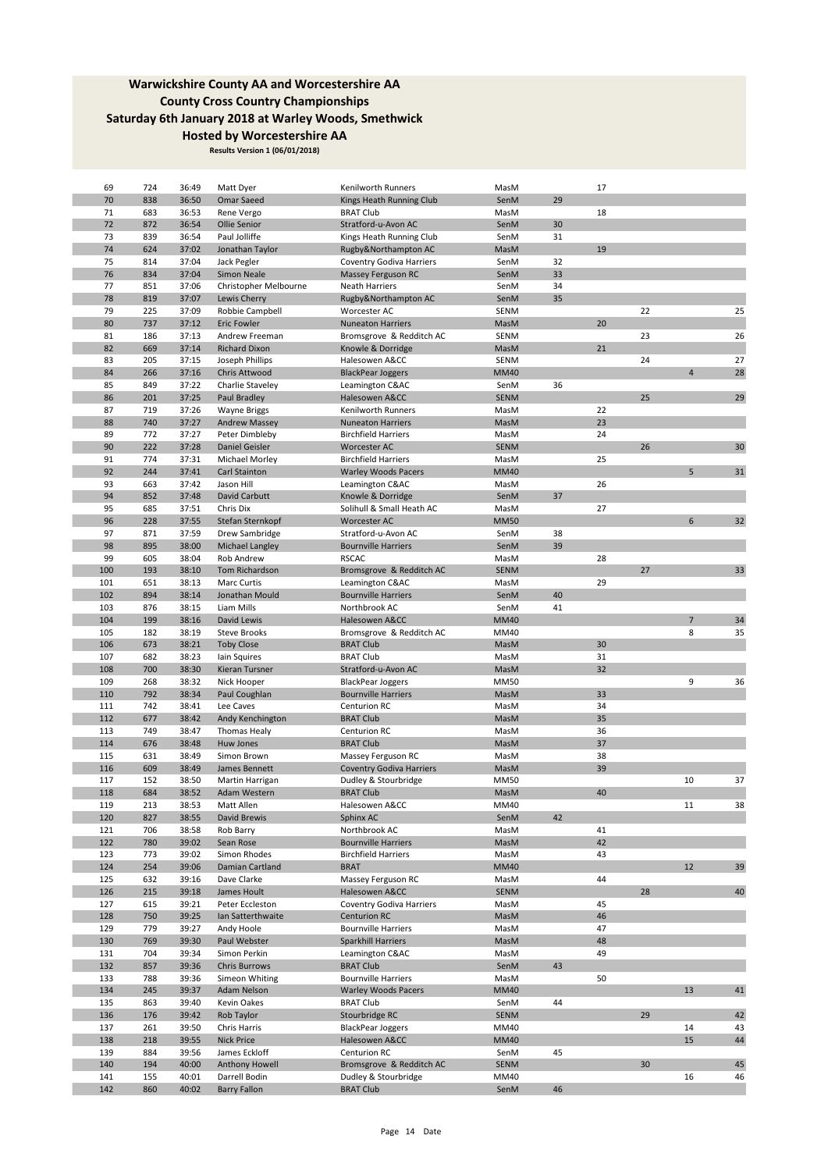| 69  | 724 | 36:49 | Matt Dyer             | Kenilworth Runners              | MasM        |    | 17 |    |                |        |
|-----|-----|-------|-----------------------|---------------------------------|-------------|----|----|----|----------------|--------|
| 70  | 838 | 36:50 | Omar Saeed            | Kings Heath Running Club        | SenM        | 29 |    |    |                |        |
| 71  | 683 | 36:53 | Rene Vergo            | <b>BRAT Club</b>                | MasM        |    | 18 |    |                |        |
| 72  | 872 | 36:54 | Ollie Senior          | Stratford-u-Avon AC             | SenM        | 30 |    |    |                |        |
| 73  | 839 | 36:54 | Paul Jolliffe         | Kings Heath Running Club        | SenM        | 31 |    |    |                |        |
| 74  | 624 | 37:02 | Jonathan Taylor       | Rugby&Northampton AC            | MasM        |    | 19 |    |                |        |
| 75  | 814 | 37:04 | Jack Pegler           | Coventry Godiva Harriers        | SenM        | 32 |    |    |                |        |
| 76  | 834 | 37:04 | Simon Neale           | Massey Ferguson RC              | SenM        | 33 |    |    |                |        |
| 77  | 851 | 37:06 | Christopher Melbourne | Neath Harriers                  | SenM        | 34 |    |    |                |        |
| 78  | 819 | 37:07 | Lewis Cherry          | Rugby&Northampton AC            | SenM        | 35 |    |    |                |        |
| 79  | 225 | 37:09 | Robbie Campbell       | Worcester AC                    | SENM        |    |    | 22 |                | 25     |
| 80  | 737 | 37:12 | Eric Fowler           | <b>Nuneaton Harriers</b>        | MasM        |    | 20 |    |                |        |
| 81  | 186 | 37:13 | Andrew Freeman        | Bromsgrove & Redditch AC        | <b>SENM</b> |    |    | 23 |                | 26     |
| 82  | 669 | 37:14 | <b>Richard Dixon</b>  | Knowle & Dorridge               | MasM        |    | 21 |    |                |        |
| 83  | 205 | 37:15 | Joseph Phillips       | Halesowen A&CC                  | <b>SENM</b> |    |    | 24 |                | 27     |
| 84  | 266 | 37:16 | Chris Attwood         | <b>BlackPear Joggers</b>        | <b>MM40</b> |    |    |    | $\overline{4}$ | 28     |
| 85  | 849 | 37:22 | Charlie Staveley      | Leamington C&AC                 | SenM        | 36 |    |    |                |        |
| 86  | 201 | 37:25 | Paul Bradley          | Halesowen A&CC                  | <b>SENM</b> |    |    | 25 |                | 29     |
| 87  | 719 | 37:26 | <b>Wayne Briggs</b>   | Kenilworth Runners              | MasM        |    | 22 |    |                |        |
| 88  | 740 | 37:27 | <b>Andrew Massey</b>  | <b>Nuneaton Harriers</b>        | MasM        |    | 23 |    |                |        |
| 89  | 772 | 37:27 | Peter Dimbleby        | <b>Birchfield Harriers</b>      | MasM        |    | 24 |    |                |        |
| 90  | 222 | 37:28 | Daniel Geisler        | Worcester AC                    | <b>SENM</b> |    |    | 26 |                | 30     |
| 91  | 774 | 37:31 | Michael Morley        | <b>Birchfield Harriers</b>      | MasM        |    | 25 |    |                |        |
| 92  | 244 | 37:41 | Carl Stainton         | <b>Warley Woods Pacers</b>      | <b>MM40</b> |    |    |    | 5              | 31     |
| 93  | 663 | 37:42 | Jason Hill            | Leamington C&AC                 | MasM        |    | 26 |    |                |        |
| 94  | 852 | 37:48 | David Carbutt         | Knowle & Dorridge               | SenM        | 37 |    |    |                |        |
| 95  | 685 | 37:51 | Chris Dix             | Solihull & Small Heath AC       | MasM        |    | 27 |    |                |        |
| 96  | 228 | 37:55 | Stefan Sternkopf      | <b>Worcester AC</b>             | <b>MM50</b> |    |    |    | 6              | 32     |
| 97  | 871 | 37:59 | Drew Sambridge        | Stratford-u-Avon AC             | SenM        | 38 |    |    |                |        |
| 98  | 895 | 38:00 | Michael Langley       | <b>Bournville Harriers</b>      | SenM        | 39 |    |    |                |        |
| 99  | 605 | 38:04 | Rob Andrew            | <b>RSCAC</b>                    | MasM        |    | 28 |    |                |        |
| 100 | 193 | 38:10 | Tom Richardson        | Bromsgrove & Redditch AC        | <b>SENM</b> |    |    | 27 |                | 33     |
| 101 | 651 | 38:13 | <b>Marc Curtis</b>    | Leamington C&AC                 | MasM        |    | 29 |    |                |        |
| 102 | 894 | 38:14 | Jonathan Mould        | <b>Bournville Harriers</b>      | SenM        | 40 |    |    |                |        |
| 103 | 876 | 38:15 | Liam Mills            | Northbrook AC                   | SenM        | 41 |    |    |                |        |
| 104 | 199 | 38:16 | David Lewis           | Halesowen A&CC                  | <b>MM40</b> |    |    |    | $\overline{7}$ | 34     |
| 105 | 182 | 38:19 | <b>Steve Brooks</b>   | Bromsgrove & Redditch AC        | MM40        |    |    |    | 8              | 35     |
| 106 | 673 | 38:21 | <b>Toby Close</b>     | <b>BRAT Club</b>                | MasM        |    | 30 |    |                |        |
| 107 | 682 | 38:23 | lain Squires          | <b>BRAT Club</b>                | MasM        |    | 31 |    |                |        |
| 108 | 700 | 38:30 | Kieran Tursner        | Stratford-u-Avon AC             | MasM        |    | 32 |    |                |        |
| 109 | 268 | 38:32 | Nick Hooper           | <b>BlackPear Joggers</b>        | MM50        |    |    |    | 9              | 36     |
| 110 | 792 | 38:34 | Paul Coughlan         | <b>Bournville Harriers</b>      | MasM        |    | 33 |    |                |        |
| 111 | 742 | 38:41 | Lee Caves             | Centurion RC                    | MasM        |    | 34 |    |                |        |
| 112 | 677 | 38:42 | Andy Kenchington      | <b>BRAT Club</b>                | MasM        |    | 35 |    |                |        |
| 113 | 749 | 38:47 | Thomas Healy          | Centurion RC                    | MasM        |    | 36 |    |                |        |
| 114 | 676 | 38:48 | Huw Jones             | <b>BRAT Club</b>                | MasM        |    | 37 |    |                |        |
| 115 | 631 | 38:49 | Simon Brown           | Massey Ferguson RC              | MasM        |    | 38 |    |                |        |
| 116 | 609 | 38:49 | James Bennett         | <b>Coventry Godiva Harriers</b> | MasM        |    | 39 |    |                |        |
| 117 | 152 | 38:50 | Martin Harrigan       | Dudley & Stourbridge            | <b>MM50</b> |    |    |    | 10             | 37     |
| 118 | 684 | 38:52 | Adam Western          | <b>BRAT Club</b>                | MasM        |    | 40 |    |                |        |
| 119 | 213 | 38:53 | Matt Allen            | Halesowen A&CC                  | MM40        |    |    |    | 11             | 38     |
| 120 | 827 | 38:55 | David Brewis          | Sphinx AC                       | SenM        | 42 |    |    |                |        |
| 121 | 706 | 38:58 | Rob Barry             | Northbrook AC                   | MasM        |    | 41 |    |                |        |
| 122 | 780 | 39:02 | Sean Rose             | <b>Bournville Harriers</b>      | MasM        |    | 42 |    |                |        |
| 123 | 773 | 39:02 | Simon Rhodes          | <b>Birchfield Harriers</b>      | MasM        |    | 43 |    |                |        |
| 124 | 254 | 39:06 | Damian Cartland       | <b>BRAT</b>                     | <b>MM40</b> |    |    |    | 12             | 39     |
| 125 | 632 | 39:16 | Dave Clarke           | Massey Ferguson RC              | MasM        |    | 44 |    |                |        |
| 126 | 215 | 39:18 | James Hoult           | Halesowen A&CC                  | <b>SENM</b> |    |    | 28 |                | 40     |
| 127 | 615 | 39:21 | Peter Eccleston       | <b>Coventry Godiva Harriers</b> | MasM        |    | 45 |    |                |        |
| 128 | 750 | 39:25 | Ian Satterthwaite     | <b>Centurion RC</b>             | MasM        |    | 46 |    |                |        |
| 129 | 779 | 39:27 | Andy Hoole            | <b>Bournville Harriers</b>      | MasM        |    | 47 |    |                |        |
| 130 | 769 | 39:30 | Paul Webster          | Sparkhill Harriers              | MasM        |    | 48 |    |                |        |
| 131 | 704 | 39:34 | Simon Perkin          | Leamington C&AC                 | MasM        |    | 49 |    |                |        |
| 132 | 857 | 39:36 | Chris Burrows         | <b>BRAT Club</b>                | SenM        | 43 |    |    |                |        |
| 133 | 788 | 39:36 | Simeon Whiting        | <b>Bournville Harriers</b>      | MasM        |    | 50 |    |                |        |
| 134 | 245 | 39:37 | Adam Nelson           | <b>Warley Woods Pacers</b>      | <b>MM40</b> |    |    |    | 13             | $41\,$ |
| 135 | 863 | 39:40 | Kevin Oakes           | <b>BRAT Club</b>                | SenM        | 44 |    |    |                |        |
| 136 | 176 | 39:42 | Rob Taylor            | Stourbridge RC                  | <b>SENM</b> |    |    | 29 |                | 42     |
| 137 | 261 | 39:50 | Chris Harris          | <b>BlackPear Joggers</b>        | MM40        |    |    |    | 14             | 43     |
| 138 | 218 | 39:55 | <b>Nick Price</b>     | Halesowen A&CC                  | MM40        |    |    |    | 15             | 44     |
| 139 | 884 | 39:56 | James Eckloff         | Centurion RC                    | SenM        | 45 |    |    |                |        |
| 140 | 194 | 40:00 | Anthony Howell        | Bromsgrove & Redditch AC        | <b>SENM</b> |    |    | 30 |                | 45     |
| 141 | 155 | 40:01 | Darrell Bodin         | Dudley & Stourbridge            | MM40        |    |    |    | 16             | 46     |
| 142 | 860 | 40:02 | <b>Barry Fallon</b>   | <b>BRAT Club</b>                | SenM        | 46 |    |    |                |        |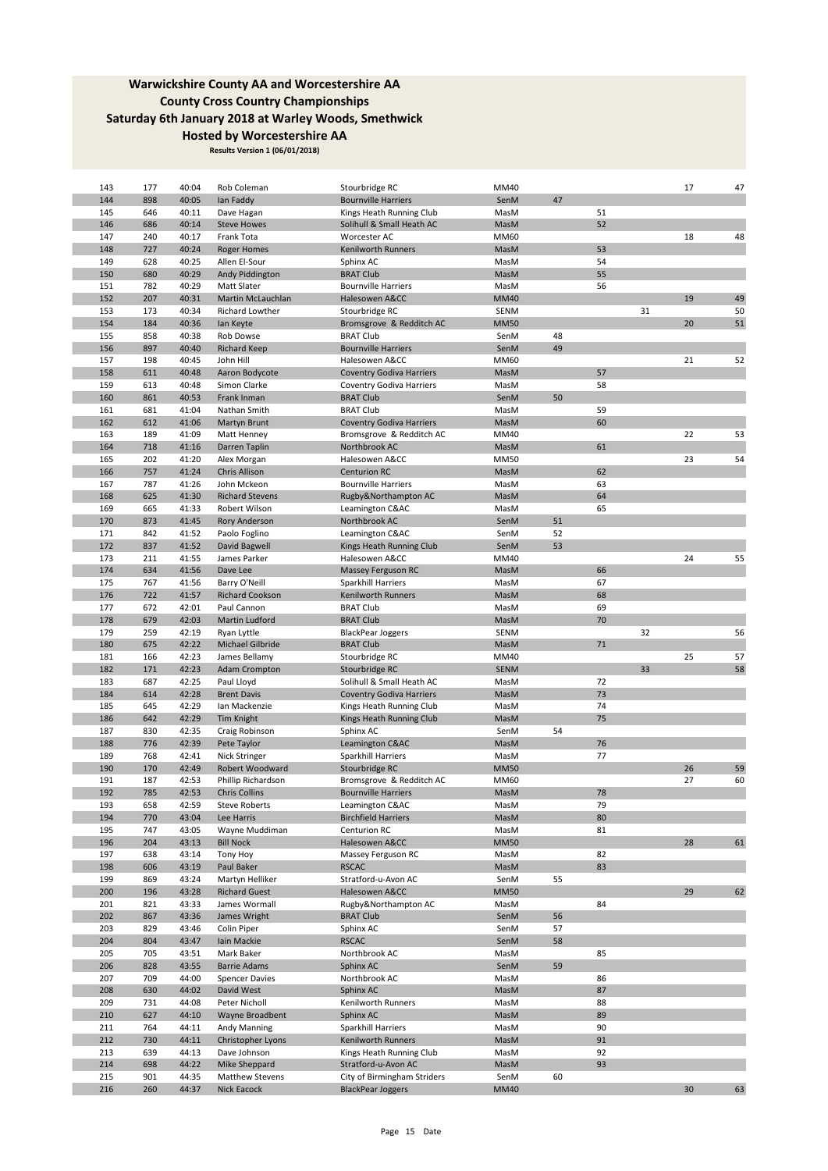| 143 | 177 | 40:04 | Rob Coleman            | Stourbridge RC                  | MM40        |    |    |    | 17 | 47 |
|-----|-----|-------|------------------------|---------------------------------|-------------|----|----|----|----|----|
| 144 | 898 | 40:05 | lan Faddy              | <b>Bournville Harriers</b>      | SenM        | 47 |    |    |    |    |
| 145 | 646 | 40:11 | Dave Hagan             | Kings Heath Running Club        | MasM        |    | 51 |    |    |    |
| 146 | 686 | 40:14 | <b>Steve Howes</b>     | Solihull & Small Heath AC       | MasM        |    | 52 |    |    |    |
| 147 | 240 | 40:17 | Frank Tota             | Worcester AC                    | <b>MM60</b> |    |    |    | 18 | 48 |
| 148 | 727 | 40:24 | <b>Roger Homes</b>     | Kenilworth Runners              | MasM        |    | 53 |    |    |    |
| 149 | 628 | 40:25 | Allen El-Sour          | Sphinx AC                       | MasM        |    | 54 |    |    |    |
|     |     | 40:29 |                        |                                 |             |    | 55 |    |    |    |
| 150 | 680 |       | Andy Piddington        | <b>BRAT Club</b>                | MasM        |    |    |    |    |    |
| 151 | 782 | 40:29 | Matt Slater            | <b>Bournville Harriers</b>      | MasM        |    | 56 |    |    |    |
| 152 | 207 | 40:31 | Martin McLauchlan      | Halesowen A&CC                  | <b>MM40</b> |    |    |    | 19 | 49 |
| 153 | 173 | 40:34 | Richard Lowther        | Stourbridge RC                  | <b>SENM</b> |    |    | 31 |    | 50 |
| 154 | 184 | 40:36 | lan Keyte              | Bromsgrove & Redditch AC        | <b>MM50</b> |    |    |    | 20 | 51 |
| 155 | 858 | 40:38 | Rob Dowse              | <b>BRAT Club</b>                | SenM        | 48 |    |    |    |    |
| 156 | 897 | 40:40 | <b>Richard Keep</b>    | <b>Bournville Harriers</b>      | SenM        | 49 |    |    |    |    |
|     |     |       |                        |                                 |             |    |    |    |    |    |
| 157 | 198 | 40:45 | John Hill              | Halesowen A&CC                  | MM60        |    |    |    | 21 | 52 |
| 158 | 611 | 40:48 | Aaron Bodycote         | <b>Coventry Godiva Harriers</b> | MasM        |    | 57 |    |    |    |
| 159 | 613 | 40:48 | Simon Clarke           | Coventry Godiva Harriers        | MasM        |    | 58 |    |    |    |
| 160 | 861 | 40:53 | Frank Inman            | <b>BRAT Club</b>                | SenM        | 50 |    |    |    |    |
| 161 | 681 | 41:04 | Nathan Smith           | <b>BRAT Club</b>                | MasM        |    | 59 |    |    |    |
| 162 | 612 | 41:06 | Martyn Brunt           | <b>Coventry Godiva Harriers</b> | MasM        |    | 60 |    |    |    |
| 163 | 189 | 41:09 | Matt Henney            | Bromsgrove & Redditch AC        | MM40        |    |    |    | 22 | 53 |
| 164 |     |       |                        | Northbrook AC                   |             |    | 61 |    |    |    |
|     | 718 | 41:16 | Darren Taplin          |                                 | MasM        |    |    |    |    |    |
| 165 | 202 | 41:20 | Alex Morgan            | Halesowen A&CC                  | <b>MM50</b> |    |    |    | 23 | 54 |
| 166 | 757 | 41:24 | <b>Chris Allison</b>   | <b>Centurion RC</b>             | MasM        |    | 62 |    |    |    |
| 167 | 787 | 41:26 | John Mckeon            | <b>Bournville Harriers</b>      | MasM        |    | 63 |    |    |    |
| 168 | 625 | 41:30 | <b>Richard Stevens</b> | Rugby&Northampton AC            | MasM        |    | 64 |    |    |    |
| 169 | 665 | 41:33 | Robert Wilson          | Leamington C&AC                 | MasM        |    | 65 |    |    |    |
| 170 | 873 | 41:45 | Rory Anderson          | Northbrook AC                   | SenM        | 51 |    |    |    |    |
| 171 | 842 | 41:52 | Paolo Foglino          | Leamington C&AC                 | SenM        | 52 |    |    |    |    |
|     |     |       |                        |                                 |             |    |    |    |    |    |
| 172 | 837 | 41:52 | David Bagwell          | Kings Heath Running Club        | SenM        | 53 |    |    |    |    |
| 173 | 211 | 41:55 | James Parker           | Halesowen A&CC                  | MM40        |    |    |    | 24 | 55 |
| 174 | 634 | 41:56 | Dave Lee               | Massey Ferguson RC              | MasM        |    | 66 |    |    |    |
| 175 | 767 | 41:56 | Barry O'Neill          | Sparkhill Harriers              | MasM        |    | 67 |    |    |    |
| 176 | 722 | 41:57 | <b>Richard Cookson</b> | Kenilworth Runners              | MasM        |    | 68 |    |    |    |
| 177 | 672 | 42:01 | Paul Cannon            | <b>BRAT Club</b>                | MasM        |    | 69 |    |    |    |
| 178 | 679 | 42:03 | Martin Ludford         | <b>BRAT Club</b>                | MasM        |    | 70 |    |    |    |
|     |     |       |                        |                                 |             |    |    |    |    |    |
|     |     |       |                        |                                 |             |    |    |    |    |    |
| 179 | 259 | 42:19 | Ryan Lyttle            | <b>BlackPear Joggers</b>        | <b>SENM</b> |    |    | 32 |    | 56 |
| 180 | 675 | 42:22 | Michael Gilbride       | <b>BRAT Club</b>                | MasM        |    | 71 |    |    |    |
| 181 | 166 | 42:23 | James Bellamy          | Stourbridge RC                  | MM40        |    |    |    | 25 | 57 |
| 182 |     |       |                        |                                 | <b>SENM</b> |    |    | 33 |    |    |
|     | 171 | 42:23 | Adam Crompton          | Stourbridge RC                  |             |    |    |    |    | 58 |
| 183 | 687 | 42:25 | Paul Lloyd             | Solihull & Small Heath AC       | MasM        |    | 72 |    |    |    |
| 184 | 614 | 42:28 | <b>Brent Davis</b>     | <b>Coventry Godiva Harriers</b> | MasM        |    | 73 |    |    |    |
| 185 | 645 | 42:29 | Ian Mackenzie          | Kings Heath Running Club        | MasM        |    | 74 |    |    |    |
| 186 | 642 | 42:29 | Tim Knight             | Kings Heath Running Club        | MasM        |    | 75 |    |    |    |
| 187 | 830 | 42:35 | Craig Robinson         | Sphinx AC                       | SenM        | 54 |    |    |    |    |
| 188 | 776 | 42:39 | Pete Taylor            | Leamington C&AC                 | MasM        |    | 76 |    |    |    |
| 189 |     |       | Nick Stringer          | Sparkhill Harriers              | MasM        |    | 77 |    |    |    |
|     | 768 | 42:41 |                        |                                 |             |    |    |    |    |    |
| 190 | 170 | 42:49 | Robert Woodward        | Stourbridge RC                  | <b>MM50</b> |    |    |    | 26 | 59 |
| 191 | 187 | 42:53 | Phillip Richardson     | Bromsgrove & Redditch AC        | MM60        |    |    |    | 27 | 60 |
| 192 | 785 | 42:53 | <b>Chris Collins</b>   | <b>Bournville Harriers</b>      | MasM        |    | 78 |    |    |    |
| 193 | 658 | 42:59 | Steve Roberts          | Leamington C&AC                 | MasM        |    | 79 |    |    |    |
| 194 | 770 | 43:04 | Lee Harris             | <b>Birchfield Harriers</b>      | MasM        |    | 80 |    |    |    |
| 195 | 747 | 43:05 | Wayne Muddiman         | Centurion RC                    | MasM        |    | 81 |    |    |    |
| 196 | 204 | 43:13 | <b>Bill Nock</b>       | Halesowen A&CC                  | <b>MM50</b> |    |    |    | 28 | 61 |
|     |     |       |                        |                                 |             |    |    |    |    |    |
| 197 | 638 | 43:14 | Tony Hoy               | Massey Ferguson RC              | MasM        |    | 82 |    |    |    |
| 198 | 606 | 43:19 | Paul Baker             | <b>RSCAC</b>                    | MasM        |    | 83 |    |    |    |
| 199 | 869 | 43:24 | Martyn Helliker        | Stratford-u-Avon AC             | SenM        | 55 |    |    |    |    |
| 200 | 196 | 43:28 | <b>Richard Guest</b>   | Halesowen A&CC                  | <b>MM50</b> |    |    |    | 29 | 62 |
| 201 | 821 | 43:33 | James Wormall          | Rugby&Northampton AC            | MasM        |    | 84 |    |    |    |
| 202 | 867 | 43:36 | James Wright           | <b>BRAT Club</b>                | SenM        | 56 |    |    |    |    |
| 203 | 829 | 43:46 | Colin Piper            | Sphinx AC                       | SenM        | 57 |    |    |    |    |
|     |     |       |                        |                                 |             |    |    |    |    |    |
| 204 | 804 | 43:47 | Iain Mackie            | <b>RSCAC</b>                    | SenM        | 58 |    |    |    |    |
| 205 | 705 | 43:51 | Mark Baker             | Northbrook AC                   | MasM        |    | 85 |    |    |    |
| 206 | 828 | 43:55 | <b>Barrie Adams</b>    | Sphinx AC                       | SenM        | 59 |    |    |    |    |
| 207 | 709 | 44:00 | <b>Spencer Davies</b>  | Northbrook AC                   | MasM        |    | 86 |    |    |    |
| 208 | 630 | 44:02 | David West             | Sphinx AC                       | MasM        |    | 87 |    |    |    |
| 209 | 731 | 44:08 | Peter Nicholl          | Kenilworth Runners              | MasM        |    | 88 |    |    |    |
| 210 | 627 | 44:10 | Wayne Broadbent        | Sphinx AC                       | MasM        |    | 89 |    |    |    |
|     |     |       |                        |                                 |             |    |    |    |    |    |
| 211 | 764 | 44:11 | Andy Manning           | Sparkhill Harriers              | MasM        |    | 90 |    |    |    |
| 212 | 730 | 44:11 | Christopher Lyons      | Kenilworth Runners              | MasM        |    | 91 |    |    |    |
| 213 | 639 | 44:13 | Dave Johnson           | Kings Heath Running Club        | MasM        |    | 92 |    |    |    |
| 214 | 698 | 44:22 | Mike Sheppard          | Stratford-u-Avon AC             | MasM        |    | 93 |    |    |    |
| 215 | 901 | 44:35 | Matthew Stevens        | City of Birmingham Striders     | SenM        | 60 |    |    |    |    |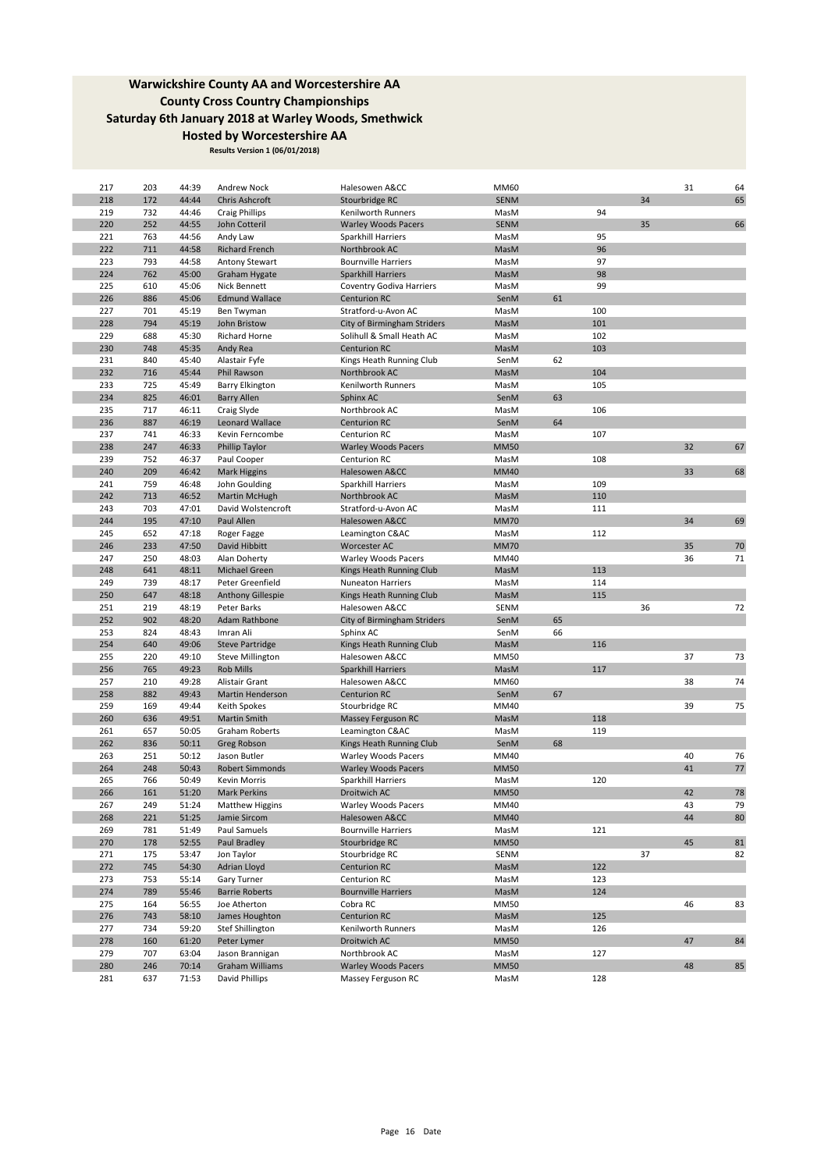| 217 | 203 | 44:39 | Andrew Nock            | Halesowen A&CC                     | MM60        |    |     |    | 31 | 64         |
|-----|-----|-------|------------------------|------------------------------------|-------------|----|-----|----|----|------------|
| 218 | 172 | 44:44 | Chris Ashcroft         | Stourbridge RC                     | <b>SENM</b> |    |     | 34 |    | 65         |
| 219 | 732 | 44:46 | <b>Craig Phillips</b>  | Kenilworth Runners                 | MasM        |    | 94  |    |    |            |
| 220 | 252 | 44:55 | John Cotteril          | <b>Warley Woods Pacers</b>         | <b>SENM</b> |    |     | 35 |    | 66         |
| 221 | 763 | 44:56 | Andy Law               | Sparkhill Harriers                 | MasM        |    | 95  |    |    |            |
| 222 | 711 | 44:58 | <b>Richard French</b>  | Northbrook AC                      | MasM        |    | 96  |    |    |            |
| 223 | 793 | 44:58 | <b>Antony Stewart</b>  | <b>Bournville Harriers</b>         | MasM        |    | 97  |    |    |            |
| 224 |     |       |                        |                                    |             |    | 98  |    |    |            |
|     | 762 | 45:00 | Graham Hygate          | Sparkhill Harriers                 | MasM        |    |     |    |    |            |
| 225 | 610 | 45:06 | Nick Bennett           | Coventry Godiva Harriers           | MasM        |    | 99  |    |    |            |
| 226 | 886 | 45:06 | <b>Edmund Wallace</b>  | <b>Centurion RC</b>                | SenM        | 61 |     |    |    |            |
| 227 | 701 | 45:19 | Ben Twyman             | Stratford-u-Avon AC                | MasM        |    | 100 |    |    |            |
| 228 | 794 | 45:19 | John Bristow           | City of Birmingham Striders        | MasM        |    | 101 |    |    |            |
| 229 | 688 | 45:30 | <b>Richard Horne</b>   | Solihull & Small Heath AC          | MasM        |    | 102 |    |    |            |
| 230 | 748 | 45:35 | Andy Rea               | <b>Centurion RC</b>                | MasM        |    | 103 |    |    |            |
| 231 | 840 | 45:40 | Alastair Fyfe          | Kings Heath Running Club           | SenM        | 62 |     |    |    |            |
| 232 | 716 | 45:44 | Phil Rawson            | Northbrook AC                      | MasM        |    | 104 |    |    |            |
| 233 | 725 | 45:49 | <b>Barry Elkington</b> | Kenilworth Runners                 | MasM        |    | 105 |    |    |            |
| 234 | 825 | 46:01 | <b>Barry Allen</b>     | Sphinx AC                          | SenM        | 63 |     |    |    |            |
| 235 | 717 | 46:11 | Craig Slyde            | Northbrook AC                      | MasM        |    | 106 |    |    |            |
| 236 | 887 | 46:19 | Leonard Wallace        | <b>Centurion RC</b>                | SenM        | 64 |     |    |    |            |
|     |     |       |                        |                                    |             |    |     |    |    |            |
| 237 | 741 | 46:33 | Kevin Ferncombe        | Centurion RC                       | MasM        |    | 107 |    |    |            |
| 238 | 247 | 46:33 | Phillip Taylor         | <b>Warley Woods Pacers</b>         | <b>MM50</b> |    |     |    | 32 | 67         |
| 239 | 752 | 46:37 | Paul Cooper            | Centurion RC                       | MasM        |    | 108 |    |    |            |
| 240 | 209 | 46:42 | <b>Mark Higgins</b>    | Halesowen A&CC                     | <b>MM40</b> |    |     |    | 33 | 68         |
| 241 | 759 | 46:48 | John Goulding          | Sparkhill Harriers                 | MasM        |    | 109 |    |    |            |
| 242 | 713 | 46:52 | <b>Martin McHugh</b>   | Northbrook AC                      | MasM        |    | 110 |    |    |            |
| 243 | 703 | 47:01 | David Wolstencroft     | Stratford-u-Avon AC                | MasM        |    | 111 |    |    |            |
| 244 | 195 | 47:10 | Paul Allen             | Halesowen A&CC                     | <b>MM70</b> |    |     |    | 34 | 69         |
| 245 | 652 | 47:18 | Roger Fagge            | Leamington C&AC                    | MasM        |    | 112 |    |    |            |
| 246 | 233 | 47:50 | David Hibbitt          | Worcester AC                       | <b>MM70</b> |    |     |    | 35 | 70         |
| 247 | 250 | 48:03 | Alan Doherty           | <b>Warley Woods Pacers</b>         | MM40        |    |     |    | 36 | 71         |
| 248 |     |       |                        |                                    |             |    | 113 |    |    |            |
|     | 641 | 48:11 | Michael Green          | Kings Heath Running Club           | MasM        |    |     |    |    |            |
| 249 | 739 | 48:17 | Peter Greenfield       | <b>Nuneaton Harriers</b>           | MasM        |    | 114 |    |    |            |
| 250 | 647 | 48:18 | Anthony Gillespie      | Kings Heath Running Club           | MasM        |    | 115 |    |    |            |
| 251 | 219 | 48:19 | Peter Barks            | Halesowen A&CC                     | SENM        |    |     | 36 |    | 72         |
| 252 | 902 | 48:20 | Adam Rathbone          | <b>City of Birmingham Striders</b> | SenM        | 65 |     |    |    |            |
| 253 | 824 | 48:43 | Imran Ali              | Sphinx AC                          | SenM        | 66 |     |    |    |            |
| 254 | 640 | 49:06 | <b>Steve Partridge</b> | Kings Heath Running Club           | MasM        |    | 116 |    |    |            |
| 255 | 220 | 49:10 | Steve Millington       | Halesowen A&CC                     | <b>MM50</b> |    |     |    | 37 | 73         |
| 256 | 765 | 49:23 | <b>Rob Mills</b>       | <b>Sparkhill Harriers</b>          | MasM        |    | 117 |    |    |            |
| 257 | 210 | 49:28 | Alistair Grant         | Halesowen A&CC                     | MM60        |    |     |    | 38 | 74         |
| 258 | 882 | 49:43 | Martin Henderson       | <b>Centurion RC</b>                | SenM        | 67 |     |    |    |            |
| 259 | 169 | 49:44 | Keith Spokes           | Stourbridge RC                     | MM40        |    |     |    | 39 | 75         |
| 260 |     | 49:51 | <b>Martin Smith</b>    |                                    |             |    | 118 |    |    |            |
|     | 636 |       |                        | Massey Ferguson RC                 | MasM        |    |     |    |    |            |
| 261 | 657 | 50:05 | Graham Roberts         | Leamington C&AC                    | MasM        |    | 119 |    |    |            |
| 262 | 836 | 50:11 | Greg Robson            | Kings Heath Running Club           | SenM        | 68 |     |    |    |            |
| 263 | 251 | 50:12 | Jason Butler           | <b>Warley Woods Pacers</b>         | MM40        |    |     |    | 40 | 76         |
| 264 | 248 | 50:43 | Robert Simmonds        | <b>Warley Woods Pacers</b>         | <b>MM50</b> |    |     |    | 41 | 77         |
| 265 | 766 | 50:49 | <b>Kevin Morris</b>    | Sparkhill Harriers                 | MasM        |    | 120 |    |    |            |
| 266 | 161 | 51:20 | <b>Mark Perkins</b>    | Droitwich AC                       | <b>MM50</b> |    |     |    | 42 | 78         |
| 267 | 249 | 51:24 | <b>Matthew Higgins</b> | Warley Woods Pacers                | MM40        |    |     |    | 43 | 79         |
| 268 | 221 | 51:25 | Jamie Sircom           | Halesowen A&CC                     | <b>MM40</b> |    |     |    | 44 | 80         |
| 269 | 781 | 51:49 | Paul Samuels           | <b>Bournville Harriers</b>         | MasM        |    | 121 |    |    |            |
| 270 | 178 | 52:55 | Paul Bradley           | Stourbridge RC                     | <b>MM50</b> |    |     |    | 45 | ${\bf 81}$ |
| 271 | 175 | 53:47 | Jon Taylor             | Stourbridge RC                     | SENM        |    |     | 37 |    | 82         |
| 272 |     | 54:30 | <b>Adrian Lloyd</b>    | Centurion RC                       | MasM        |    | 122 |    |    |            |
|     | 745 |       |                        |                                    |             |    |     |    |    |            |
| 273 | 753 | 55:14 | Gary Turner            | Centurion RC                       | MasM        |    | 123 |    |    |            |
| 274 | 789 | 55:46 | <b>Barrie Roberts</b>  | <b>Bournville Harriers</b>         | MasM        |    | 124 |    |    |            |
| 275 | 164 | 56:55 | Joe Atherton           | Cobra RC                           | <b>MM50</b> |    |     |    | 46 | 83         |
| 276 | 743 | 58:10 | James Houghton         | Centurion RC                       | MasM        |    | 125 |    |    |            |
| 277 | 734 | 59:20 | Stef Shillington       | Kenilworth Runners                 | MasM        |    | 126 |    |    |            |
| 278 | 160 | 61:20 | Peter Lymer            | Droitwich AC                       | <b>MM50</b> |    |     |    | 47 | 84         |
| 279 | 707 | 63:04 | Jason Brannigan        | Northbrook AC                      | MasM        |    | 127 |    |    |            |
| 280 | 246 | 70:14 | Graham Williams        | <b>Warley Woods Pacers</b>         | <b>MM50</b> |    |     |    | 48 | 85         |
| 281 | 637 | 71:53 | David Phillips         | Massey Ferguson RC                 | MasM        |    | 128 |    |    |            |